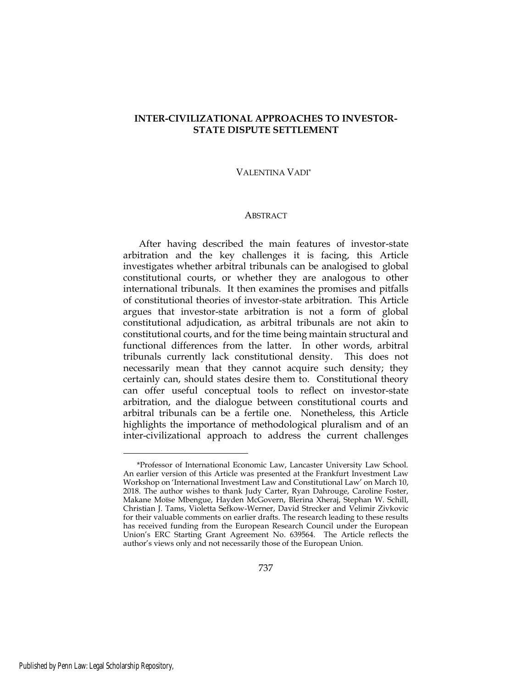# **INTER-CIVILIZATIONAL APPROACHES TO INVESTOR-STATE DISPUTE SETTLEMENT**

#### VALENTINA VADI\*

#### ABSTRACT

After having described the main features of investor-state arbitration and the key challenges it is facing, this Article investigates whether arbitral tribunals can be analogised to global constitutional courts, or whether they are analogous to other international tribunals. It then examines the promises and pitfalls of constitutional theories of investor-state arbitration. This Article argues that investor-state arbitration is not a form of global constitutional adjudication, as arbitral tribunals are not akin to constitutional courts, and for the time being maintain structural and functional differences from the latter. In other words, arbitral tribunals currently lack constitutional density. This does not necessarily mean that they cannot acquire such density; they certainly can, should states desire them to. Constitutional theory can offer useful conceptual tools to reflect on investor-state arbitration, and the dialogue between constitutional courts and arbitral tribunals can be a fertile one. Nonetheless, this Article highlights the importance of methodological pluralism and of an inter-civilizational approach to address the current challenges

<sup>\*</sup>Professor of International Economic Law, Lancaster University Law School. An earlier version of this Article was presented at the Frankfurt Investment Law Workshop on 'International Investment Law and Constitutional Law' on March 10, 2018. The author wishes to thank Judy Carter, Ryan Dahrouge, Caroline Foster, Makane Moïse Mbengue, Hayden McGovern, Blerina Xheraj, Stephan W. Schill, Christian J. Tams, Violetta Sefkow-Werner, David Strecker and Velimir Zivkovic for their valuable comments on earlier drafts. The research leading to these results has received funding from the European Research Council under the European Union's ERC Starting Grant Agreement No. 639564. The Article reflects the author's views only and not necessarily those of the European Union.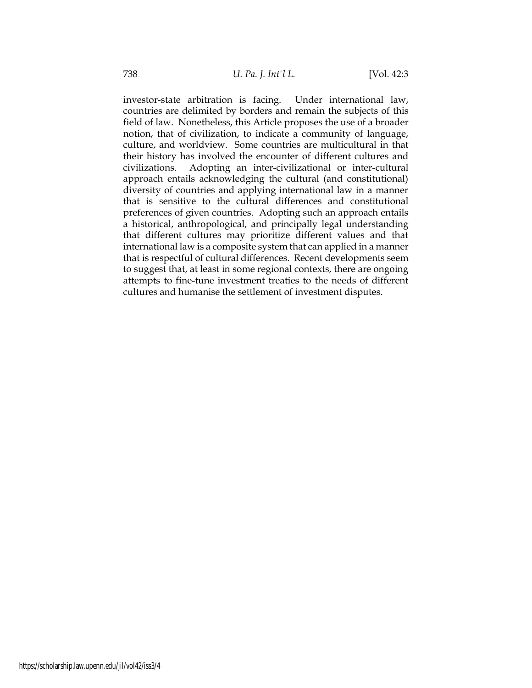investor-state arbitration is facing. Under international law, countries are delimited by borders and remain the subjects of this field of law. Nonetheless, this Article proposes the use of a broader notion, that of civilization, to indicate a community of language, culture, and worldview. Some countries are multicultural in that their history has involved the encounter of different cultures and civilizations. Adopting an inter-civilizational or inter-cultural approach entails acknowledging the cultural (and constitutional) diversity of countries and applying international law in a manner that is sensitive to the cultural differences and constitutional preferences of given countries. Adopting such an approach entails a historical, anthropological, and principally legal understanding that different cultures may prioritize different values and that international law is a composite system that can applied in a manner that is respectful of cultural differences. Recent developments seem to suggest that, at least in some regional contexts, there are ongoing attempts to fine-tune investment treaties to the needs of different cultures and humanise the settlement of investment disputes.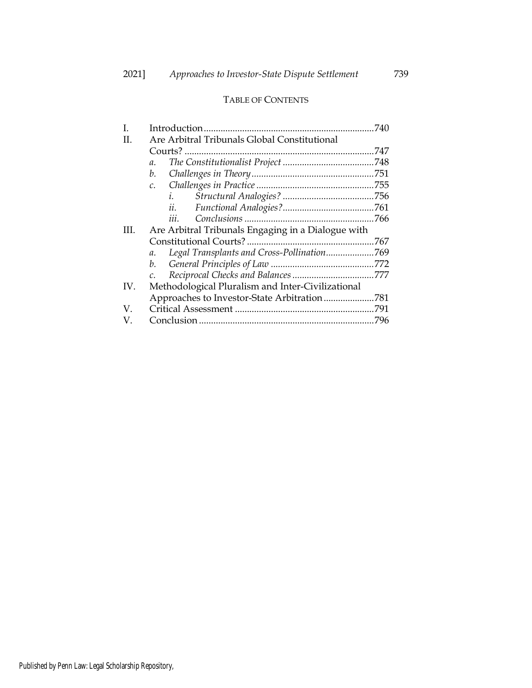# TABLE OF CONTENTS

| L   |                                                    | 740  |
|-----|----------------------------------------------------|------|
| Н.  | Are Arbitral Tribunals Global Constitutional       |      |
|     |                                                    |      |
|     | $\mathfrak{a}.$                                    |      |
|     | b.                                                 |      |
|     | $\mathcal{C}$ .                                    |      |
|     | i.                                                 |      |
|     | ii.                                                |      |
|     | 111.                                               |      |
| HI. | Are Arbitral Tribunals Engaging in a Dialogue with |      |
|     |                                                    |      |
|     | a.                                                 |      |
|     | b.                                                 |      |
|     |                                                    |      |
| IV. | Methodological Pluralism and Inter-Civilizational  |      |
|     | Approaches to Investor-State Arbitration           | .781 |
| V.  |                                                    |      |
| V.  |                                                    |      |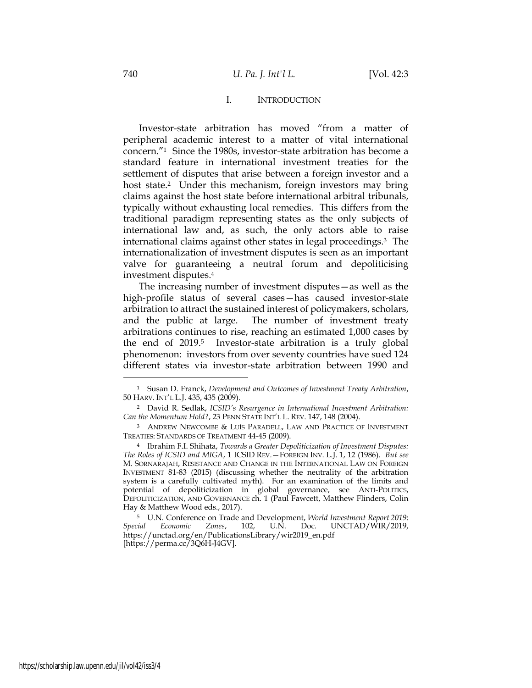### I. INTRODUCTION

Investor-state arbitration has moved "from a matter of peripheral academic interest to a matter of vital international concern."1 Since the 1980s, investor-state arbitration has become a standard feature in international investment treaties for the settlement of disputes that arise between a foreign investor and a host state.<sup>2</sup> Under this mechanism, foreign investors may bring claims against the host state before international arbitral tribunals, typically without exhausting local remedies. This differs from the traditional paradigm representing states as the only subjects of international law and, as such, the only actors able to raise international claims against other states in legal proceedings.3 The internationalization of investment disputes is seen as an important valve for guaranteeing a neutral forum and depoliticising investment disputes. 4

The increasing number of investment disputes—as well as the high-profile status of several cases—has caused investor-state arbitration to attract the sustained interest of policymakers, scholars, and the public at large. The number of investment treaty arbitrations continues to rise, reaching an estimated 1,000 cases by the end of 2019.<sup>5</sup> Investor-state arbitration is a truly global phenomenon: investors from over seventy countries have sued 124 different states via investor-state arbitration between 1990 and

<sup>1</sup> Susan D. Franck, *Development and Outcomes of Investment Treaty Arbitration*, 50 HARV. INT'L L.J. 435, 435 (2009).

<sup>2</sup> David R. Sedlak, *ICSID's Resurgence in International Investment Arbitration: Can the Momentum Hold?*, 23 PENN STATE INT'L L. REV. 147, 148 (2004).

<sup>3</sup> ANDREW NEWCOMBE & LUÍS PARADELL, LAW AND PRACTICE OF INVESTMENT TREATIES: STANDARDS OF TREATMENT 44-45 (2009).

<sup>4</sup> Ibrahim F.I. Shihata, *Towards a Greater Depoliticization of Investment Disputes: The Roles of ICSID and MIGA*, 1 ICSID REV.—FOREIGN INV. L.J. 1, 12 (1986). *But see*  M. SORNARAJAH, RESISTANCE AND CHANGE IN THE INTERNATIONAL LAW ON FOREIGN INVESTMENT 81-83 (2015) (discussing whether the neutrality of the arbitration system is a carefully cultivated myth). For an examination of the limits and potential of depoliticization in global governance, see ANTI-POLITICS, DEPOLITICIZATION, AND GOVERNANCE ch. 1 (Paul Fawcett, Matthew Flinders, Colin Hay & Matthew Wood eds., 2017).

<sup>5</sup> U.N. Conference on Trade and Development, *World Investment Report 2019*: *Special Economic Zones*, 102, U.N. Doc. UNCTAD/WIR/2019, https://unctad.org/en/PublicationsLibrary/wir2019\_en.pdf [https://perma.cc/3Q6H-J4GV].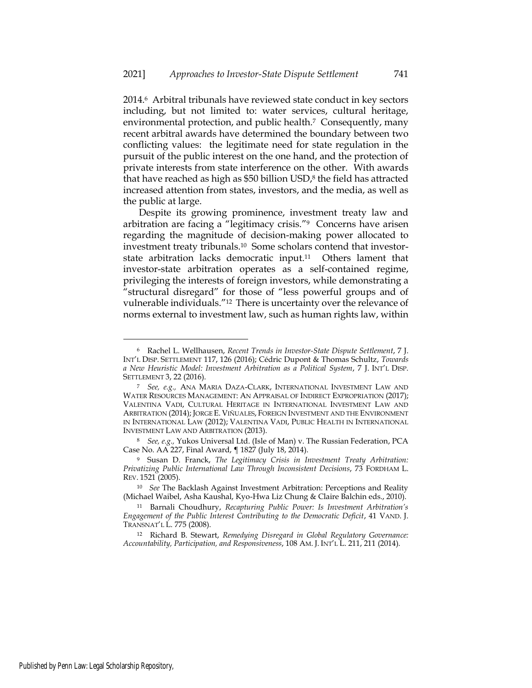2014.6 Arbitral tribunals have reviewed state conduct in key sectors including, but not limited to: water services, cultural heritage, environmental protection, and public health.<sup>7</sup> Consequently, many recent arbitral awards have determined the boundary between two conflicting values: the legitimate need for state regulation in the pursuit of the public interest on the one hand, and the protection of private interests from state interference on the other. With awards that have reached as high as \$50 billion USD, <sup>8</sup> the field has attracted increased attention from states, investors, and the media, as well as the public at large.

Despite its growing prominence, investment treaty law and arbitration are facing a "legitimacy crisis."9 Concerns have arisen regarding the magnitude of decision-making power allocated to investment treaty tribunals.10 Some scholars contend that investorstate arbitration lacks democratic input.11 Others lament that investor-state arbitration operates as a self-contained regime, privileging the interests of foreign investors, while demonstrating a "structural disregard" for those of "less powerful groups and of vulnerable individuals."12 There is uncertainty over the relevance of norms external to investment law, such as human rights law, within

<sup>6</sup> Rachel L. Wellhausen, *Recent Trends in Investor-State Dispute Settlement*, 7 J. INT'L DISP. SETTLEMENT 117, 126 (2016); Cédric Dupont & Thomas Schultz, *Towards a New Heuristic Model: Investment Arbitration as a Political System*, 7 J. INT'L DISP. SETTLEMENT 3, 22 (2016).

<sup>7</sup> *See, e.g.,* ANA MARIA DAZA-CLARK, INTERNATIONAL INVESTMENT LAW AND WATER RESOURCES MANAGEMENT: AN APPRAISAL OF INDIRECT EXPROPRIATION (2017); VALENTINA VADI, CULTURAL HERITAGE IN INTERNATIONAL INVESTMENT LAW AND ARBITRATION (2014); JORGE E. VIÑUALES, FOREIGN INVESTMENT AND THE ENVIRONMENT IN INTERNATIONAL LAW (2012); VALENTINA VADI, PUBLIC HEALTH IN INTERNATIONAL INVESTMENT LAW AND ARBITRATION (2013).

<sup>8</sup> *See, e.g.,* Yukos Universal Ltd. (Isle of Man) v. The Russian Federation, PCA Case No. AA 227, Final Award, ¶ 1827 (July 18, 2014).

<sup>9</sup> Susan D. Franck, *The Legitimacy Crisis in Investment Treaty Arbitration: Privatizing Public International Law Through Inconsistent Decisions*, 73 FORDHAM L. REV. 1521 (2005).

<sup>10</sup> *See* The Backlash Against Investment Arbitration: Perceptions and Reality (Michael Waibel, Asha Kaushal, Kyo-Hwa Liz Chung & Claire Balchin eds., 2010).

<sup>11</sup> Barnali Choudhury, *Recapturing Public Power: Is Investment Arbitration's Engagement of the Public Interest Contributing to the Democratic Deficit*, 41 VAND. J. TRANSNAT'L L. 775 (2008).

<sup>12</sup> Richard B. Stewart, *Remedying Disregard in Global Regulatory Governance: Accountability, Participation, and Responsiveness*, 108 AM. J. INT'L L. 211, 211 (2014).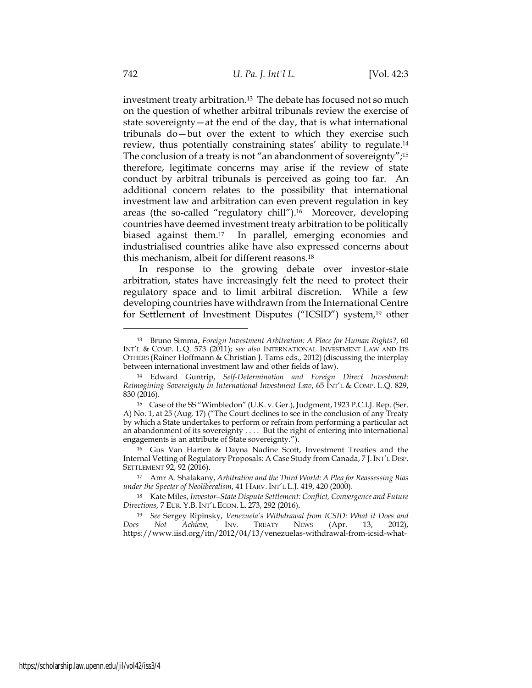investment treaty arbitration.13 The debate has focused not so much on the question of whether arbitral tribunals review the exercise of state sovereignty—at the end of the day, that is what international tribunals do—but over the extent to which they exercise such review, thus potentially constraining states' ability to regulate.<sup>14</sup> The conclusion of a treaty is not "an abandonment of sovereignty"; 15 therefore, legitimate concerns may arise if the review of state conduct by arbitral tribunals is perceived as going too far. An additional concern relates to the possibility that international investment law and arbitration can even prevent regulation in key areas (the so-called "regulatory chill").16 Moreover, developing countries have deemed investment treaty arbitration to be politically biased against them.17 In parallel, emerging economies and industrialised countries alike have also expressed concerns about this mechanism, albeit for different reasons.<sup>18</sup>

In response to the growing debate over investor-state arbitration, states have increasingly felt the need to protect their regulatory space and to limit arbitral discretion. While a few developing countries have withdrawn from the International Centre for Settlement of Investment Disputes ("ICSID") system,<sup>19</sup> other

<sup>16</sup> Gus Van Harten & Dayna Nadine Scott, Investment Treaties and the Internal Vetting of Regulatory Proposals: A Case Study from Canada, 7 J.INT'L DISP. SETTLEMENT 92, 92 (2016).

<sup>17</sup> Amr A. Shalakany, *Arbitration and the Third World: A Plea for Reassessing Bias under the Specter of Neoliberalism*, 41 HARV. INT'L L.J. 419, 420 (2000).

<sup>18</sup> Kate Miles, *Investor–State Dispute Settlement: Conflict, Convergence and Future Directions*, 7 EUR. Y.B. INT'L ECON. L. 273, 292 (2016).

<sup>19</sup> *See* Sergey Ripinsky, *Venezuela's Withdrawal from ICSID: What it Does and Does Not Achieve,* INV. TREATY NEWS (Apr. 13, 2012), https://www.iisd.org/itn/2012/04/13/venezuelas-withdrawal-from-icsid-what-

<sup>13</sup> Bruno Simma, *Foreign Investment Arbitration: A Place for Human Rights?,* 60 INT'L & COMP. L.Q. 573 (2011); *see also* INTERNATIONAL INVESTMENT LAW AND ITS OTHERS (Rainer Hoffmann & Christian J. Tams eds., 2012) (discussing the interplay between international investment law and other fields of law).

<sup>14</sup> Edward Guntrip, *Self-Determination and Foreign Direct Investment: Reimagining Sovereignty in International Investment Law*, 65 INT'L & COMP. L.Q. 829, 830 (2016).

<sup>15</sup> Case of the SS "Wimbledon" (U.K. v. Ger.), Judgment, 1923 P.C.I.J. Rep. (Ser. A) No. 1, at 25 (Aug. 17) ("The Court declines to see in the conclusion of any Treaty by which a State undertakes to perform or refrain from performing a particular act an abandonment of its sovereignty . . . . But the right of entering into international engagements is an attribute of State sovereignty.").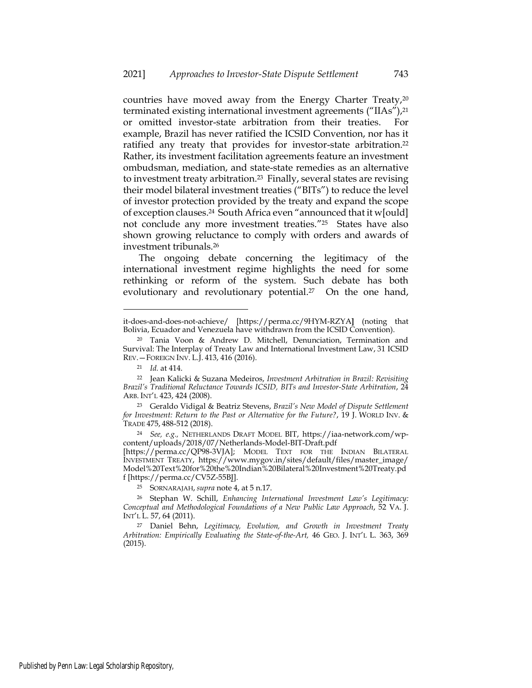countries have moved away from the Energy Charter Treaty,<sup>20</sup> terminated existing international investment agreements ("IIAs"),<sup>21</sup> or omitted investor-state arbitration from their treaties. For example, Brazil has never ratified the ICSID Convention, nor has it ratified any treaty that provides for investor-state arbitration.<sup>22</sup> Rather, its investment facilitation agreements feature an investment ombudsman, mediation, and state-state remedies as an alternative to investment treaty arbitration.23 Finally, several states are revising their model bilateral investment treaties ("BITs") to reduce the level of investor protection provided by the treaty and expand the scope of exception clauses.24 South Africa even "announced that it w[ould] not conclude any more investment treaties."25 States have also shown growing reluctance to comply with orders and awards of investment tribunals.<sup>26</sup>

The ongoing debate concerning the legitimacy of the international investment regime highlights the need for some rethinking or reform of the system. Such debate has both evolutionary and revolutionary potential.<sup>27</sup> On the one hand,

it-does-and-does-not-achieve/ [https://perma.cc/9HYM-RZYA**]** (noting that Bolivia, Ecuador and Venezuela have withdrawn from the ICSID Convention).

<sup>20</sup> Tania Voon & Andrew D. Mitchell, Denunciation, Termination and Survival: The Interplay of Treaty Law and International Investment Law, 31 ICSID REV.—FOREIGN INV. L.J. 413, 416 (2016).

<sup>21</sup> *Id.* at 414.

<sup>22</sup> Jean Kalicki & Suzana Medeiros, *Investment Arbitration in Brazil: Revisiting Brazil's Traditional Reluctance Towards ICSID, BITs and Investor-State Arbitration*, 24 ARB. INT'L 423, 424 (2008).

<sup>23</sup> Geraldo Vidigal & Beatriz Stevens, *Brazil's New Model of Dispute Settlement for Investment: Return to the Past or Alternative for the Future?*, 19 J. WORLD INV. & TRADE 475, 488-512 (2018).

<sup>24</sup> *See, e.g.,* NETHERLANDS DRAFT MODEL BIT, https://iaa-network.com/wpcontent/uploads/2018/07/Netherlands-Model-BIT-Draft.pdf

<sup>[</sup>https://perma.cc/QP98-3VJA]; MODEL TEXT FOR THE INDIAN BILATERAL INVESTMENT TREATY, [https://www.mygov.in/sites/default/files/master\\_image/](https://www.mygov.in/sites/default/files/master_image/Model%20Text%20for%20the%20Indian%20Bilateral%20Investment%20Treaty.pdf) [Model%20Text%20for%20the%20Indian%20Bilateral%20Investment%20Treaty.pd](https://www.mygov.in/sites/default/files/master_image/Model%20Text%20for%20the%20Indian%20Bilateral%20Investment%20Treaty.pdf) [f](https://www.mygov.in/sites/default/files/master_image/Model%20Text%20for%20the%20Indian%20Bilateral%20Investment%20Treaty.pdf) [\[https://perma.cc/CV5Z-55BJ\]](https://perma.cc/CV5Z-55BJ).

<sup>25</sup> SORNARAJAH, *supra* note 4, at 5 n.17.

<sup>26</sup> Stephan W. Schill, *Enhancing International Investment Law's Legitimacy: Conceptual and Methodological Foundations of a New Public Law Approach*, 52 VA. J. INT'L L. 57, 64 (2011).

<sup>27</sup> Daniel Behn, *Legitimacy, Evolution, and Growth in Investment Treaty Arbitration: Empirically Evaluating the State-of-the-Art,* 46 GEO. J. INT'L L. 363, 369 (2015).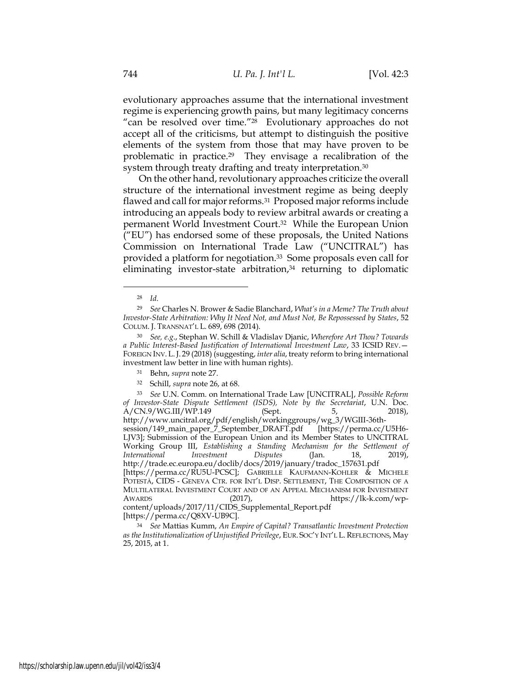evolutionary approaches assume that the international investment regime is experiencing growth pains, but many legitimacy concerns "can be resolved over time."28 Evolutionary approaches do not accept all of the criticisms, but attempt to distinguish the positive elements of the system from those that may have proven to be problematic in practice.29 They envisage a recalibration of the system through treaty drafting and treaty interpretation.<sup>30</sup>

On the other hand, revolutionary approaches criticize the overall structure of the international investment regime as being deeply flawed and call for major reforms.31 Proposed major reforms include introducing an appeals body to review arbitral awards or creating a permanent World Investment Court.32 While the European Union ("EU") has endorsed some of these proposals, the United Nations Commission on International Trade Law ("UNCITRAL") has provided a platform for negotiation.33 Some proposals even call for eliminating investor-state arbitration, <sup>34</sup> returning to diplomatic

[https://perma.cc/Q8XV-UB9C].

<sup>28</sup> *Id*.

<sup>29</sup> *See* Charles N. Brower & Sadie Blanchard, *What's in a Meme? The Truth about Investor-State Arbitration: Why It Need Not, and Must Not, Be Repossessed by States*, 52 COLUM. J. TRANSNAT'L L. 689, 698 (2014).

<sup>30</sup> *See, e.g*., Stephan W. Schill & Vladislav Djanic, *Wherefore Art Thou? Towards a Public Interest-Based Justification of International Investment Law*, 33 ICSID REV.— FOREIGN INV. L.J. 29 (2018) (suggesting, *inter alia*, treaty reform to bring international investment law better in line with human rights).

<sup>31</sup> Behn, *supra* note 27.

<sup>32</sup> Schill, *supra* note 26, at 68.

<sup>33</sup> *See* U.N. Comm. on International Trade Law [UNCITRAL], *Possible Reform of Investor-State Dispute Settlement (ISDS), Note by the Secretariat, U.N. Doc.*  $A/CN.9/WG.III/WP.149$  (Sept. 5, 2018),  $\text{A/CN.9/WG.III/WP.149}$  (Sept. 5, 2018), [http://www.uncitral.org/pdf/english/workinggroups/wg\\_3/WGIII-36th](http://www.uncitral.org/pdf/english/workinggroups/wg_3/WGIII-36th-session/149_main_paper_7_September_DRAFT.pdf)[session/149\\_main\\_paper\\_7\\_September\\_DRAFT.pdf](http://www.uncitral.org/pdf/english/workinggroups/wg_3/WGIII-36th-session/149_main_paper_7_September_DRAFT.pdf) [LJV3\]](https://perma.cc/U5H6-LJV3); Submission of the European Union and its Member States to UNCITRAL Working Group III, *Establishing a Standing Mechanism for the Settlement of International Investment Disputes* (Jan. 18, 2019), [http://trade.ec.europa.eu/doclib/docs/2019/january/tradoc\\_157631.pdf](http://trade.ec.europa.eu/doclib/docs/2019/january/tradoc_157631.pdf) [\[https://perma.cc/RU5U-PCSC\]](https://perma.cc/RU5U-PCSC); GABRIELLE KAUFMANN-KOHLER & MICHELE POTESTÀ, CIDS - GENEVA CTR. FOR INT'L DISP. SETTLEMENT, THE COMPOSITION OF A MULTILATERAL INVESTMENT COURT AND OF AN APPEAL MECHANISM FOR INVESTMENT AWARDS (2017), https://lk-k.com/wpcontent/uploads/2017/11/CIDS\_Supplemental\_Report.pdf

<sup>34</sup> *See* Mattias Kumm, *An Empire of Capital? Transatlantic Investment Protection as the Institutionalization of Unjustified Privilege*, EUR. SOC'Y INT'L L.REFLECTIONS, May 25, 2015, at 1.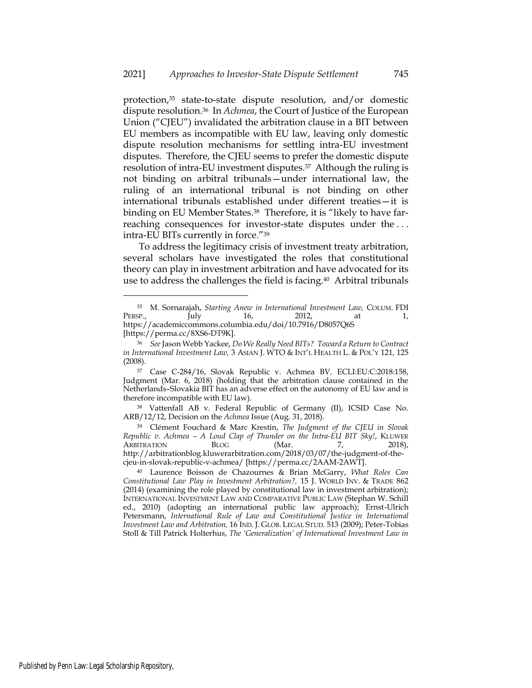protection,<sup>35</sup> state-to-state dispute resolution, and/or domestic dispute resolution.36 In *Achmea*, the Court of Justice of the European Union ("CJEU") invalidated the arbitration clause in a BIT between EU members as incompatible with EU law, leaving only domestic dispute resolution mechanisms for settling intra-EU investment disputes. Therefore, the CJEU seems to prefer the domestic dispute resolution of intra-EU investment disputes.37 Although the ruling is not binding on arbitral tribunals—under international law, the ruling of an international tribunal is not binding on other international tribunals established under different treaties—it is binding on EU Member States.<sup>38</sup> Therefore, it is "likely to have farreaching consequences for investor-state disputes under the . . . intra-EU BITs currently in force."<sup>39</sup>

To address the legitimacy crisis of investment treaty arbitration, several scholars have investigated the roles that constitutional theory can play in investment arbitration and have advocated for its use to address the challenges the field is facing.40 Arbitral tribunals

<sup>38</sup> Vattenfall AB v. Federal Republic of Germany (II), ICSID Case No. ARB/12/12, Decision on the *Achmea* Issue (Aug. 31, 2018).

<sup>39</sup> Clément Fouchard & Marc Krestin, *The Judgment of the CJEU in Slovak Republic v. Achmea – A Loud Clap of Thunder on the Intra-EU BIT Sky!*, KLUWER ARBITRATION BLOG (Mar. 7, 2018), [http://arbitrationblog.kluwerarbitration.com/2018/03/07/the-judgment-of-the](http://arbitrationblog.kluwerarbitration.com/2018/03/07/the-judgment-of-the-cjeu-in-slovak-republic-v-achmea/)[cjeu-in-slovak-republic-v-achmea/](http://arbitrationblog.kluwerarbitration.com/2018/03/07/the-judgment-of-the-cjeu-in-slovak-republic-v-achmea/) [https://perma.cc/2AAM-2AWT].

<sup>35</sup> M. Sornarajah, *Starting Anew in International Investment Law,* COLUM. FDI PERSP., July 16, 2012, at 1, https://academiccommons.columbia.edu/doi/10.7916/D8057Q6S [https://perma.cc/8XS6-DT9K].

<sup>36</sup> *See* Jason Webb Yackee, *Do We Really Need BITs? Toward a Return to Contract in International Investment Law,* 3 ASIAN J. WTO & INT'L HEALTH L. & POL'Y 121, 125 (2008).

<sup>37</sup> Case C-284/16, Slovak Republic v. Achmea BV*,* ECLI:EU:C:2018:158, Judgment (Mar. 6, 2018) (holding that the arbitration clause contained in the Netherlands–Slovakia BIT has an adverse effect on the autonomy of EU law and is therefore incompatible with EU law).

<sup>40</sup> Laurence Boisson de Chazournes & Brian McGarry, *What Roles Can Constitutional Law Play in Investment Arbitration?,* 15 J. WORLD INV. & TRADE 862 (2014) (examining the role played by constitutional law in investment arbitration); INTERNATIONAL INVESTMENT LAW AND COMPARATIVE PUBLIC LAW (Stephan W. Schill ed., 2010) (adopting an international public law approach); Ernst-Ulrich Petersmann, *International Rule of Law and Constitutional Justice in International Investment Law and Arbitration,* 16 IND. J. GLOB. LEGAL STUD. 513 (2009); Peter-Tobias Stoll & Till Patrick Holterhus, *The 'Generalization' of International Investment Law in*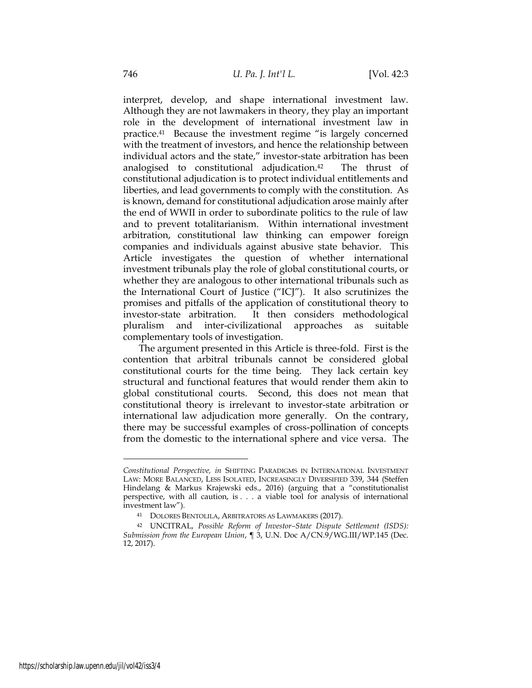interpret, develop, and shape international investment law. Although they are not lawmakers in theory, they play an important role in the development of international investment law in practice.<sup>41</sup> Because the investment regime "is largely concerned with the treatment of investors, and hence the relationship between individual actors and the state," investor-state arbitration has been analogised to constitutional adjudication.42 The thrust of constitutional adjudication is to protect individual entitlements and liberties, and lead governments to comply with the constitution. As is known, demand for constitutional adjudication arose mainly after the end of WWII in order to subordinate politics to the rule of law and to prevent totalitarianism. Within international investment arbitration, constitutional law thinking can empower foreign companies and individuals against abusive state behavior. This Article investigates the question of whether international investment tribunals play the role of global constitutional courts, or whether they are analogous to other international tribunals such as the International Court of Justice ("ICJ"). It also scrutinizes the promises and pitfalls of the application of constitutional theory to investor-state arbitration. It then considers methodological pluralism and inter-civilizational approaches as suitable complementary tools of investigation.

The argument presented in this Article is three-fold. First is the contention that arbitral tribunals cannot be considered global constitutional courts for the time being. They lack certain key structural and functional features that would render them akin to global constitutional courts. Second, this does not mean that constitutional theory is irrelevant to investor-state arbitration or international law adjudication more generally. On the contrary, there may be successful examples of cross-pollination of concepts from the domestic to the international sphere and vice versa. The

*Constitutional Perspective, in* SHIFTING PARADIGMS IN INTERNATIONAL INVESTMENT LAW: MORE BALANCED, LESS ISOLATED, INCREASINGLY DIVERSIFIED 339, 344 (Steffen Hindelang & Markus Krajewski eds., 2016) (arguing that a "constitutionalist perspective, with all caution, is . . . a viable tool for analysis of international investment law").

<sup>41</sup> DOLORES BENTOLILA, ARBITRATORS AS LAWMAKERS (2017).

<sup>42</sup> UNCITRAL, *Possible Reform of Investor–State Dispute Settlement (ISDS): Submission from the European Union*, ¶ 3, U.N. Doc A/CN.9/WG.III/WP.145 (Dec. 12, 2017).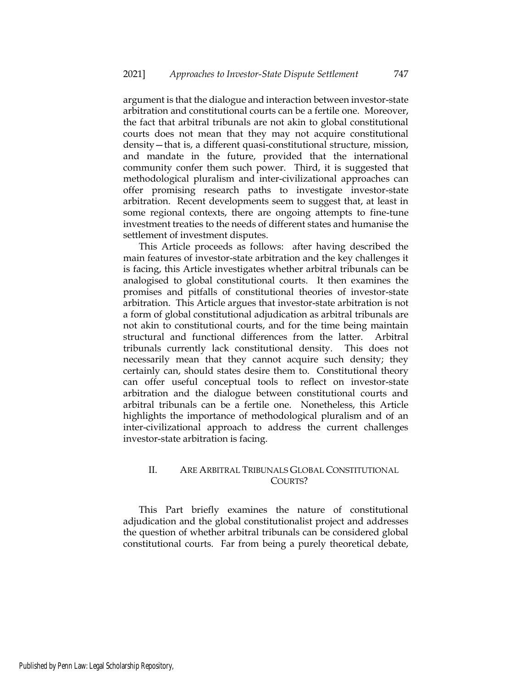argument is that the dialogue and interaction between investor-state arbitration and constitutional courts can be a fertile one. Moreover, the fact that arbitral tribunals are not akin to global constitutional courts does not mean that they may not acquire constitutional density—that is, a different quasi-constitutional structure, mission, and mandate in the future, provided that the international community confer them such power. Third, it is suggested that methodological pluralism and inter-civilizational approaches can offer promising research paths to investigate investor-state arbitration. Recent developments seem to suggest that, at least in some regional contexts, there are ongoing attempts to fine-tune investment treaties to the needs of different states and humanise the settlement of investment disputes.

This Article proceeds as follows: after having described the main features of investor-state arbitration and the key challenges it is facing, this Article investigates whether arbitral tribunals can be analogised to global constitutional courts. It then examines the promises and pitfalls of constitutional theories of investor-state arbitration. This Article argues that investor-state arbitration is not a form of global constitutional adjudication as arbitral tribunals are not akin to constitutional courts, and for the time being maintain structural and functional differences from the latter. Arbitral tribunals currently lack constitutional density. This does not necessarily mean that they cannot acquire such density; they certainly can, should states desire them to. Constitutional theory can offer useful conceptual tools to reflect on investor-state arbitration and the dialogue between constitutional courts and arbitral tribunals can be a fertile one. Nonetheless, this Article highlights the importance of methodological pluralism and of an inter-civilizational approach to address the current challenges investor-state arbitration is facing.

# II. ARE ARBITRAL TRIBUNALS GLOBAL CONSTITUTIONAL COURTS?

This Part briefly examines the nature of constitutional adjudication and the global constitutionalist project and addresses the question of whether arbitral tribunals can be considered global constitutional courts. Far from being a purely theoretical debate,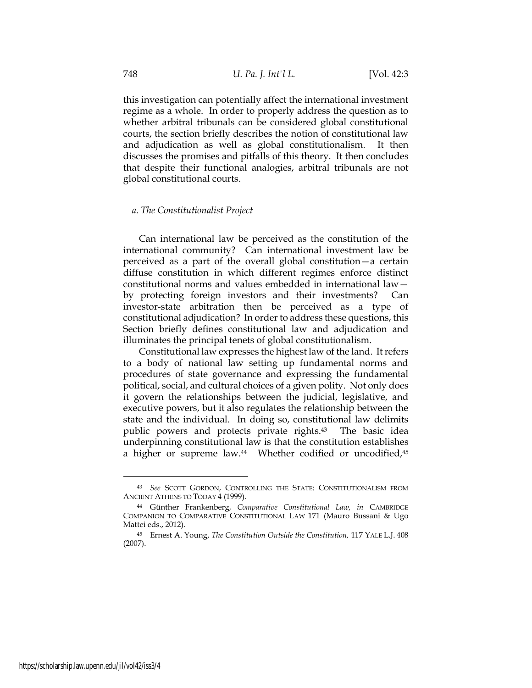this investigation can potentially affect the international investment regime as a whole. In order to properly address the question as to whether arbitral tribunals can be considered global constitutional courts, the section briefly describes the notion of constitutional law and adjudication as well as global constitutionalism. It then discusses the promises and pitfalls of this theory. It then concludes that despite their functional analogies, arbitral tribunals are not global constitutional courts.

#### *a. The Constitutionalist Project*

Can international law be perceived as the constitution of the international community? Can international investment law be perceived as a part of the overall global constitution—a certain diffuse constitution in which different regimes enforce distinct constitutional norms and values embedded in international law by protecting foreign investors and their investments? Can investor-state arbitration then be perceived as a type of constitutional adjudication? In order to address these questions, this Section briefly defines constitutional law and adjudication and illuminates the principal tenets of global constitutionalism.

Constitutional law expresses the highest law of the land. It refers to a body of national law setting up fundamental norms and procedures of state governance and expressing the fundamental political, social, and cultural choices of a given polity. Not only does it govern the relationships between the judicial, legislative, and executive powers, but it also regulates the relationship between the state and the individual. In doing so, constitutional law delimits public powers and protects private rights.43 The basic idea underpinning constitutional law is that the constitution establishes a higher or supreme law.<sup>44</sup> Whether codified or uncodified,<sup>45</sup>

<sup>43</sup> *See* SCOTT GORDON, CONTROLLING THE STATE: CONSTITUTIONALISM FROM ANCIENT ATHENS TO TODAY 4 (1999).

<sup>44</sup> Günther Frankenberg, *Comparative Constitutional Law, in* CAMBRIDGE COMPANION TO COMPARATIVE CONSTITUTIONAL LAW 171 (Mauro Bussani & Ugo Mattei eds., 2012).

<sup>45</sup> Ernest A. Young, *The Constitution Outside the Constitution,* 117 YALE L.J. 408 (2007).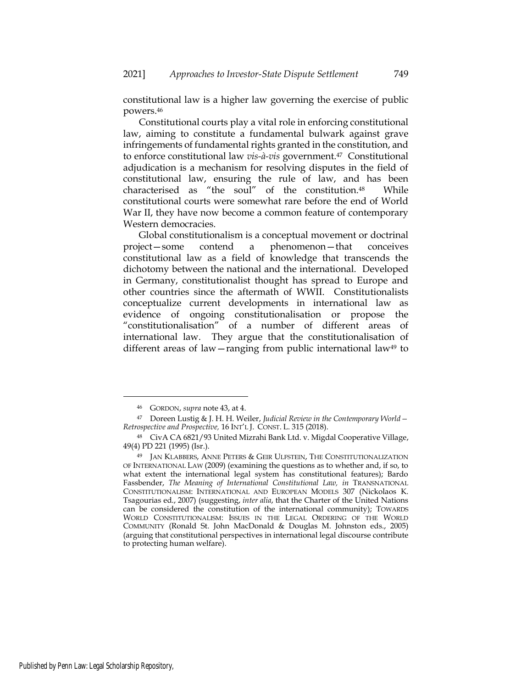constitutional law is a higher law governing the exercise of public powers.<sup>46</sup>

Constitutional courts play a vital role in enforcing constitutional law, aiming to constitute a fundamental bulwark against grave infringements of fundamental rights granted in the constitution, and to enforce constitutional law *vis-à-vis* government.47 Constitutional adjudication is a mechanism for resolving disputes in the field of constitutional law, ensuring the rule of law, and has been characterised as "the soul" of the constitution.48 While constitutional courts were somewhat rare before the end of World War II, they have now become a common feature of contemporary Western democracies.

Global constitutionalism is a conceptual movement or doctrinal project—some contend a phenomenon—that conceives constitutional law as a field of knowledge that transcends the dichotomy between the national and the international. Developed in Germany, constitutionalist thought has spread to Europe and other countries since the aftermath of WWII. Constitutionalists conceptualize current developments in international law as evidence of ongoing constitutionalisation or propose the "constitutionalisation" of a number of different areas of international law. They argue that the constitutionalisation of different areas of law—ranging from public international law<sup>49</sup> to

<sup>46</sup> GORDON, *supra* note 43, at 4.

<sup>47</sup> Doreen Lustig & J. H. H. Weiler, *Judicial Review in the Contemporary World— Retrospective and Prospective,* 16 INT'L J. CONST. L. 315 (2018).

<sup>48</sup> CivA CA 6821/93 United Mizrahi Bank Ltd. v. Migdal Cooperative Village, 49(4) PD 221 (1995) (Isr.).

<sup>49</sup> JAN KLABBERS, ANNE PETERS & GEIR ULFSTEIN, THE CONSTITUTIONALIZATION OF INTERNATIONAL LAW (2009) (examining the questions as to whether and, if so, to what extent the international legal system has constitutional features); Bardo Fassbender, *The Meaning of International Constitutional Law*, *in* TRANSNATIONAL CONSTITUTIONALISM: INTERNATIONAL AND EUROPEAN MODELS 307 (Nickolaos K. Tsagourias ed., 2007) (suggesting, *inter alia*, that the Charter of the United Nations can be considered the constitution of the international community); TOWARDS WORLD CONSTITUTIONALISM: ISSUES IN THE LEGAL ORDERING OF THE WORLD COMMUNITY (Ronald St. John MacDonald & Douglas M. Johnston eds., 2005) (arguing that constitutional perspectives in international legal discourse contribute to protecting human welfare).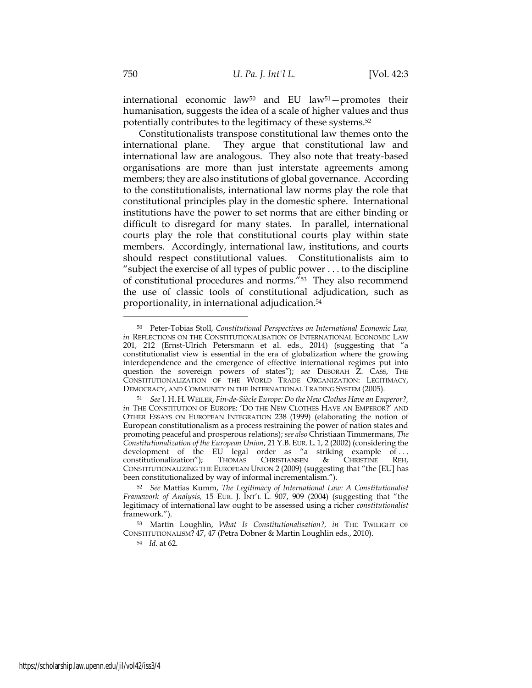international economic law<sup>50</sup> and EU law<sup>51</sup>-promotes their humanisation, suggests the idea of a scale of higher values and thus potentially contributes to the legitimacy of these systems.<sup>52</sup>

Constitutionalists transpose constitutional law themes onto the international plane. They argue that constitutional law and international law are analogous. They also note that treaty-based organisations are more than just interstate agreements among members; they are also institutions of global governance. According to the constitutionalists, international law norms play the role that constitutional principles play in the domestic sphere. International institutions have the power to set norms that are either binding or difficult to disregard for many states. In parallel, international courts play the role that constitutional courts play within state members. Accordingly, international law, institutions, and courts should respect constitutional values. Constitutionalists aim to "subject the exercise of all types of public power . . . to the discipline of constitutional procedures and norms."53 They also recommend the use of classic tools of constitutional adjudication, such as proportionality, in international adjudication.<sup>54</sup>

<sup>54</sup> *Id.* at 62.

<sup>50</sup> Peter-Tobias Stoll, *Constitutional Perspectives on International Economic Law, in* REFLECTIONS ON THE CONSTITUTIONALISATION OF INTERNATIONAL ECONOMIC LAW 201, 212 (Ernst-Ulrich Petersmann et al. eds., 2014) (suggesting that "a constitutionalist view is essential in the era of globalization where the growing interdependence and the emergence of effective international regimes put into question the sovereign powers of states"); *see* DEBORAH Z. CASS, THE CONSTITUTIONALIZATION OF THE WORLD TRADE ORGANIZATION: LEGITIMACY, DEMOCRACY, AND COMMUNITY IN THE INTERNATIONAL TRADING SYSTEM (2005).

<sup>51</sup> *See* J. H. H.WEILER, *Fin-de-Siècle Europe: Do the New Clothes Have an Emperor?, in* THE CONSTITUTION OF EUROPE: 'DO THE NEW CLOTHES HAVE AN EMPEROR?' AND OTHER ESSAYS ON EUROPEAN INTEGRATION 238 (1999) (elaborating the notion of European constitutionalism as a process restraining the power of nation states and promoting peaceful and prosperous relations); *see also* Christiaan Timmermans, *The Constitutionalization of the European Union*, 21 Y.B. EUR. L. 1, 2 (2002) (considering the development of the EU legal order as "a striking example of . . . constitutionalization"); THOMAS CHRISTIANSEN & CHRISTINE REH, CONSTITUTIONALIZING THE EUROPEAN UNION 2 (2009) (suggesting that "the [EU] has been constitutionalized by way of informal incrementalism.").

<sup>52</sup> *See* Mattias Kumm, *The Legitimacy of International Law: A Constitutionalist Framework of Analysis,* 15 EUR. J. INT'L L. 907, 909 (2004) (suggesting that "the legitimacy of international law ought to be assessed using a richer *constitutionalist* framework.").

<sup>53</sup> Martin Loughlin, *What Is Constitutionalisation?, in* THE TWILIGHT OF CONSTITUTIONALISM? 47, 47 (Petra Dobner & Martin Loughlin eds., 2010).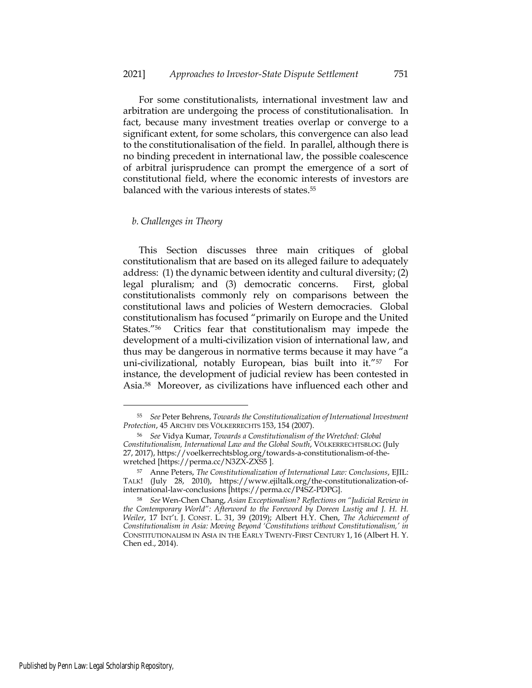For some constitutionalists, international investment law and arbitration are undergoing the process of constitutionalisation. In fact, because many investment treaties overlap or converge to a significant extent, for some scholars, this convergence can also lead to the constitutionalisation of the field. In parallel, although there is no binding precedent in international law, the possible coalescence of arbitral jurisprudence can prompt the emergence of a sort of constitutional field, where the economic interests of investors are balanced with the various interests of states.<sup>55</sup>

#### *b. Challenges in Theory*

This Section discusses three main critiques of global constitutionalism that are based on its alleged failure to adequately address: (1) the dynamic between identity and cultural diversity; (2) legal pluralism; and (3) democratic concerns. First, global constitutionalists commonly rely on comparisons between the constitutional laws and policies of Western democracies. Global constitutionalism has focused "primarily on Europe and the United States."56 Critics fear that constitutionalism may impede the development of a multi-civilization vision of international law, and thus may be dangerous in normative terms because it may have "a uni-civilizational, notably European, bias built into it."57 For instance, the development of judicial review has been contested in Asia.58 Moreover, as civilizations have influenced each other and

<sup>55</sup> *See* Peter Behrens, *Towards the Constitutionalization of International Investment Protection*, 45 ARCHIV DES VÖLKERRECHTS 153, 154 (2007).

<sup>56</sup> *See* Vidya Kumar, *Towards a Constitutionalism of the Wretched: Global Constitutionalism, International Law and the Global South*, VÖLKERRECHTSBLOG (July 27, 2017), [https://voelkerrechtsblog.org/towards-a-constitutionalism-of-the](https://voelkerrechtsblog.org/towards-a-constitutionalism-of-the-wretched/)[wretched](https://voelkerrechtsblog.org/towards-a-constitutionalism-of-the-wretched/) [https://perma.cc/N3ZX-ZXS5 ].

<sup>57</sup> Anne Peters, *The Constitutionalization of International Law: Conclusions*, EJIL: TALK! (July 28, 2010), https://www.ejiltalk.org/the-constitutionalization-ofinternational-law-conclusions [https://perma.cc/P4SZ-PDPG].

<sup>58</sup> *See* Wen-Chen Chang, *Asian Exceptionalism? Reflections on "Judicial Review in the Contemporary World": Afterword to the Foreword by Doreen Lustig and J. H. H. Weiler*, 17 INT'L J. CONST. L. 31, 39 (2019); Albert H.Y. Chen, *The Achievement of Constitutionalism in Asia: Moving Beyond 'Constitutions without Constitutionalism,' in*  CONSTITUTIONALISM IN ASIA IN THE EARLY TWENTY-FIRST CENTURY 1, 16 (Albert H. Y. Chen ed., 2014).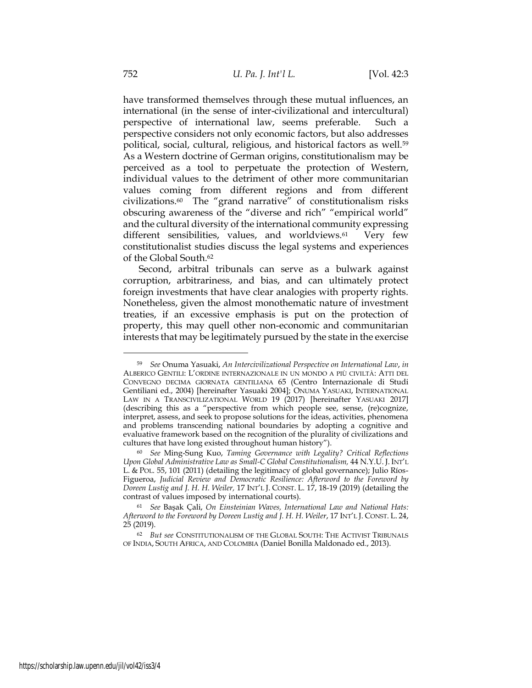have transformed themselves through these mutual influences, an international (in the sense of inter-civilizational and intercultural) perspective of international law, seems preferable. Such a perspective considers not only economic factors, but also addresses political, social, cultural, religious, and historical factors as well.<sup>59</sup> As a Western doctrine of German origins, constitutionalism may be perceived as a tool to perpetuate the protection of Western, individual values to the detriment of other more communitarian values coming from different regions and from different civilizations.60 The "grand narrative" of constitutionalism risks obscuring awareness of the "diverse and rich" "empirical world" and the cultural diversity of the international community expressing different sensibilities, values, and worldviews.<sup>61</sup> Very few constitutionalist studies discuss the legal systems and experiences of the Global South. 62

Second, arbitral tribunals can serve as a bulwark against corruption, arbitrariness, and bias, and can ultimately protect foreign investments that have clear analogies with property rights. Nonetheless, given the almost monothematic nature of investment treaties, if an excessive emphasis is put on the protection of property, this may quell other non-economic and communitarian interests that may be legitimately pursued by the state in the exercise

<sup>59</sup> *See* Onuma Yasuaki, *An Intercivilizational Perspective on International Law*, *in*  ALBERICO GENTILI: L'ORDINE INTERNAZIONALE IN UN MONDO A PIÙ CIVILTÀ: ATTI DEL CONVEGNO DECIMA GIORNATA GENTILIANA 65 (Centro Internazionale di Studi Gentiliani ed., 2004) [hereinafter Yasuaki 2004]; ONUMA YASUAKI, INTERNATIONAL LAW IN A TRANSCIVILIZATIONAL WORLD 19 (2017) [hereinafter YASUAKI 2017] (describing this as a "perspective from which people see, sense, (re)cognize, interpret, assess, and seek to propose solutions for the ideas, activities, phenomena and problems transcending national boundaries by adopting a cognitive and evaluative framework based on the recognition of the plurality of civilizations and cultures that have long existed throughout human history").

<sup>60</sup> *See* Ming-Sung Kuo, *Taming Governance with Legality? Critical Reflections Upon Global Administrative Law as Small-C Global Constitutionalism,* 44 N.Y.U. J. INT'L L. & POL. 55, 101 (2011) (detailing the legitimacy of global governance); Julio Ríos-Figueroa, *Judicial Review and Democratic Resilience: Afterword to the Foreword by Doreen Lustig and J. H. H. Weiler,* 17 INT'L J. CONST. L. 17, 18-19 (2019) (detailing the contrast of values imposed by international courts).

<sup>61</sup> *See* Başak Çali, *On Einsteinian Waves, International Law and National Hats: Afterword to the Foreword by Doreen Lustig and J. H. H. Weiler*, 17 INT'L J. CONST. L. 24, 25 (2019).

<sup>62</sup> *But see* CONSTITUTIONALISM OF THE GLOBAL SOUTH: THE ACTIVIST TRIBUNALS OF INDIA, SOUTH AFRICA, AND COLOMBIA (Daniel Bonilla Maldonado ed., 2013).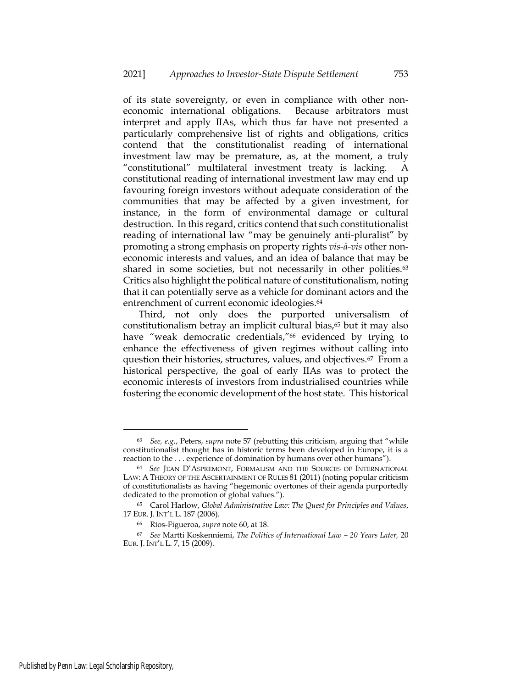of its state sovereignty, or even in compliance with other noneconomic international obligations. Because arbitrators must interpret and apply IIAs, which thus far have not presented a particularly comprehensive list of rights and obligations, critics contend that the constitutionalist reading of international investment law may be premature, as, at the moment, a truly "constitutional" multilateral investment treaty is lacking. constitutional reading of international investment law may end up favouring foreign investors without adequate consideration of the communities that may be affected by a given investment, for instance, in the form of environmental damage or cultural destruction. In this regard, critics contend that such constitutionalist reading of international law "may be genuinely anti-pluralist" by promoting a strong emphasis on property rights *vis-à-vis* other noneconomic interests and values, and an idea of balance that may be shared in some societies, but not necessarily in other polities.<sup>63</sup> Critics also highlight the political nature of constitutionalism, noting that it can potentially serve as a vehicle for dominant actors and the entrenchment of current economic ideologies.<sup>64</sup>

Third, not only does the purported universalism of constitutionalism betray an implicit cultural bias,<sup>65</sup> but it may also have "weak democratic credentials,"<sup>66</sup> evidenced by trying to enhance the effectiveness of given regimes without calling into question their histories, structures, values, and objectives.67 From a historical perspective, the goal of early IIAs was to protect the economic interests of investors from industrialised countries while fostering the economic development of the host state. This historical

<sup>63</sup> *See, e.g.*, Peters, *supra* note 57 (rebutting this criticism, arguing that "while constitutionalist thought has in historic terms been developed in Europe, it is a reaction to the . . . experience of domination by humans over other humans").

<sup>64</sup> *See* JEAN D'ASPREMONT, FORMALISM AND THE SOURCES OF INTERNATIONAL LAW: A THEORY OF THE ASCERTAINMENT OF RULES 81 (2011) (noting popular criticism of constitutionalists as having "hegemonic overtones of their agenda purportedly dedicated to the promotion of global values.").

<sup>65</sup> Carol Harlow, *Global Administrative Law: The Quest for Principles and Values*, 17 EUR. J. INT'L L. 187 (2006).

<sup>66</sup> Ríos-Figueroa, *supra* note 60, at 18.

<sup>67</sup> *See* Martti Koskenniemi, *The Politics of International Law – 20 Years Later,* 20 EUR. J. INT'L L. 7, 15 (2009).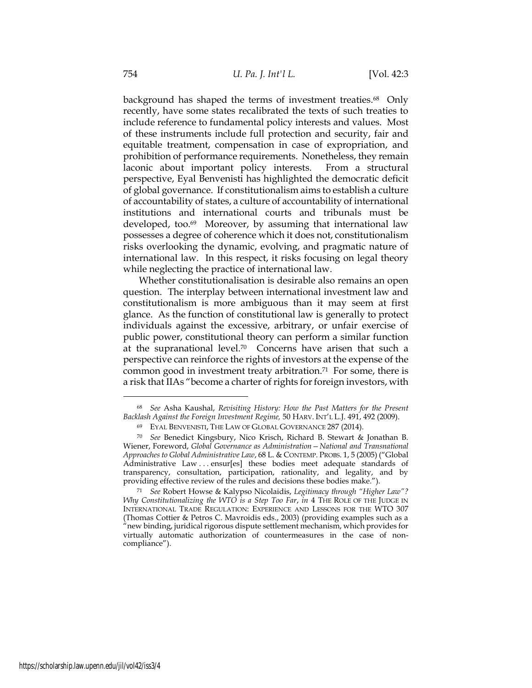background has shaped the terms of investment treaties.<sup>68</sup> Only recently, have some states recalibrated the texts of such treaties to include reference to fundamental policy interests and values. Most of these instruments include full protection and security, fair and equitable treatment, compensation in case of expropriation, and prohibition of performance requirements. Nonetheless, they remain laconic about important policy interests. From a structural perspective, Eyal Benvenisti has highlighted the democratic deficit of global governance. If constitutionalism aims to establish a culture of accountability of states, a culture of accountability of international institutions and international courts and tribunals must be developed, too.<sup>69</sup> Moreover, by assuming that international law possesses a degree of coherence which it does not, constitutionalism risks overlooking the dynamic, evolving, and pragmatic nature of international law. In this respect, it risks focusing on legal theory while neglecting the practice of international law.

Whether constitutionalisation is desirable also remains an open question. The interplay between international investment law and constitutionalism is more ambiguous than it may seem at first glance. As the function of constitutional law is generally to protect individuals against the excessive, arbitrary, or unfair exercise of public power, constitutional theory can perform a similar function at the supranational level.<sup>70</sup> Concerns have arisen that such a perspective can reinforce the rights of investors at the expense of the common good in investment treaty arbitration.71 For some, there is a risk that IIAs "become a charter of rights for foreign investors, with

<sup>68</sup> *See* Asha Kaushal, *Revisiting History: How the Past Matters for the Present Backlash Against the Foreign Investment Regime,* 50 HARV. INT'L L.J. 491, 492 (2009).

<sup>69</sup> EYAL BENVENISTI, THE LAW OF GLOBAL GOVERNANCE 287 (2014).

<sup>70</sup> *See* Benedict Kingsbury, Nico Krisch, Richard B. Stewart & Jonathan B. Wiener, Foreword, *Global Governance as Administration—National and Transnational Approaches to Global Administrative Law*, 68 L. & CONTEMP. PROBS. 1, 5 (2005) ("Global Administrative Law . . . ensur[es] these bodies meet adequate standards of transparency, consultation, participation, rationality, and legality, and by providing effective review of the rules and decisions these bodies make.").

<sup>71</sup> *See* Robert Howse & Kalypso Nicolaidis, *Legitimacy through "Higher Law"? Why Constitutionalizing the WTO is a Step Too Far, in* 4 THE ROLE OF THE JUDGE IN INTERNATIONAL TRADE REGULATION: EXPERIENCE AND LESSONS FOR THE WTO 307 (Thomas Cottier & Petros C. Mavroidis eds., 2003) (providing examples such as a "new binding, juridical rigorous dispute settlement mechanism, which provides for virtually automatic authorization of countermeasures in the case of noncompliance").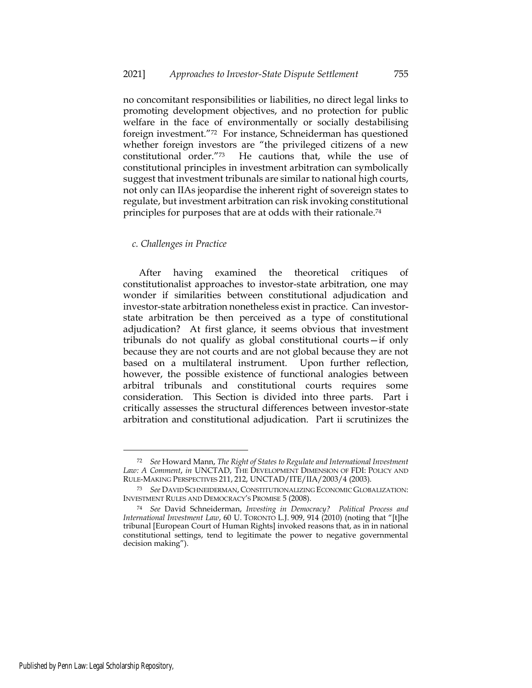no concomitant responsibilities or liabilities, no direct legal links to promoting development objectives, and no protection for public welfare in the face of environmentally or socially destabilising foreign investment."72 For instance, Schneiderman has questioned whether foreign investors are "the privileged citizens of a new constitutional order."73 He cautions that, while the use of constitutional principles in investment arbitration can symbolically suggest that investment tribunals are similar to national high courts, not only can IIAs jeopardise the inherent right of sovereign states to regulate, but investment arbitration can risk invoking constitutional principles for purposes that are at odds with their rationale.<sup>74</sup>

## *c. Challenges in Practice*

After having examined the theoretical critiques of constitutionalist approaches to investor-state arbitration, one may wonder if similarities between constitutional adjudication and investor-state arbitration nonetheless exist in practice. Can investorstate arbitration be then perceived as a type of constitutional adjudication? At first glance, it seems obvious that investment tribunals do not qualify as global constitutional courts—if only because they are not courts and are not global because they are not based on a multilateral instrument. Upon further reflection, however, the possible existence of functional analogies between arbitral tribunals and constitutional courts requires some consideration. This Section is divided into three parts. Part i critically assesses the structural differences between investor-state arbitration and constitutional adjudication. Part ii scrutinizes the

<sup>72</sup> *See* Howard Mann, *The Right of States to Regulate and International Investment*  Law: A Comment, in UNCTAD, THE DEVELOPMENT DIMENSION OF FDI: POLICY AND RULE-MAKING PERSPECTIVES 211, 212, UNCTAD/ITE/IIA/2003/4 (2003).

<sup>73</sup> *See* DAVID SCHNEIDERMAN, CONSTITUTIONALIZING ECONOMIC GLOBALIZATION: INVESTMENT RULES AND DEMOCRACY'S PROMISE 5 (2008).

<sup>74</sup> *See* David Schneiderman, *Investing in Democracy? Political Process and International Investment Law*, 60 U. TORONTO L.J. 909, 914 (2010) (noting that "[t]he tribunal [European Court of Human Rights] invoked reasons that, as in in national constitutional settings, tend to legitimate the power to negative governmental decision making").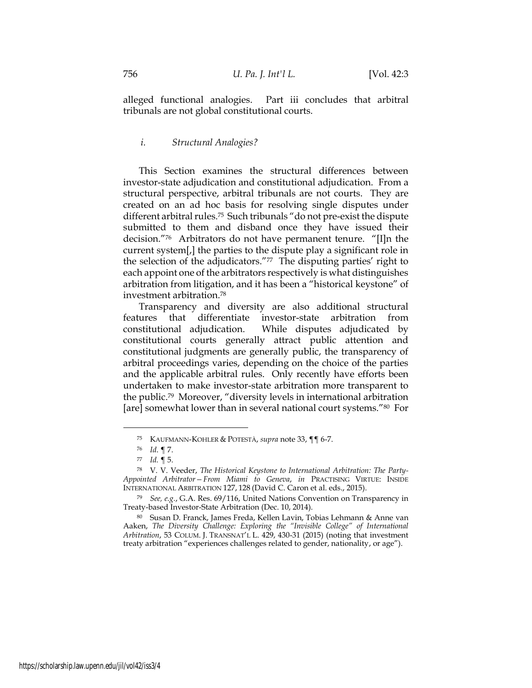alleged functional analogies. Part iii concludes that arbitral tribunals are not global constitutional courts.

# *i. Structural Analogies?*

This Section examines the structural differences between investor-state adjudication and constitutional adjudication. From a structural perspective, arbitral tribunals are not courts. They are created on an ad hoc basis for resolving single disputes under different arbitral rules.<sup>75</sup> Such tribunals "do not pre-exist the dispute submitted to them and disband once they have issued their decision."76 Arbitrators do not have permanent tenure. "[I]n the current system[,] the parties to the dispute play a significant role in the selection of the adjudicators."77 The disputing parties' right to each appoint one of the arbitrators respectively is what distinguishes arbitration from litigation, and it has been a "historical keystone" of investment arbitration.<sup>78</sup>

Transparency and diversity are also additional structural features that differentiate investor-state arbitration from constitutional adjudication. While disputes adjudicated by constitutional courts generally attract public attention and constitutional judgments are generally public, the transparency of arbitral proceedings varies, depending on the choice of the parties and the applicable arbitral rules. Only recently have efforts been undertaken to make investor-state arbitration more transparent to the public.<sup>79</sup> Moreover, "diversity levels in international arbitration [are] somewhat lower than in several national court systems."<sup>80</sup> For

<sup>75</sup> KAUFMANN-KOHLER & POTESTÀ, *supra* note 33, ¶¶ 6-7.

<sup>76</sup> *Id*. ¶ 7.

<sup>77</sup> *Id.* ¶ 5.

<sup>78</sup> V. V. Veeder, *The Historical Keystone to International Arbitration: The Party-Appointed Arbitrator—From Miami to Geneva*, *in* PRACTISING VIRTUE: INSIDE INTERNATIONAL ARBITRATION 127, 128 (David C. Caron et al. eds., 2015).

<sup>79</sup> *See, e.g.*, G.A. Res. 69/116, United Nations Convention on Transparency in Treaty-based Investor-State Arbitration (Dec. 10, 2014).

<sup>80</sup> Susan D. Franck, James Freda, Kellen Lavin, Tobias Lehmann & Anne van Aaken, *The Diversity Challenge: Exploring the "Invisible College" of International Arbitration*, 53 COLUM. J. TRANSNAT'L L. 429, 430-31 (2015) (noting that investment treaty arbitration "experiences challenges related to gender, nationality, or age").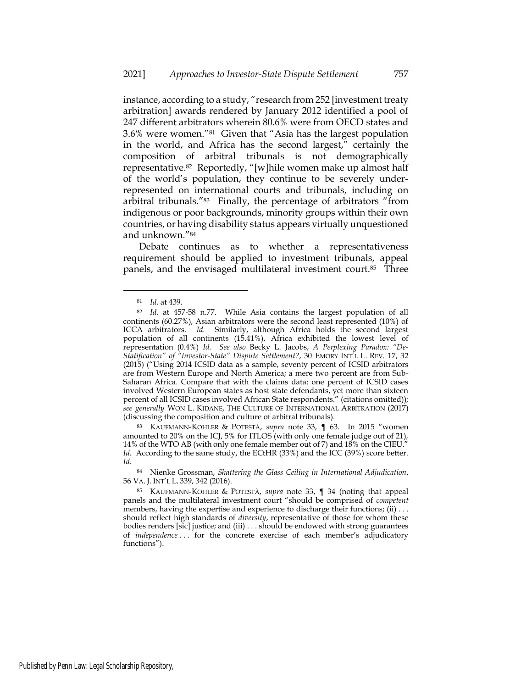instance, according to a study, "research from 252 [investment treaty arbitration] awards rendered by January 2012 identified a pool of 247 different arbitrators wherein 80.6% were from OECD states and 3.6% were women."<sup>81</sup> Given that "Asia has the largest population in the world, and Africa has the second largest," certainly the composition of arbitral tribunals is not demographically representative.<sup>82</sup> Reportedly, "[w]hile women make up almost half of the world's population, they continue to be severely underrepresented on international courts and tribunals, including on arbitral tribunals."<sup>83</sup> Finally, the percentage of arbitrators "from indigenous or poor backgrounds, minority groups within their own countries, or having disability status appears virtually unquestioned and unknown."<sup>84</sup>

Debate continues as to whether a representativeness requirement should be applied to investment tribunals, appeal panels, and the envisaged multilateral investment court.<sup>85</sup> Three

<sup>83</sup> KAUFMANN-KOHLER & POTESTÀ, *supra* note 33, ¶ 63. In 2015 "women amounted to 20% on the ICJ, 5% for ITLOS (with only one female judge out of 21), 14% of the WTO AB (with only one female member out of 7) and 18% on the CJEU." *Id.* According to the same study, the ECtHR (33%) and the ICC (39%) score better. *Id.*

<sup>84</sup> Nienke Grossman, *Shattering the Glass Ceiling in International Adjudication*, 56 VA. J. INT'L L. 339, 342 (2016).

<sup>81</sup> *Id.* at 439.

<sup>82</sup> *Id.* at 457-58 n.77. While Asia contains the largest population of all continents (60.27%), Asian arbitrators were the second least represented (10%) of ICCA arbitrators. *Id.* Similarly, although Africa holds the second largest population of all continents (15.41%), Africa exhibited the lowest level of representation (0.4%) *Id. See also* Becky L. Jacobs, *A Perplexing Paradox: "De-Statification" of "Investor-State" Dispute Settlement?*, 30 EMORY INT'L L. REV. 17, 32 (2015) ("Using 2014 ICSID data as a sample, seventy percent of ICSID arbitrators are from Western Europe and North America; a mere two percent are from Sub-Saharan Africa. Compare that with the claims data: one percent of ICSID cases involved Western European states as host state defendants, yet more than sixteen percent of all ICSID cases involved African State respondents." (citations omitted))*; see generally* WON L. KIDANE, THE CULTURE OF INTERNATIONAL ARBITRATION (2017) (discussing the composition and culture of arbitral tribunals).

<sup>85</sup> KAUFMANN-KOHLER & POTESTÀ, *supra* note 33, ¶ 34 (noting that appeal panels and the multilateral investment court "should be comprised of *competent* members, having the expertise and experience to discharge their functions; (ii) ... should reflect high standards of *diversity*, representative of those for whom these bodies renders [sic] justice; and (iii) . . . should be endowed with strong guarantees of *independence* . . . for the concrete exercise of each member's adjudicatory functions").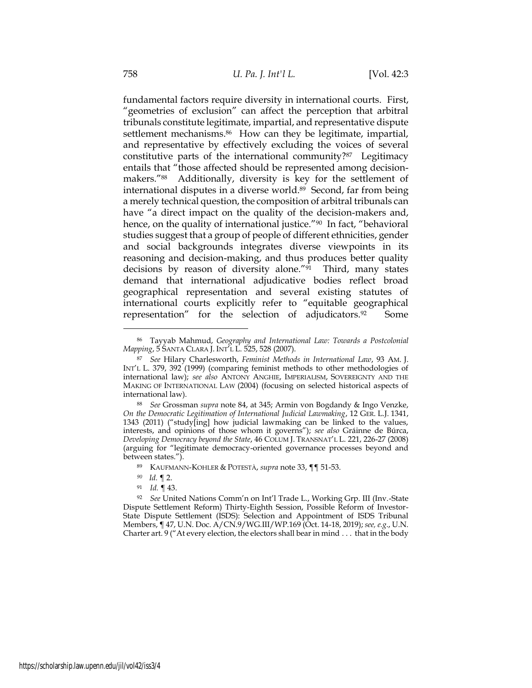fundamental factors require diversity in international courts. First, "geometries of exclusion" can affect the perception that arbitral tribunals constitute legitimate, impartial, and representative dispute settlement mechanisms.<sup>86</sup> How can they be legitimate, impartial, and representative by effectively excluding the voices of several constitutive parts of the international community?<sup>87</sup> Legitimacy entails that "those affected should be represented among decisionmakers."<sup>88</sup> Additionally, diversity is key for the settlement of international disputes in a diverse world.89 Second, far from being a merely technical question, the composition of arbitral tribunals can have "a direct impact on the quality of the decision-makers and, hence, on the quality of international justice."<sup>90</sup> In fact, "behavioral studies suggest that a group of people of different ethnicities, gender and social backgrounds integrates diverse viewpoints in its reasoning and decision-making, and thus produces better quality decisions by reason of diversity alone."<sup>91</sup> Third, many states demand that international adjudicative bodies reflect broad geographical representation and several existing statutes of international courts explicitly refer to "equitable geographical representation" for the selection of adjudicators.<sup>92</sup> Some

<sup>86</sup> Tayyab Mahmud, *Geography and International Law: Towards a Postcolonial Mapping*, 5 SANTA CLARA J. INT'L L. 525, 528 (2007).

<sup>87</sup> *See* Hilary Charlesworth, *Feminist Methods in International Law*, 93 AM. J. INT'L L. 379, 392 (1999) (comparing feminist methods to other methodologies of international law); *see also* ANTONY ANGHIE, IMPERIALISM, SOVEREIGNTY AND THE MAKING OF INTERNATIONAL LAW (2004) (focusing on selected historical aspects of international law).

<sup>88</sup> *See* Grossman *supra* note 84, at 345; Armin von Bogdandy & Ingo Venzke, *On the Democratic Legitimation of International Judicial Lawmaking*, 12 GER. L.J. 1341, 1343 (2011) ("study[ing] how judicial lawmaking can be linked to the values, interests, and opinions of those whom it governs"); *see also* Gráinne de Búrca, *Developing Democracy beyond the State*, 46 COLUM J. TRANSNAT'L L. 221, 226-27 (2008) (arguing for "legitimate democracy-oriented governance processes beyond and between states.").

<sup>89</sup> KAUFMANN-KOHLER & POTESTÀ, *supra* note 33, ¶¶ 51-53.

*<sup>90</sup> Id.* ¶ 2.

<sup>91</sup> *Id.* ¶ 43.

<sup>92</sup> *See* United Nations Comm'n on Int'l Trade L., Working Grp. III (Inv.-State Dispute Settlement Reform) Thirty-Eighth Session, Possible Reform of Investor-State Dispute Settlement (ISDS): Selection and Appointment of ISDS Tribunal Members, ¶ 47, U.N. Doc. A/CN.9/WG.III/WP.169 (Oct. 14-18, 2019); *see, e.g*., U.N. Charter art. 9 ("At every election, the electors shall bear in mind . . . that in the body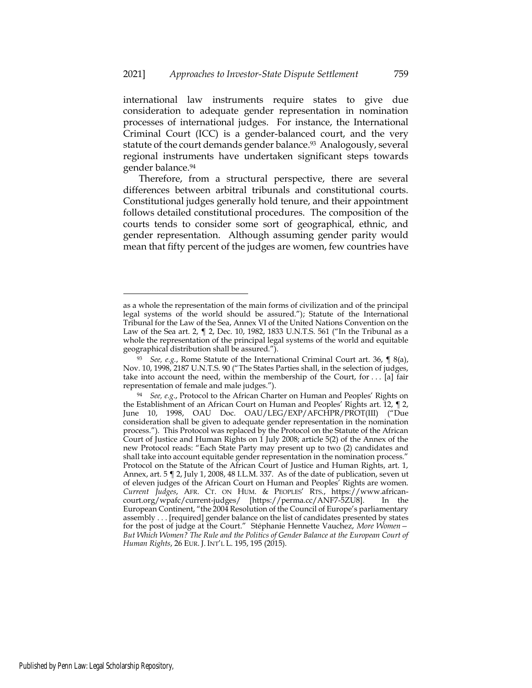international law instruments require states to give due consideration to adequate gender representation in nomination processes of international judges. For instance, the International Criminal Court (ICC) is a gender-balanced court, and the very statute of the court demands gender balance.<sup>93</sup> Analogously, several regional instruments have undertaken significant steps towards gender balance.<sup>94</sup>

Therefore, from a structural perspective, there are several differences between arbitral tribunals and constitutional courts. Constitutional judges generally hold tenure, and their appointment follows detailed constitutional procedures. The composition of the courts tends to consider some sort of geographical, ethnic, and gender representation. Although assuming gender parity would mean that fifty percent of the judges are women, few countries have

as a whole the representation of the main forms of civilization and of the principal legal systems of the world should be assured."); Statute of the International Tribunal for the Law of the Sea, Annex VI of the United Nations Convention on the Law of the Sea art. 2, ¶ 2, Dec. 10, 1982, 1833 U.N.T.S. 561 ("In the Tribunal as a whole the representation of the principal legal systems of the world and equitable geographical distribution shall be assured.").

<sup>93</sup> *See, e.g.*, Rome Statute of the International Criminal Court art. 36, ¶ 8(a), Nov. 10, 1998, 2187 U.N.T.S. 90 ("The States Parties shall, in the selection of judges, take into account the need, within the membership of the Court, for  $\dots$  [a] fair representation of female and male judges.").

<sup>94</sup> *See, e.g*., Protocol to the African Charter on Human and Peoples' Rights on the Establishment of an African Court on Human and Peoples' Rights art. 12, ¶ 2, June 10, 1998, OAU Doc. OAU/LEG/EXP/AFCHPR/PROT(III) ("Due consideration shall be given to adequate gender representation in the nomination process."). This Protocol was replaced by the Protocol on the Statute of the African Court of Justice and Human Rights on 1 July 2008; article 5(2) of the Annex of the new Protocol reads: "Each State Party may present up to two (2) candidates and shall take into account equitable gender representation in the nomination process." Protocol on the Statute of the African Court of Justice and Human Rights, art. 1, Annex, art. 5 ¶ 2, July 1, 2008, 48 I.L.M. 337. As of the date of publication, seven ut of eleven judges of the African Court on Human and Peoples' Rights are women. *Current Judges*, AFR. CT. ON HUM. & PEOPLES' RTS., https://www.africancourt.org/wpafc/current-judges/ [https://perma.cc/ANF7-5ZU8]. In the European Continent, "the 2004 Resolution of the Council of Europe's parliamentary assembly . . . [required] gender balance on the list of candidates presented by states for the post of judge at the Court." Stéphanie Hennette Vauchez, *More Women— But Which Women? The Rule and the Politics of Gender Balance at the European Court of Human Rights*, 26 EUR. J. INT'L L. 195, 195 (2015).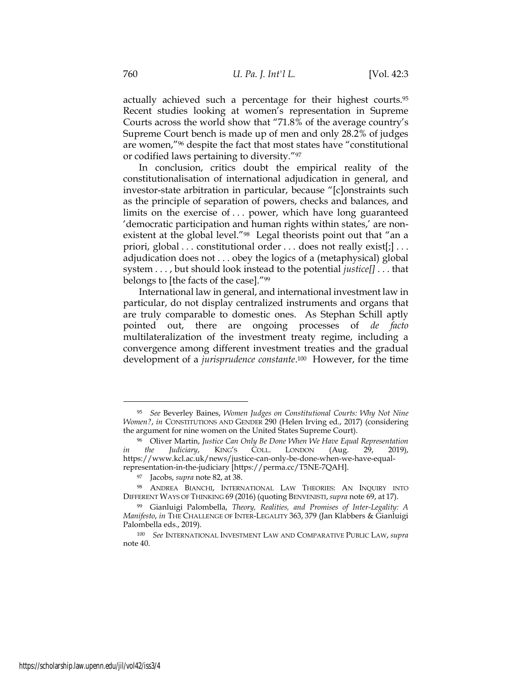actually achieved such a percentage for their highest courts.<sup>95</sup> Recent studies looking at women's representation in Supreme Courts across the world show that "71.8% of the average country's Supreme Court bench is made up of men and only 28.2% of judges are women,"<sup>96</sup> despite the fact that most states have "constitutional or codified laws pertaining to diversity."<sup>97</sup>

In conclusion, critics doubt the empirical reality of the constitutionalisation of international adjudication in general, and investor-state arbitration in particular, because "[c]onstraints such as the principle of separation of powers, checks and balances, and limits on the exercise of . . . power, which have long guaranteed 'democratic participation and human rights within states,' are nonexistent at the global level."<sup>98</sup> Legal theorists point out that "an a priori, global . . . constitutional order . . . does not really exist[;] . . . adjudication does not . . . obey the logics of a (metaphysical) global system . . . , but should look instead to the potential *justice[]* . . . that belongs to [the facts of the case]."<sup>99</sup>

International law in general, and international investment law in particular, do not display centralized instruments and organs that are truly comparable to domestic ones. As Stephan Schill aptly pointed out, there are ongoing processes of *de facto* multilateralization of the investment treaty regime, including a convergence among different investment treaties and the gradual development of a *jurisprudence constante*. <sup>100</sup> However, for the time

<sup>95</sup> *See* Beverley Baines, *Women Judges on Constitutional Courts: Why Not Nine Women?*, *in* CONSTITUTIONS AND GENDER 290 (Helen Irving ed., 2017) (considering the argument for nine women on the United States Supreme Court).

<sup>96</sup> Oliver Martin, *Justice Can Only Be Done When We Have Equal Representation in the Judiciary*, KING'S COLL. LONDON (Aug. 29, 2019), [https://www.kcl.ac.uk/news/justice-can-only-be-done-when-we-have-equal](https://www.kcl.ac.uk/news/justice-can-only-be-done-when-we-have-equal-representation-in-the-judiciary)[representation-in-the-judiciary](https://www.kcl.ac.uk/news/justice-can-only-be-done-when-we-have-equal-representation-in-the-judiciary) [https://perma.cc/T5NE-7QAH].

<sup>97</sup> Jacobs, *supra* note 82, at 38.

<sup>98</sup> ANDREA BIANCHI, INTERNATIONAL LAW THEORIES: AN INQUIRY INTO DIFFERENT WAYS OF THINKING 69 (2016) (quoting BENVENISTI, *supra* note 69, at 17).

<sup>99</sup> Gianluigi Palombella, *Theory, Realities, and Promises of Inter-Legality: A Manifesto*, *in* THE CHALLENGE OF INTER-LEGALITY 363, 379 (Jan Klabbers & Gianluigi Palombella eds., 2019).

<sup>100</sup> *See* INTERNATIONAL INVESTMENT LAW AND COMPARATIVE PUBLIC LAW, *supra*  note 40.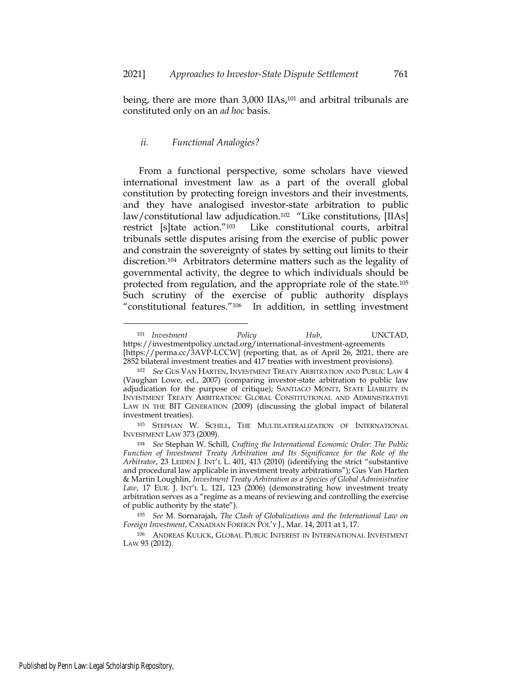being, there are more than 3,000 IIAs,<sup>101</sup> and arbitral tribunals are constituted only on an *ad hoc* basis.

### *ii. Functional Analogies?*

From a functional perspective, some scholars have viewed international investment law as a part of the overall global constitution by protecting foreign investors and their investments, and they have analogised investor-state arbitration to public law/constitutional law adjudication.<sup>102</sup> "Like constitutions, [IIAs] restrict [s]tate action."103 Like constitutional courts, arbitral tribunals settle disputes arising from the exercise of public power and constrain the sovereignty of states by setting out limits to their discretion.104 Arbitrators determine matters such as the legality of governmental activity, the degree to which individuals should be protected from regulation, and the appropriate role of the state.<sup>105</sup> Such scrutiny of the exercise of public authority displays "constitutional features."106 In addition, in settling investment

<sup>101</sup> *Investment Policy Hub*, UNCTAD, https://investmentpolicy.unctad.org/international-investment-agreements [https://perma.cc/3AVP-LCCW] (reporting that, as of April 26, 2021, there are 2852 bilateral investment treaties and 417 treaties with investment provisions).

<sup>102</sup> *See* GUS VAN HARTEN, INVESTMENT TREATY ARBITRATION AND PUBLIC LAW 4 (Vaughan Lowe, ed., 2007) (comparing investor-state arbitration to public law adjudication for the purpose of critique); SANTIAGO MONTT, STATE LIABILITY IN INVESTMENT TREATY ARBITRATION: GLOBAL CONSTITUTIONAL AND ADMINISTRATIVE LAW IN THE BIT GENERATION (2009) (discussing the global impact of bilateral investment treaties).

<sup>103</sup> STEPHAN W. SCHILL, THE MULTILATERALIZATION OF INTERNATIONAL INVESTMENT LAW 373 (2009).

<sup>104</sup> *See* Stephan W. Schill, *Crafting the International Economic Order: The Public Function of Investment Treaty Arbitration and Its Significance for the Role of the Arbitrator*, 23 LEIDEN J. INT'L L. 401, 413 (2010) (identifying the strict "substantive and procedural law applicable in investment treaty arbitrations"); Gus Van Harten & Martin Loughlin, *Investment Treaty Arbitration as a Species of Global Administrative Law*, 17 EUR. J. INT'L L. 121, 123 (2006) (demonstrating how investment treaty arbitration serves as a "regime as a means of reviewing and controlling the exercise of public authority by the state").

<sup>105</sup> *See* M. Sornarajah, *The Clash of Globalizations and the International Law on Foreign Investment*, CANADIAN FOREIGN POL'Y J., Mar. 14, 2011 at 1, 17.

<sup>106</sup> ANDREAS KULICK, GLOBAL PUBLIC INTEREST IN INTERNATIONAL INVESTMENT LAW 93 (2012).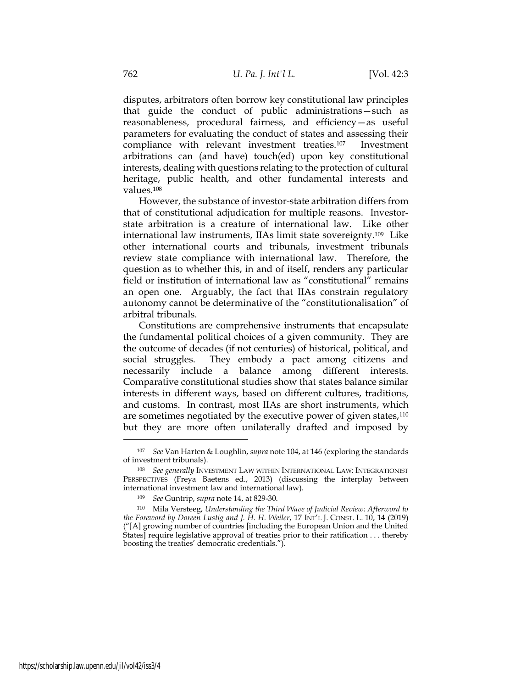disputes, arbitrators often borrow key constitutional law principles that guide the conduct of public administrations—such as reasonableness, procedural fairness, and efficiency—as useful parameters for evaluating the conduct of states and assessing their compliance with relevant investment treaties.107 Investment arbitrations can (and have) touch(ed) upon key constitutional interests, dealing with questions relating to the protection of cultural heritage, public health, and other fundamental interests and values.<sup>108</sup>

However, the substance of investor-state arbitration differs from that of constitutional adjudication for multiple reasons. Investorstate arbitration is a creature of international law. Like other international law instruments, IIAs limit state sovereignty.<sup>109</sup> Like other international courts and tribunals, investment tribunals review state compliance with international law. Therefore, the question as to whether this, in and of itself, renders any particular field or institution of international law as "constitutional" remains an open one. Arguably, the fact that IIAs constrain regulatory autonomy cannot be determinative of the "constitutionalisation" of arbitral tribunals.

Constitutions are comprehensive instruments that encapsulate the fundamental political choices of a given community. They are the outcome of decades (if not centuries) of historical, political, and social struggles. They embody a pact among citizens and necessarily include a balance among different interests. Comparative constitutional studies show that states balance similar interests in different ways, based on different cultures, traditions, and customs. In contrast, most IIAs are short instruments, which are sometimes negotiated by the executive power of given states,<sup>110</sup> but they are more often unilaterally drafted and imposed by

<sup>107</sup> *See* Van Harten & Loughlin, *supra* note 104, at 146 (exploring the standards of investment tribunals).

<sup>108</sup> *See generally* INVESTMENT LAW WITHIN INTERNATIONAL LAW: INTEGRATIONIST PERSPECTIVES (Freya Baetens ed., 2013) (discussing the interplay between international investment law and international law).

<sup>109</sup> *See* Guntrip, *supra* note 14, at 829-30.

<sup>110</sup> Mila Versteeg, *Understanding the Third Wave of Judicial Review: Afterword to the Foreword by Doreen Lustig and J. H. H. Weiler*, 17 INT'L J. CONST. L. 10, 14 (2019) ("[A] growing number of countries [including the European Union and the United States] require legislative approval of treaties prior to their ratification . . . thereby boosting the treaties' democratic credentials.").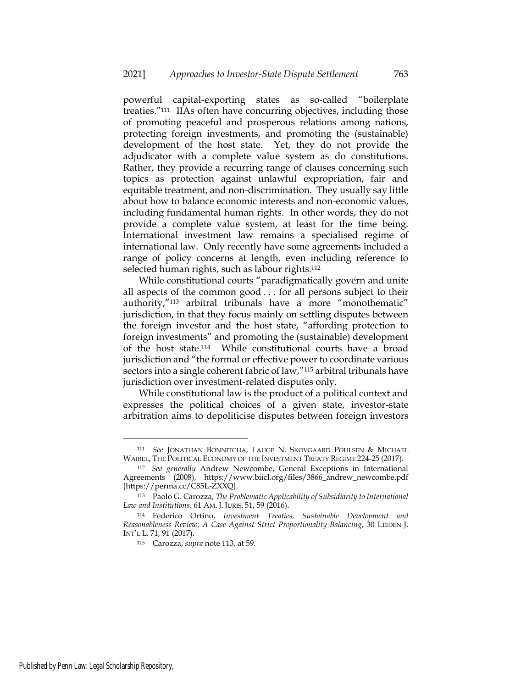powerful capital-exporting states as so-called "boilerplate treaties."<sup>111</sup> IIAs often have concurring objectives, including those of promoting peaceful and prosperous relations among nations, protecting foreign investments, and promoting the (sustainable) development of the host state. Yet, they do not provide the adjudicator with a complete value system as do constitutions. Rather, they provide a recurring range of clauses concerning such topics as protection against unlawful expropriation, fair and equitable treatment, and non-discrimination. They usually say little about how to balance economic interests and non-economic values, including fundamental human rights. In other words, they do not provide a complete value system, at least for the time being. International investment law remains a specialised regime of international law. Only recently have some agreements included a range of policy concerns at length, even including reference to selected human rights, such as labour rights.<sup>112</sup>

While constitutional courts "paradigmatically govern and unite all aspects of the common good . . . for all persons subject to their authority,"<sup>113</sup> arbitral tribunals have a more "monothematic" jurisdiction, in that they focus mainly on settling disputes between the foreign investor and the host state, "affording protection to foreign investments" and promoting the (sustainable) development of the host state.<sup>114</sup> While constitutional courts have a broad jurisdiction and "the formal or effective power to coordinate various sectors into a single coherent fabric of law,"<sup>115</sup> arbitral tribunals have jurisdiction over investment-related disputes only.

While constitutional law is the product of a political context and expresses the political choices of a given state, investor-state arbitration aims to depoliticise disputes between foreign investors

<sup>111</sup> *See* JONATHAN BONNITCHA, LAUGE N. SKOVGAARD POULSEN & MICHAEL WAIBEL, THE POLITICAL ECONOMY OF THE INVESTMENT TREATY REGIME 224-25 (2017).

<sup>112</sup> *See generally* Andrew Newcombe, General Exceptions in International Agreements (2008), https://www.biicl.org/files/3866\_andrew\_newcombe.pdf [https://perma.cc/C85L-ZXXQ].

<sup>113</sup> Paolo G. Carozza, *The Problematic Applicability of Subsidiarity to International Law and Institutions*, 61 AM. J. JURIS. 51, 59 (2016).

<sup>114</sup> Federico Ortino, *Investment Treaties, Sustainable Development and Reasonableness Review: A Case Against Strict Proportionality Balancing*, 30 LEIDEN J. INT'L L. 71, 91 (2017).

<sup>115</sup> Carozza, *supra* note 113, at 59.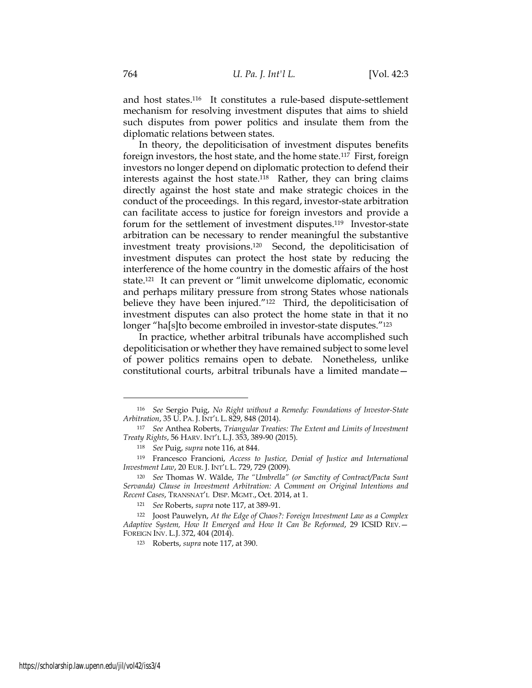and host states.<sup>116</sup> It constitutes a rule-based dispute-settlement mechanism for resolving investment disputes that aims to shield such disputes from power politics and insulate them from the diplomatic relations between states.

In theory, the depoliticisation of investment disputes benefits foreign investors, the host state, and the home state.<sup>117</sup> First, foreign investors no longer depend on diplomatic protection to defend their interests against the host state.<sup>118</sup> Rather, they can bring claims directly against the host state and make strategic choices in the conduct of the proceedings. In this regard, investor-state arbitration can facilitate access to justice for foreign investors and provide a forum for the settlement of investment disputes.<sup>119</sup> Investor-state arbitration can be necessary to render meaningful the substantive investment treaty provisions.<sup>120</sup> Second, the depoliticisation of investment disputes can protect the host state by reducing the interference of the home country in the domestic affairs of the host state.<sup>121</sup> It can prevent or "limit unwelcome diplomatic, economic and perhaps military pressure from strong States whose nationals believe they have been injured."<sup>122</sup> Third, the depoliticisation of investment disputes can also protect the home state in that it no longer "ha[s]to become embroiled in investor-state disputes."<sup>123</sup>

In practice, whether arbitral tribunals have accomplished such depoliticisation or whether they have remained subject to some level of power politics remains open to debate. Nonetheless, unlike constitutional courts, arbitral tribunals have a limited mandate—

<sup>123</sup> Roberts, *supra* note 117, at 390.

<sup>116</sup> *See* Sergio Puig, *No Right without a Remedy: Foundations of Investor-State Arbitration*, 35 U. PA. J. INT'L L. 829, 848 (2014).

<sup>117</sup> *See* Anthea Roberts, *Triangular Treaties: The Extent and Limits of Investment Treaty Rights*, 56 HARV. INT'L L.J. 353, 389-90 (2015).

<sup>118</sup> *See* Puig, *supra* note 116, at 844.

<sup>119</sup> Francesco Francioni, *Access to Justice, Denial of Justice and International Investment Law*, 20 EUR. J. INT'L L. 729, 729 (2009).

<sup>120</sup> *See* Thomas W. Wälde, *The "Umbrella" (or Sanctity of Contract/Pacta Sunt Servanda) Clause in Investment Arbitration: A Comment on Original Intentions and Recent Cases*, TRANSNAT'L DISP. MGMT., Oct. 2014, at 1.

<sup>121</sup> *See* Roberts, *supra* note 117, at 389-91.

<sup>122</sup> Joost Pauwelyn, *At the Edge of Chaos?: Foreign Investment Law as a Complex Adaptive System, How It Emerged and How It Can Be Reformed*, 29 ICSID REV.— FOREIGN INV. L.J. 372, 404 (2014).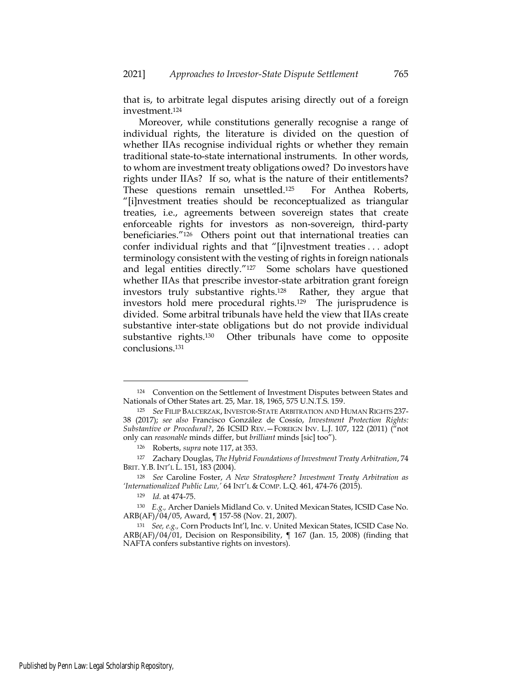that is, to arbitrate legal disputes arising directly out of a foreign investment.<sup>124</sup>

Moreover, while constitutions generally recognise a range of individual rights, the literature is divided on the question of whether IIAs recognise individual rights or whether they remain traditional state-to-state international instruments. In other words, to whom are investment treaty obligations owed? Do investors have rights under IIAs? If so, what is the nature of their entitlements? These questions remain unsettled.125 For Anthea Roberts, "[i]nvestment treaties should be reconceptualized as triangular treaties, i.e., agreements between sovereign states that create enforceable rights for investors as non-sovereign, third-party beneficiaries."126 Others point out that international treaties can confer individual rights and that "[i]nvestment treaties . . . adopt terminology consistent with the vesting of rights in foreign nationals and legal entities directly."<sup>127</sup> Some scholars have questioned whether IIAs that prescribe investor-state arbitration grant foreign investors truly substantive rights.128 Rather, they argue that investors hold mere procedural rights.129 The jurisprudence is divided. Some arbitral tribunals have held the view that IIAs create substantive inter-state obligations but do not provide individual substantive rights.130 Other tribunals have come to opposite conclusions.<sup>131</sup>

<sup>124</sup> Convention on the Settlement of Investment Disputes between States and Nationals of Other States art. 25, Mar. 18, 1965, 575 U.N.T.S. 159.

<sup>125</sup> *See* FILIP BALCERZAK, INVESTOR-STATE ARBITRATION AND HUMAN RIGHTS 237- 38 (2017); *see also* Francisco González de Cossío, *Investment Protection Rights: Substantive or Procedural?*, 26 ICSID REV.—FOREIGN INV. L.J. 107, 122 (2011) ("not only can *reasonable* minds differ, but *brilliant* minds [sic] too").

<sup>126</sup> Roberts, *supra* note 117, at 353.

<sup>127</sup> Zachary Douglas, *The Hybrid Foundations of Investment Treaty Arbitration*, 74 BRIT. Y.B. INT'L L. 151, 183 (2004).

<sup>128</sup> *See* Caroline Foster, *A New Stratosphere? Investment Treaty Arbitration as 'Internationalized Public Law,'* 64 INT'L & COMP. L.Q. 461, 474-76 (2015).

<sup>129</sup> *Id.* at 474-75.

<sup>130</sup> *E.g.,* Archer Daniels Midland Co. v. United Mexican States, ICSID Case No. ARB(AF)/04/05, Award, ¶ 157-58 (Nov. 21, 2007).

<sup>131</sup> *See, e.g.,* Corn Products Int'l, Inc. v. United Mexican States, ICSID Case No. ARB(AF)/04/01, Decision on Responsibility, ¶ 167 (Jan. 15, 2008) (finding that NAFTA confers substantive rights on investors).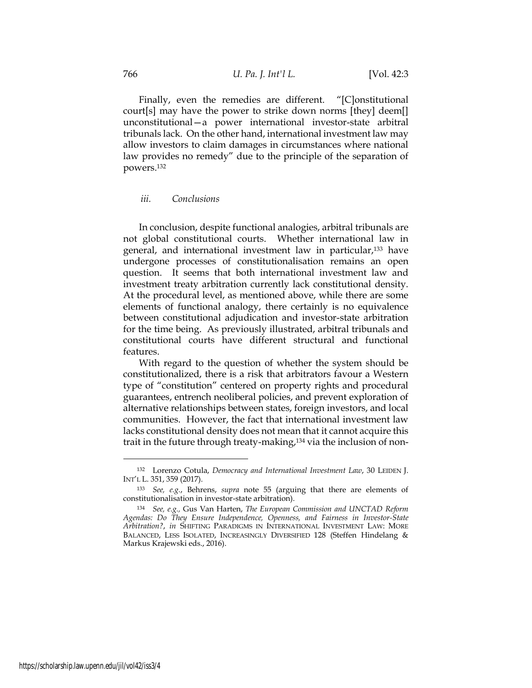Finally, even the remedies are different. "[C]onstitutional court[s] may have the power to strike down norms [they] deem[] unconstitutional—a power international investor-state arbitral tribunals lack. On the other hand, international investment law may allow investors to claim damages in circumstances where national law provides no remedy" due to the principle of the separation of powers.<sup>132</sup>

#### *iii. Conclusions*

In conclusion, despite functional analogies, arbitral tribunals are not global constitutional courts. Whether international law in general, and international investment law in particular,<sup>133</sup> have undergone processes of constitutionalisation remains an open question. It seems that both international investment law and investment treaty arbitration currently lack constitutional density. At the procedural level, as mentioned above, while there are some elements of functional analogy, there certainly is no equivalence between constitutional adjudication and investor-state arbitration for the time being. As previously illustrated, arbitral tribunals and constitutional courts have different structural and functional features.

With regard to the question of whether the system should be constitutionalized, there is a risk that arbitrators favour a Western type of "constitution" centered on property rights and procedural guarantees, entrench neoliberal policies, and prevent exploration of alternative relationships between states, foreign investors, and local communities. However, the fact that international investment law lacks constitutional density does not mean that it cannot acquire this trait in the future through treaty-making,<sup>134</sup> via the inclusion of non-

<sup>132</sup> Lorenzo Cotula, *Democracy and International Investment Law*, 30 LEIDEN J. INT'L L. 351, 359 (2017).

<sup>133</sup> *See, e.g.*, Behrens, *supra* note 55 (arguing that there are elements of constitutionalisation in investor-state arbitration).

<sup>134</sup> *See, e.g.,* Gus Van Harten, *The European Commission and UNCTAD Reform Agendas: Do They Ensure Independence, Openness, and Fairness in Investor-State Arbitration?*, *in* SHIFTING PARADIGMS IN INTERNATIONAL INVESTMENT LAW: MORE BALANCED, LESS ISOLATED, INCREASINGLY DIVERSIFIED 128 (Steffen Hindelang & Markus Krajewski eds., 2016).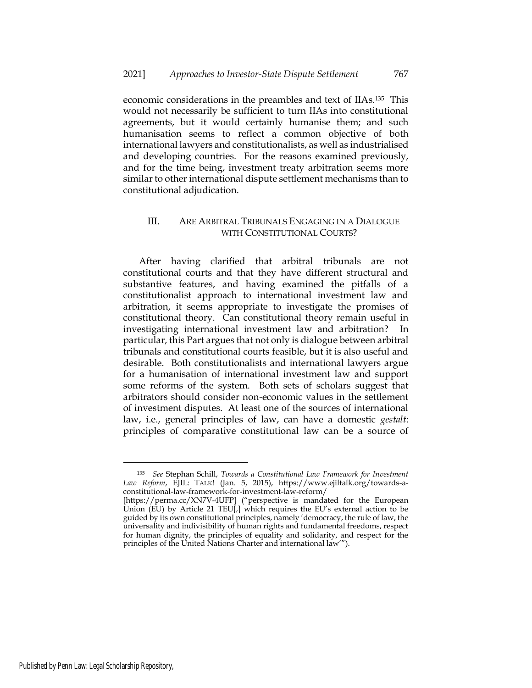economic considerations in the preambles and text of IIAs.<sup>135</sup> This would not necessarily be sufficient to turn IIAs into constitutional agreements, but it would certainly humanise them; and such humanisation seems to reflect a common objective of both international lawyers and constitutionalists, as well as industrialised and developing countries. For the reasons examined previously, and for the time being, investment treaty arbitration seems more similar to other international dispute settlement mechanisms than to constitutional adjudication.

# III. ARE ARBITRAL TRIBUNALS ENGAGING IN A DIALOGUE WITH CONSTITUTIONAL COURTS?

After having clarified that arbitral tribunals are not constitutional courts and that they have different structural and substantive features, and having examined the pitfalls of a constitutionalist approach to international investment law and arbitration, it seems appropriate to investigate the promises of constitutional theory. Can constitutional theory remain useful in investigating international investment law and arbitration? In particular, this Part argues that not only is dialogue between arbitral tribunals and constitutional courts feasible, but it is also useful and desirable. Both constitutionalists and international lawyers argue for a humanisation of international investment law and support some reforms of the system. Both sets of scholars suggest that arbitrators should consider non-economic values in the settlement of investment disputes. At least one of the sources of international law, i.e., general principles of law, can have a domestic *gestalt*: principles of comparative constitutional law can be a source of

<sup>135</sup> *See* Stephan Schill, *Towards a Constitutional Law Framework for Investment Law Reform*, EJIL: TALK! (Jan. 5, 2015), [https://www.ejiltalk.org/towards-a](https://www.ejiltalk.org/towards-a-constitutional-law-framework-for-investment-law-reform/)[constitutional-law-framework-for-investment-law-reform/](https://www.ejiltalk.org/towards-a-constitutional-law-framework-for-investment-law-reform/)

<sup>[</sup>https://perma.cc/XN7V-4UFP] ("perspective is mandated for the European Union (EU) by Article 21 TEU[,] which requires the EU's external action to be guided by its own constitutional principles, namely 'democracy, the rule of law, the universality and indivisibility of human rights and fundamental freedoms, respect for human dignity, the principles of equality and solidarity, and respect for the principles of the United Nations Charter and international law'").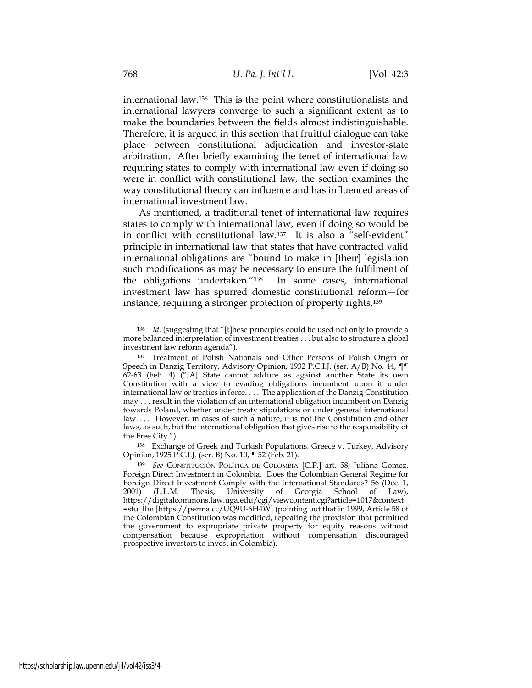international law.<sup>136</sup> This is the point where constitutionalists and international lawyers converge to such a significant extent as to make the boundaries between the fields almost indistinguishable. Therefore, it is argued in this section that fruitful dialogue can take place between constitutional adjudication and investor-state arbitration. After briefly examining the tenet of international law requiring states to comply with international law even if doing so were in conflict with constitutional law, the section examines the way constitutional theory can influence and has influenced areas of international investment law.

As mentioned, a traditional tenet of international law requires states to comply with international law, even if doing so would be in conflict with constitutional law.<sup>137</sup> It is also a "self-evident" principle in international law that states that have contracted valid international obligations are "bound to make in [their] legislation such modifications as may be necessary to ensure the fulfilment of the obligations undertaken."<sup>138</sup> In some cases, international investment law has spurred domestic constitutional reform—for instance, requiring a stronger protection of property rights.<sup>139</sup>

<sup>138</sup> Exchange of Greek and Turkish Populations, Greece v. Turkey, Advisory Opinion, 1925 P.C.I.J. (ser. B) No. 10, ¶ 52 (Feb. 21).

<sup>136</sup> *Id.* (suggesting that "[t]hese principles could be used not only to provide a more balanced interpretation of investment treaties . . . but also to structure a global investment law reform agenda").

<sup>137</sup> Treatment of Polish Nationals and Other Persons of Polish Origin or Speech in Danzig Territory, Advisory Opinion, 1932 P.C.I.J. (ser. A/B) No. 44, ¶¶ 62-63 (Feb. 4) ("[A] State cannot adduce as against another State its own Constitution with a view to evading obligations incumbent upon it under international law or treaties in force. . . . The application of the Danzig Constitution may . . . result in the violation of an international obligation incumbent on Danzig towards Poland, whether under treaty stipulations or under general international law.... However, in cases of such a nature, it is not the Constitution and other laws, as such, but the international obligation that gives rise to the responsibility of the Free City.")

<sup>139</sup> *See* CONSTITUCIÓN POLÍTICA DE COLOMBIA [C.P.] art. 58; Juliana Gomez, Foreign Direct Investment in Colombia. Does the Colombian General Regime for Foreign Direct Investment Comply with the International Standards? 56 (Dec. 1, 2001) (L.L.M. Thesis, University of Georgia School of Law), (L.L.M. Thesis, University of Georgia School of Law), https://digitalcommons.law.uga.edu/cgi/viewcontent.cgi?article=1017&context =stu\_llm [https://perma.cc/UQ9U-6H4W] (pointing out that in 1999, Article 58 of the Colombian Constitution was modified, repealing the provision that permitted the government to expropriate private property for equity reasons without compensation because expropriation without compensation discouraged prospective investors to invest in Colombia).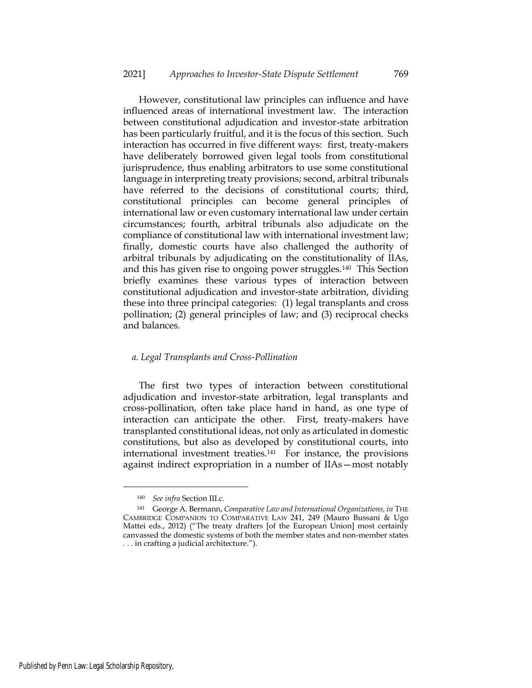However, constitutional law principles can influence and have influenced areas of international investment law. The interaction between constitutional adjudication and investor-state arbitration has been particularly fruitful, and it is the focus of this section. Such interaction has occurred in five different ways: first, treaty-makers have deliberately borrowed given legal tools from constitutional jurisprudence, thus enabling arbitrators to use some constitutional language in interpreting treaty provisions; second, arbitral tribunals have referred to the decisions of constitutional courts; third, constitutional principles can become general principles of international law or even customary international law under certain circumstances; fourth, arbitral tribunals also adjudicate on the compliance of constitutional law with international investment law; finally, domestic courts have also challenged the authority of arbitral tribunals by adjudicating on the constitutionality of IIAs, and this has given rise to ongoing power struggles.<sup>140</sup> This Section briefly examines these various types of interaction between constitutional adjudication and investor-state arbitration, dividing these into three principal categories: (1) legal transplants and cross pollination; (2) general principles of law; and (3) reciprocal checks and balances.

# *a. Legal Transplants and Cross-Pollination*

The first two types of interaction between constitutional adjudication and investor-state arbitration, legal transplants and cross-pollination, often take place hand in hand, as one type of interaction can anticipate the other. First, treaty-makers have transplanted constitutional ideas, not only as articulated in domestic constitutions, but also as developed by constitutional courts, into international investment treaties.141 For instance, the provisions against indirect expropriation in a number of IIAs—most notably

<sup>140</sup> *See infra* Section III.c.

<sup>141</sup> George A. Bermann, *Comparative Law and International Organizations, in* THE CAMBRIDGE COMPANION TO COMPARATIVE LAW 241, 249 (Mauro Bussani & Ugo Mattei eds., 2012) ("The treaty drafters [of the European Union] most certainly canvassed the domestic systems of both the member states and non-member states . . . in crafting a judicial architecture.").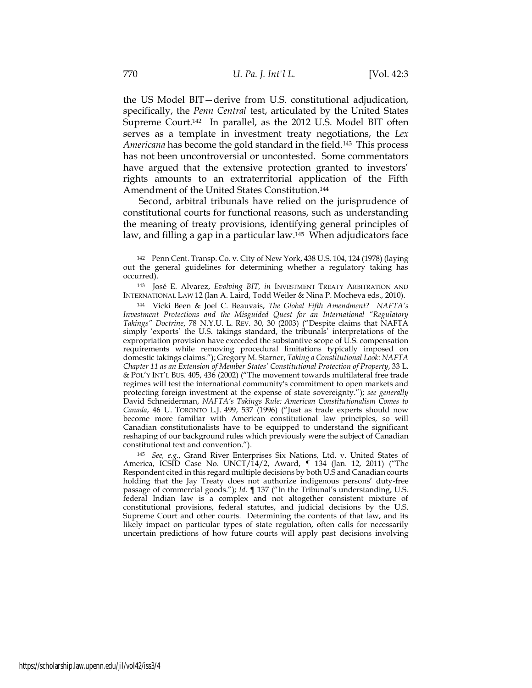the US Model BIT—derive from U.S. constitutional adjudication, specifically, the *Penn Central* test, articulated by the United States Supreme Court.<sup>142</sup> In parallel, as the 2012 U.S. Model BIT often serves as a template in investment treaty negotiations, the *Lex Americana* has become the gold standard in the field.143 This process has not been uncontroversial or uncontested. Some commentators have argued that the extensive protection granted to investors' rights amounts to an extraterritorial application of the Fifth Amendment of the United States Constitution.<sup>144</sup>

Second, arbitral tribunals have relied on the jurisprudence of constitutional courts for functional reasons, such as understanding the meaning of treaty provisions, identifying general principles of law, and filling a gap in a particular law.<sup>145</sup> When adjudicators face

<sup>145</sup> *See, e.g.*, Grand River Enterprises Six Nations, Ltd. v. United States of America, ICSID Case No. UNCT/14/2, Award, ¶ 134 (Jan. 12, 2011) ("The Respondent cited in this regard multiple decisions by both U.S and Canadian courts holding that the Jay Treaty does not authorize indigenous persons' duty-free passage of commercial goods."); *Id.* ¶ 137 ("In the Tribunal's understanding, U.S. federal Indian law is a complex and not altogether consistent mixture of constitutional provisions, federal statutes, and judicial decisions by the U.S. Supreme Court and other courts. Determining the contents of that law, and its likely impact on particular types of state regulation, often calls for necessarily uncertain predictions of how future courts will apply past decisions involving

<sup>142</sup> Penn Cent. Transp. Co. v. City of New York, 438 U.S. 104, 124 (1978) (laying out the general guidelines for determining whether a regulatory taking has occurred).

<sup>143</sup> José E. Alvarez, *Evolving BIT, in* INVESTMENT TREATY ARBITRATION AND INTERNATIONAL LAW 12 (Ian A. Laird, Todd Weiler & Nina P. Mocheva eds., 2010).

<sup>144</sup> Vicki Been & Joel C. Beauvais, *The Global Fifth Amendment? NAFTA's Investment Protections and the Misguided Quest for an International "Regulatory Takings" Doctrine*, 78 N.Y.U. L. REV. 30, 30 (2003) ("Despite claims that NAFTA simply 'exports' the U.S. takings standard, the tribunals' interpretations of the expropriation provision have exceeded the substantive scope of U.S. compensation requirements while removing procedural limitations typically imposed on domestic takings claims."); Gregory M. Starner, *Taking a Constitutional Look: NAFTA Chapter 11 as an Extension of Member States' Constitutional Protection of Property*, 33 L. & POL'Y INT'L BUS. 405, 436 (2002) ("The movement towards multilateral free trade regimes will test the international community's commitment to open markets and protecting foreign investment at the expense of state sovereignty."); *see generally* David Schneiderman, *NAFTA's Takings Rule: American Constitutionalism Comes to Canada*, 46 U. TORONTO L.J. 499, 537 (1996) ("Just as trade experts should now become more familiar with American constitutional law principles, so will Canadian constitutionalists have to be equipped to understand the significant reshaping of our background rules which previously were the subject of Canadian constitutional text and convention.").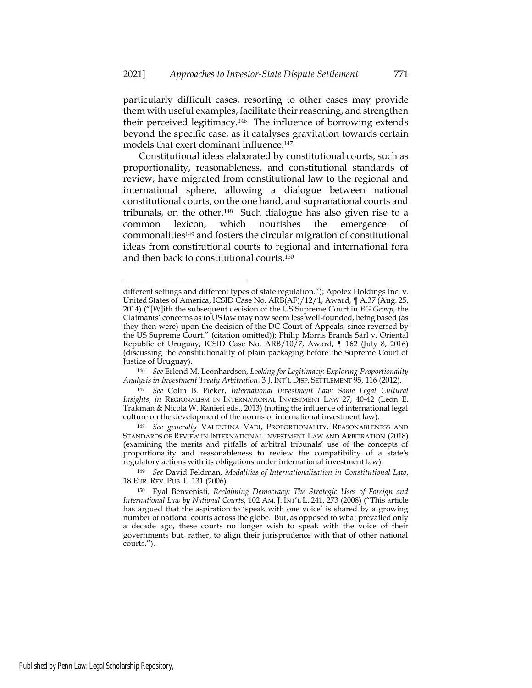particularly difficult cases, resorting to other cases may provide them with useful examples, facilitate their reasoning, and strengthen their perceived legitimacy.<sup>146</sup> The influence of borrowing extends beyond the specific case, as it catalyses gravitation towards certain models that exert dominant influence.<sup>147</sup>

Constitutional ideas elaborated by constitutional courts, such as proportionality, reasonableness, and constitutional standards of review, have migrated from constitutional law to the regional and international sphere, allowing a dialogue between national constitutional courts, on the one hand, and supranational courts and tribunals, on the other.<sup>148</sup> Such dialogue has also given rise to a common lexicon, which nourishes the emergence of commonalities<sup>149</sup> and fosters the circular migration of constitutional ideas from constitutional courts to regional and international fora and then back to constitutional courts.<sup>150</sup>

different settings and different types of state regulation."); Apotex Holdings Inc. v. United States of America, ICSID Case No. ARB(AF)/12/1, Award, ¶ A.37 (Aug. 25, 2014) ("[W]ith the subsequent decision of the US Supreme Court in *BG Group*, the Claimants' concerns as to US law may now seem less well-founded, being based (as they then were) upon the decision of the DC Court of Appeals, since reversed by the US Supreme Court." (citation omitted)); Philip Morris Brands Sàrl v. Oriental Republic of Uruguay, ICSID Case No. ARB/10/7, Award, ¶ 162 (July 8, 2016) (discussing the constitutionality of plain packaging before the Supreme Court of Justice of Uruguay).

<sup>146</sup> *See* Erlend M. Leonhardsen, *Looking for Legitimacy: Exploring Proportionality Analysis in Investment Treaty Arbitration*, 3 J. INT'L DISP. SETTLEMENT 95, 116 (2012).

<sup>147</sup> *See* Colin B. Picker, *International Investment Law: Some Legal Cultural Insights*, *in* REGIONALISM IN INTERNATIONAL INVESTMENT LAW 27, 40-42 (Leon E. Trakman & Nicola W. Ranieri eds., 2013) (noting the influence of international legal culture on the development of the norms of international investment law).

<sup>148</sup> *See generally* VALENTINA VADI, PROPORTIONALITY, REASONABLENESS AND STANDARDS OF REVIEW IN INTERNATIONAL INVESTMENT LAW AND ARBITRATION (2018) (examining the merits and pitfalls of arbitral tribunals' use of the concepts of proportionality and reasonableness to review the compatibility of a state's regulatory actions with its obligations under international investment law).

<sup>149</sup> *See* David Feldman, *Modalities of Internationalisation in Constitutional Law*, 18 EUR. REV. PUB. L. 131 (2006).

<sup>150</sup> Eyal Benvenisti, *Reclaiming Democracy: The Strategic Uses of Foreign and International Law by National Courts*, 102 AM. J. INT'L L. 241, 273 (2008) ("This article has argued that the aspiration to 'speak with one voice' is shared by a growing number of national courts across the globe. But, as opposed to what prevailed only a decade ago, these courts no longer wish to speak with the voice of their governments but, rather, to align their jurisprudence with that of other national courts.").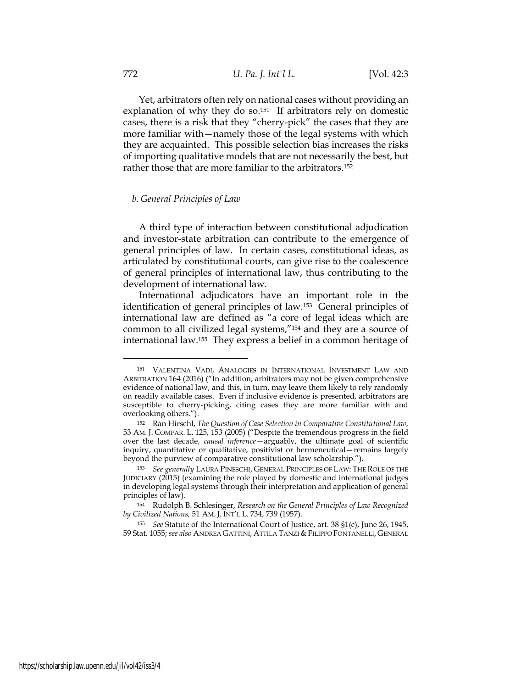Yet, arbitrators often rely on national cases without providing an explanation of why they do so.<sup>151</sup> If arbitrators rely on domestic cases, there is a risk that they "cherry-pick" the cases that they are more familiar with—namely those of the legal systems with which they are acquainted. This possible selection bias increases the risks of importing qualitative models that are not necessarily the best, but rather those that are more familiar to the arbitrators.<sup>152</sup>

#### *b. General Principles of Law*

A third type of interaction between constitutional adjudication and investor-state arbitration can contribute to the emergence of general principles of law. In certain cases, constitutional ideas, as articulated by constitutional courts, can give rise to the coalescence of general principles of international law, thus contributing to the development of international law.

International adjudicators have an important role in the identification of general principles of law.<sup>153</sup> General principles of international law are defined as "a core of legal ideas which are common to all civilized legal systems,"<sup>154</sup> and they are a source of international law.155 They express a belief in a common heritage of

<sup>151</sup> VALENTINA VADI, ANALOGIES IN INTERNATIONAL INVESTMENT LAW AND ARBITRATION 164 (2016) ("In addition, arbitrators may not be given comprehensive evidence of national law, and this, in turn, may leave them likely to rely randomly on readily available cases. Even if inclusive evidence is presented, arbitrators are susceptible to cherry-picking, citing cases they are more familiar with and overlooking others.").

<sup>152</sup> Ran Hirschl, *The Question of Case Selection in Comparative Constitutional Law,* 53 AM. J. COMPAR. L. 125, 153 (2005) ("Despite the tremendous progress in the field over the last decade, *causal inference*—arguably, the ultimate goal of scientific inquiry, quantitative or qualitative, positivist or hermeneutical—remains largely beyond the purview of comparative constitutional law scholarship.").

<sup>153</sup> *See generally* LAURA PINESCHI, GENERAL PRINCIPLES OF LAW: THE ROLE OF THE JUDICIARY (2015) (examining the role played by domestic and international judges in developing legal systems through their interpretation and application of general principles of law).

<sup>154</sup> Rudolph B. Schlesinger, *Research on the General Principles of Law Recognized by Civilized Nations,* 51 AM. J. INT'L L. 734, 739 (1957).

<sup>155</sup> *See* Statute of the International Court of Justice, art. 38 §1(c), June 26, 1945, 59 Stat. 1055; *see also* ANDREA GATTINI, ATTILA TANZI &FILIPPO FONTANELLI, GENERAL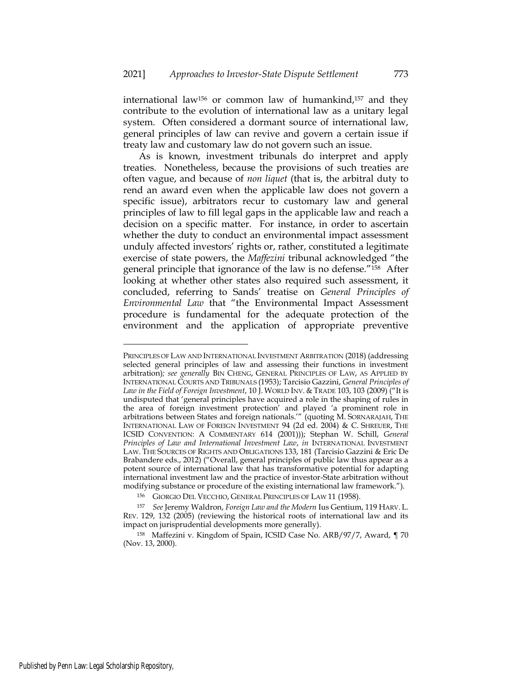international law<sup>156</sup> or common law of humankind,<sup>157</sup> and they contribute to the evolution of international law as a unitary legal system. Often considered a dormant source of international law, general principles of law can revive and govern a certain issue if treaty law and customary law do not govern such an issue.

As is known, investment tribunals do interpret and apply treaties. Nonetheless, because the provisions of such treaties are often vague, and because of *non liquet* (that is, the arbitral duty to rend an award even when the applicable law does not govern a specific issue), arbitrators recur to customary law and general principles of law to fill legal gaps in the applicable law and reach a decision on a specific matter. For instance, in order to ascertain whether the duty to conduct an environmental impact assessment unduly affected investors' rights or, rather, constituted a legitimate exercise of state powers, the *Maffezini* tribunal acknowledged "the general principle that ignorance of the law is no defense."<sup>158</sup> After looking at whether other states also required such assessment, it concluded, referring to Sands' treatise on *General Principles of Environmental Law* that "the Environmental Impact Assessment procedure is fundamental for the adequate protection of the environment and the application of appropriate preventive

PRINCIPLES OF LAW AND INTERNATIONAL INVESTMENT ARBITRATION (2018) (addressing selected general principles of law and assessing their functions in investment arbitration)*; see generally* BIN CHENG, GENERAL PRINCIPLES OF LAW, AS APPLIED BY INTERNATIONAL COURTS AND TRIBUNALS (1953); Tarcisio Gazzini, *General Principles of Law in the Field of Foreign Investment*, 10 J. WORLD INV. & TRADE 103, 103 (2009) ("It is undisputed that 'general principles have acquired a role in the shaping of rules in the area of foreign investment protection' and played 'a prominent role in arbitrations between States and foreign nationals.'" (quoting M. SORNARAJAH, THE INTERNATIONAL LAW OF FOREIGN INVESTMENT 94 (2d ed. 2004) & C. SHREUER, THE ICSID CONVENTION: A COMMENTARY 614 (2001))); Stephan W. Schill, *General Principles of Law and International Investment Law*, *in* INTERNATIONAL INVESTMENT LAW. THE SOURCES OF RIGHTS AND OBLIGATIONS 133, 181 (Tarcisio Gazzini & Eric De Brabandere eds., 2012) ("Overall, general principles of public law thus appear as a potent source of international law that has transformative potential for adapting international investment law and the practice of investor-State arbitration without modifying substance or procedure of the existing international law framework.").

<sup>156</sup> GIORGIO DEL VECCHIO, GENERAL PRINCIPLES OF LAW 11 (1958).

<sup>157</sup> *See* Jeremy Waldron, *Foreign Law and the Modern* Ius Gentium, 119 HARV. L. REV. 129, 132 (2005) (reviewing the historical roots of international law and its impact on jurisprudential developments more generally).

<sup>158</sup> Maffezini v. Kingdom of Spain, ICSID Case No. ARB/97/7, Award, ¶ 70 (Nov. 13, 2000).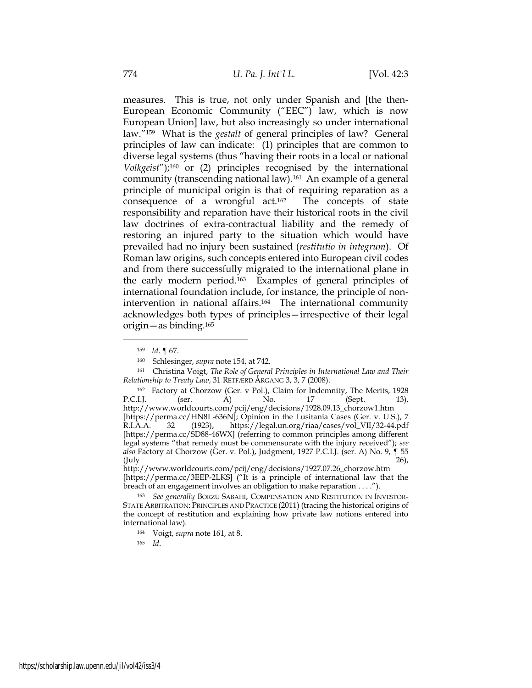measures. This is true, not only under Spanish and [the then-European Economic Community ("EEC") law, which is now European Union] law, but also increasingly so under international law."<sup>159</sup> What is the *gestalt* of general principles of law? General principles of law can indicate: (1) principles that are common to diverse legal systems (thus "having their roots in a local or national *Volkgeist*"); <sup>160</sup> or (2) principles recognised by the international community (transcending national law).<sup>161</sup> An example of a general principle of municipal origin is that of requiring reparation as a consequence of a wrongful act.<sup>162</sup> The concepts of state responsibility and reparation have their historical roots in the civil law doctrines of extra-contractual liability and the remedy of restoring an injured party to the situation which would have prevailed had no injury been sustained (*restitutio in integrum*). Of Roman law origins, such concepts entered into European civil codes and from there successfully migrated to the international plane in the early modern period.163 Examples of general principles of international foundation include, for instance, the principle of nonintervention in national affairs.<sup>164</sup> The international community acknowledges both types of principles—irrespective of their legal origin—as binding.<sup>165</sup>

<sup>165</sup> *Id*.

<sup>159</sup> *Id*. ¶ 67.

<sup>160</sup> Schlesinger, *supra* note 154, at 742.

<sup>161</sup> Christina Voigt, *The Role of General Principles in International Law and Their Relationship to Treaty Law*, 31 RETFÆRD ÅRGANG 3, 3, 7 (2008).

<sup>&</sup>lt;sup>162</sup> Factory at Chorzow (Ger. v Pol.), Claim for Indemnity, The Merits, 1928<br>I.J. (ser. A) No. 17 (Sept. 13), P.C.I.J. (ser. A) No. 17 (Sept. 13), [http://www.worldcourts.com/pcij/eng/decisions/1928.09.13\\_chorzow1.htm](http://www.worldcourts.com/pcij/eng/decisions/1928.09.13_chorzow1.htm) [\[https://perma.cc/HN8L-636N\]](https://perma.cc/HN8L-636N); Opinion in the Lusitania Cases (Ger. v. U.S.), 7 R.I.A.A. 32 (1923), https://legal.un.org/riaa/cases/vol\_VII/32-44.pdf [https://perma.cc/SD88-46WX] (referring to common principles among different legal systems "that remedy must be commensurate with the injury received"); *see also* Factory at Chorzow (Ger. v. Pol.), Judgment, 1927 P.C.I.J. (ser. A) No. 9, ¶ 55  $\text{(July} \quad 26),$ 

[http://www.worldcourts.com/pcij/eng/decisions/1927.07.26\\_chorzow.htm](http://www.worldcourts.com/pcij/eng/decisions/1927.07.26_chorzow.htm) [\[https://perma.cc/3EEP-2LKS\]](https://perma.cc/3EEP-2LKS) ("It is a principle of international law that the breach of an engagement involves an obligation to make reparation . . . .").

<sup>163</sup> *See generally* BORZU SABAHI, COMPENSATION AND RESTITUTION IN INVESTOR-STATE ARBITRATION: PRINCIPLES AND PRACTICE (2011) (tracing the historical origins of the concept of restitution and explaining how private law notions entered into international law).

<sup>164</sup> Voigt, *supra* note 161, at 8.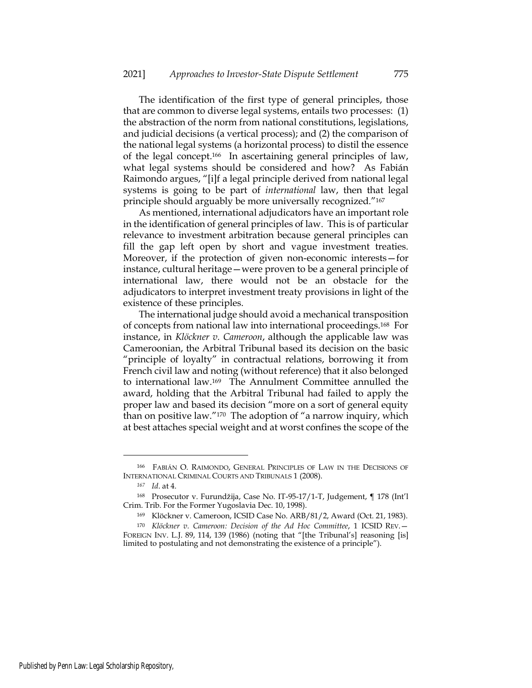The identification of the first type of general principles, those that are common to diverse legal systems, entails two processes: (1) the abstraction of the norm from national constitutions, legislations, and judicial decisions (a vertical process); and (2) the comparison of the national legal systems (a horizontal process) to distil the essence of the legal concept.166 In ascertaining general principles of law, what legal systems should be considered and how? As Fabián Raimondo argues, "[i]f a legal principle derived from national legal systems is going to be part of *international* law, then that legal principle should arguably be more universally recognized."<sup>167</sup>

As mentioned, international adjudicators have an important role in the identification of general principles of law. This is of particular relevance to investment arbitration because general principles can fill the gap left open by short and vague investment treaties. Moreover, if the protection of given non-economic interests—for instance, cultural heritage—were proven to be a general principle of international law, there would not be an obstacle for the adjudicators to interpret investment treaty provisions in light of the existence of these principles.

The international judge should avoid a mechanical transposition of concepts from national law into international proceedings.168 For instance, in *Klöckner v. Cameroon*, although the applicable law was Cameroonian, the Arbitral Tribunal based its decision on the basic "principle of loyalty" in contractual relations, borrowing it from French civil law and noting (without reference) that it also belonged to international law.<sup>169</sup> The Annulment Committee annulled the award, holding that the Arbitral Tribunal had failed to apply the proper law and based its decision "more on a sort of general equity than on positive law."<sup>170</sup> The adoption of "a narrow inquiry, which at best attaches special weight and at worst confines the scope of the

<sup>166</sup> FABIÁN O. RAIMONDO, GENERAL PRINCIPLES OF LAW IN THE DECISIONS OF INTERNATIONAL CRIMINAL COURTS AND TRIBUNALS 1 (2008).

*<sup>167</sup> Id*. at 4.

<sup>168</sup> Prosecutor v. Furundžija, Case No. IT-95-17/1-T, Judgement, ¶ 178 (Int'l Crim. Trib. For the Former Yugoslavia Dec. 10, 1998).

<sup>169</sup> Klöckner v. Cameroon, ICSID Case No. ARB/81/2, Award (Oct. 21, 1983).

<sup>170</sup> *Klöckner v. Cameroon: Decision of the Ad Hoc Committee*, 1 ICSID REV.— FOREIGN INV. L.J. 89, 114, 139 (1986) (noting that "[the Tribunal's] reasoning [is] limited to postulating and not demonstrating the existence of a principle").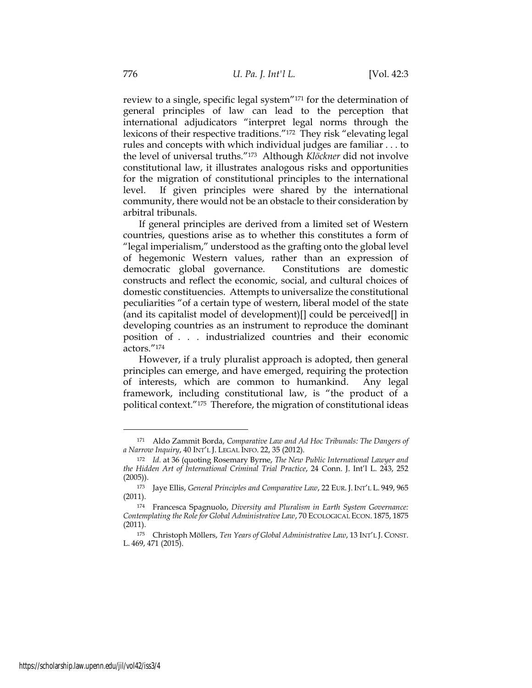review to a single, specific legal system"<sup>171</sup> for the determination of general principles of law can lead to the perception that international adjudicators "interpret legal norms through the lexicons of their respective traditions."<sup>172</sup> They risk "elevating legal rules and concepts with which individual judges are familiar . . . to the level of universal truths."<sup>173</sup> Although *Klöckner* did not involve constitutional law, it illustrates analogous risks and opportunities for the migration of constitutional principles to the international level. If given principles were shared by the international community, there would not be an obstacle to their consideration by arbitral tribunals.

If general principles are derived from a limited set of Western countries, questions arise as to whether this constitutes a form of "legal imperialism," understood as the grafting onto the global level of hegemonic Western values, rather than an expression of democratic global governance. Constitutions are domestic constructs and reflect the economic, social, and cultural choices of domestic constituencies. Attempts to universalize the constitutional peculiarities "of a certain type of western, liberal model of the state (and its capitalist model of development)[] could be perceived[] in developing countries as an instrument to reproduce the dominant position of . . . industrialized countries and their economic actors."<sup>174</sup>

However, if a truly pluralist approach is adopted, then general principles can emerge, and have emerged, requiring the protection of interests, which are common to humankind. Any legal framework, including constitutional law, is "the product of a political context."<sup>175</sup> Therefore, the migration of constitutional ideas

<sup>171</sup> Aldo Zammit Borda, *Comparative Law and Ad Hoc Tribunals: The Dangers of a Narrow Inquiry*, 40 INT'L J. LEGAL INFO. 22, 35 (2012).

<sup>172</sup> *Id.* at 36 (quoting Rosemary Byrne, *The New Public International Lawyer and the Hidden Art of International Criminal Trial Practice*, 24 Conn. J. Int'l L. 243, 252 (2005)).

<sup>173</sup> Jaye Ellis, *General Principles and Comparative Law*, 22 EUR. J. INT'L L. 949, 965 (2011).

<sup>174</sup> Francesca Spagnuolo, *Diversity and Pluralism in Earth System Governance: Contemplating the Role for Global Administrative Law*, 70 ECOLOGICAL ECON. 1875, 1875 (2011).

<sup>175</sup> Christoph Möllers, *Ten Years of Global Administrative Law*, 13 INT'L J. CONST. L. 469, 471 (2015).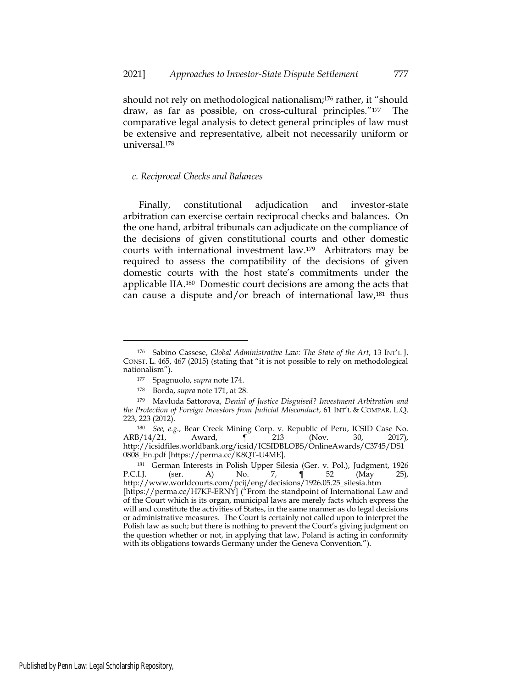should not rely on methodological nationalism;<sup>176</sup> rather, it "should draw, as far as possible, on cross-cultural principles."<sup>177</sup> The comparative legal analysis to detect general principles of law must be extensive and representative, albeit not necessarily uniform or universal.<sup>178</sup>

### *c. Reciprocal Checks and Balances*

Finally, constitutional adjudication and investor-state arbitration can exercise certain reciprocal checks and balances. On the one hand, arbitral tribunals can adjudicate on the compliance of the decisions of given constitutional courts and other domestic courts with international investment law.<sup>179</sup> Arbitrators may be required to assess the compatibility of the decisions of given domestic courts with the host state's commitments under the applicable IIA.<sup>180</sup> Domestic court decisions are among the acts that can cause a dispute and/or breach of international law, $181$  thus

<sup>181</sup> German Interests in Polish Upper Silesia (Ger. v. Pol.), Judgment, 1926 P.C.I.J. (ser. A) No. 7, ¶ 52 (May 25), [http://www.worldcourts.com/pcij/eng/decisions/1926.05.25\\_silesia.htm](http://www.worldcourts.com/pcij/eng/decisions/1926.05.25_silesia.htm) [https://perma.cc/H7KF-ERNY] ("From the standpoint of International Law and of the Court which is its organ, municipal laws are merely facts which express the will and constitute the activities of States, in the same manner as do legal decisions or administrative measures. The Court is certainly not called upon to interpret the Polish law as such; but there is nothing to prevent the Court's giving judgment on the question whether or not, in applying that law, Poland is acting in conformity with its obligations towards Germany under the Geneva Convention.").

<sup>176</sup> Sabino Cassese, *Global Administrative Law: The State of the Art*, 13 INT'L J. CONST. L. 465, 467 (2015) (stating that "it is not possible to rely on methodological nationalism").

<sup>177</sup> Spagnuolo, *supra* note 174.

<sup>178</sup> Borda, *supra* note 171, at 28.

<sup>179</sup> Mavluda Sattorova, *Denial of Justice Disguised? Investment Arbitration and the Protection of Foreign Investors from Judicial Misconduct*, 61 INT'L & COMPAR. L.Q. 223, 223 (2012).

<sup>180</sup> *See, e.g.,* Bear Creek Mining Corp. v. Republic of Peru, ICSID Case No. ARB/14/21, Award, ¶ 213 (Nov. 30, 2017), [http://icsidfiles.worldbank.org/icsid/ICSIDBLOBS/OnlineAwards/C3745/DS1](http://icsidfiles.worldbank.org/icsid/ICSIDBLOBS/OnlineAwards/C3745/DS10808_En.pdf) [0808\\_En.pdf](http://icsidfiles.worldbank.org/icsid/ICSIDBLOBS/OnlineAwards/C3745/DS10808_En.pdf) [https://perma.cc/K8QT-U4ME].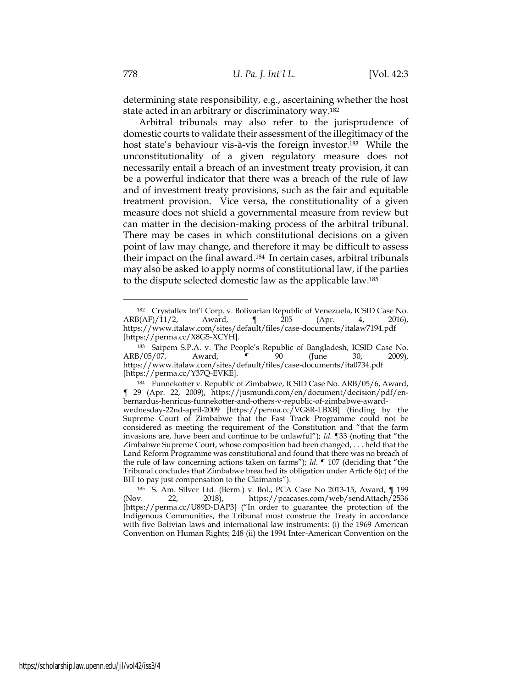determining state responsibility, e.g., ascertaining whether the host state acted in an arbitrary or discriminatory way.<sup>182</sup>

Arbitral tribunals may also refer to the jurisprudence of domestic courts to validate their assessment of the illegitimacy of the host state's behaviour vis-à-vis the foreign investor.<sup>183</sup> While the unconstitutionality of a given regulatory measure does not necessarily entail a breach of an investment treaty provision, it can be a powerful indicator that there was a breach of the rule of law and of investment treaty provisions, such as the fair and equitable treatment provision. Vice versa, the constitutionality of a given measure does not shield a governmental measure from review but can matter in the decision-making process of the arbitral tribunal. There may be cases in which constitutional decisions on a given point of law may change, and therefore it may be difficult to assess their impact on the final award.<sup>184</sup> In certain cases, arbitral tribunals may also be asked to apply norms of constitutional law, if the parties to the dispute selected domestic law as the applicable law.<sup>185</sup>

<sup>182</sup> Crystallex Int'l Corp. v. Bolivarian Republic of Venezuela, ICSID Case No. ARB(AF)/11/2, Award, ¶ 205 (Apr. 4, 2016), <https://www.italaw.com/sites/default/files/case-documents/italaw7194.pdf> [https://perma.cc/X8G5-XCYH].

<sup>183</sup> Saipem S.P.A. v. The People's Republic of Bangladesh, ICSID Case No. ARB/05/07, Award, ¶ 90 (June 30, 2009), <https://www.italaw.com/sites/default/files/case-documents/ita0734.pdf> [https://perma.cc/Y37Q-EVKE].

<sup>184</sup> Funnekotter v. Republic of Zimbabwe, ICSID Case No. ARB/05/6, Award, ¶ 29 (Apr. 22, 2009), [https://jusmundi.com/en/document/decision/pdf/en](https://jusmundi.com/en/document/decision/pdf/en-bernardus-henricus-funnekotter-and-others-v-republic-of-zimbabwe-award-wednesday-22nd-april-2009)[bernardus-henricus-funnekotter-and-others-v-republic-of-zimbabwe-award](https://jusmundi.com/en/document/decision/pdf/en-bernardus-henricus-funnekotter-and-others-v-republic-of-zimbabwe-award-wednesday-22nd-april-2009)[wednesday-22nd-april-2009](https://jusmundi.com/en/document/decision/pdf/en-bernardus-henricus-funnekotter-and-others-v-republic-of-zimbabwe-award-wednesday-22nd-april-2009) [https://perma.cc/VG8R-LBXB] (finding by the Supreme Court of Zimbabwe that the Fast Track Programme could not be considered as meeting the requirement of the Constitution and "that the farm invasions are, have been and continue to be unlawful"); *Id*. ¶33 (noting that "the Zimbabwe Supreme Court, whose composition had been changed, . . . held that the Land Reform Programme was constitutional and found that there was no breach of the rule of law concerning actions taken on farms"); *Id*. ¶ 107 (deciding that "the Tribunal concludes that Zimbabwe breached its obligation under Article 6(c) of the BIT to pay just compensation to the Claimants").

<sup>185</sup> S. Am. Silver Ltd. (Berm.) v. Bol*.*, PCA Case No 2013-15, Award, ¶ 199 (Nov. 22, 2018), <https://pcacases.com/web/sendAttach/2536> [https://perma.cc/U89D-DAP3] ("In order to guarantee the protection of the Indigenous Communities, the Tribunal must construe the Treaty in accordance with five Bolivian laws and international law instruments: (i) the 1969 American Convention on Human Rights; 248 (ii) the 1994 Inter-American Convention on the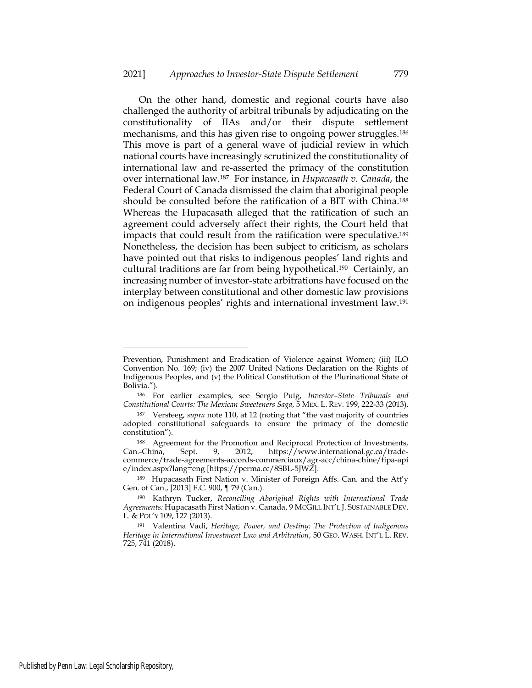On the other hand, domestic and regional courts have also challenged the authority of arbitral tribunals by adjudicating on the constitutionality of IIAs and/or their dispute settlement mechanisms, and this has given rise to ongoing power struggles.<sup>186</sup> This move is part of a general wave of judicial review in which national courts have increasingly scrutinized the constitutionality of international law and re-asserted the primacy of the constitution over international law.<sup>187</sup> For instance, in *Hupacasath v. Canada*, the Federal Court of Canada dismissed the claim that aboriginal people should be consulted before the ratification of a BIT with China.<sup>188</sup> Whereas the Hupacasath alleged that the ratification of such an agreement could adversely affect their rights, the Court held that impacts that could result from the ratification were speculative.<sup>189</sup> Nonetheless, the decision has been subject to criticism, as scholars have pointed out that risks to indigenous peoples' land rights and cultural traditions are far from being hypothetical.<sup>190</sup> Certainly, an increasing number of investor-state arbitrations have focused on the interplay between constitutional and other domestic law provisions on indigenous peoples' rights and international investment law.<sup>191</sup>

Prevention, Punishment and Eradication of Violence against Women; (iii) ILO Convention No. 169; (iv) the 2007 United Nations Declaration on the Rights of Indigenous Peoples, and (v) the Political Constitution of the Plurinational State of Bolivia.").

<sup>186</sup> For earlier examples, see Sergio Puig, *Investor–State Tribunals and Constitutional Courts: The Mexican Sweeteners Saga*, 5 MEX. L. REV. 199, 222-33 (2013).

<sup>187</sup> Versteeg, *supra* note 110, at 12 (noting that "the vast majority of countries adopted constitutional safeguards to ensure the primacy of the domestic constitution").

<sup>188</sup> Agreement for the Promotion and Reciprocal Protection of Investments, Can.-China, Sept. 9, 2012, https://www.international.gc.ca/trade-Sept. 9, 2012, https://www.international.gc.ca/tradecommerce/trade-agreements-accords-commerciaux/agr-acc/china-chine/fipa-api e/index.aspx?lang=eng [https://perma.cc/8SBL-5JWZ].

<sup>189</sup> Hupacasath First Nation v. Minister of Foreign Affs. Can. and the Att'y Gen. of Can., [2013] F.C. 900, ¶ 79 (Can.).

<sup>190</sup> Kathryn Tucker, *Reconciling Aboriginal Rights with International Trade Agreements:* Hupacasath First Nation v. Canada, 9 MCGILL INT'L J. SUSTAINABLE DEV. L. & POL'Y 109, 127 (2013).

<sup>191</sup> Valentina Vadi, *Heritage, Power, and Destiny: The Protection of Indigenous Heritage in International Investment Law and Arbitration*, 50 GEO. WASH. INT'L L. REV. 725, 741 (2018).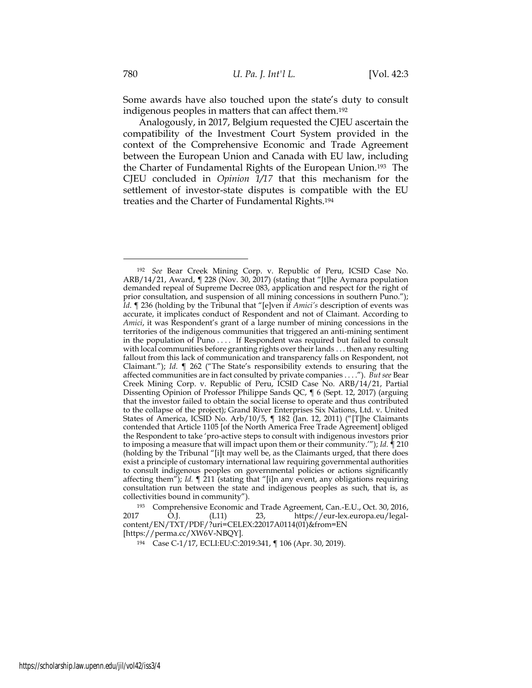Some awards have also touched upon the state's duty to consult indigenous peoples in matters that can affect them.<sup>192</sup>

Analogously, in 2017, Belgium requested the CJEU ascertain the compatibility of the Investment Court System provided in the context of the Comprehensive Economic and Trade Agreement between the European Union and Canada with EU law, including the Charter of Fundamental Rights of the European Union.<sup>193</sup> The CJEU concluded in *Opinion 1/17* that this mechanism for the settlement of investor-state disputes is compatible with the EU treaties and the Charter of Fundamental Rights.<sup>194</sup>

<sup>193</sup> Comprehensive Economic and Trade Agreement, Can.-E.U., Oct. 30, 2016, 2017 O.J. (L11) 23, [https://eur-lex.europa.eu/legal](https://eur-lex.europa.eu/legal-content/EN/TXT/PDF/?uri=CELEX:22017A0114(01)&from=EN)[content/EN/TXT/PDF/?uri=CELEX:22017A0114\(01\)&from=EN](https://eur-lex.europa.eu/legal-content/EN/TXT/PDF/?uri=CELEX:22017A0114(01)&from=EN) [https://perma.cc/XW6V-NBQY].

<sup>194</sup> Case C-1/17, ECLI:EU:C:2019:341, ¶ 106 (Apr. 30, 2019).

<sup>192</sup> *See* Bear Creek Mining Corp. v. Republic of Peru, ICSID Case No. ARB/14/21, Award, ¶ 228 (Nov. 30, 2017) (stating that "[t]he Aymara population demanded repeal of Supreme Decree 083, application and respect for the right of prior consultation, and suspension of all mining concessions in southern Puno."); *Id*. ¶ 236 (holding by the Tribunal that "[e]ven if *Amici's* description of events was accurate, it implicates conduct of Respondent and not of Claimant. According to *Amici*, it was Respondent's grant of a large number of mining concessions in the territories of the indigenous communities that triggered an anti-mining sentiment in the population of Puno . . . . If Respondent was required but failed to consult with local communities before granting rights over their lands . . . then any resulting fallout from this lack of communication and transparency falls on Respondent, not Claimant."); *Id*. ¶ 262 ("The State's responsibility extends to ensuring that the affected communities are in fact consulted by private companies . . . ."). *But see* Bear Creek Mining Corp. v. Republic of Peru, ICSID Case No. ARB/14/21, Partial Dissenting Opinion of Professor Philippe Sands QC, ¶ 6 (Sept. 12, 2017) (arguing that the investor failed to obtain the social license to operate and thus contributed to the collapse of the project); Grand River Enterprises Six Nations, Ltd. v. United States of America, ICSID No. Arb/10/5, ¶ 182 (Jan. 12, 2011) ("[T]he Claimants contended that Article 1105 [of the North America Free Trade Agreement] obliged the Respondent to take 'pro-active steps to consult with indigenous investors prior to imposing a measure that will impact upon them or their community.'"); *Id*. ¶ 210 (holding by the Tribunal "[i]t may well be, as the Claimants urged, that there does exist a principle of customary international law requiring governmental authorities to consult indigenous peoples on governmental policies or actions significantly affecting them"); *Id.* ¶ 211 (stating that "[i]n any event, any obligations requiring consultation run between the state and indigenous peoples as such, that is, as collectivities bound in community").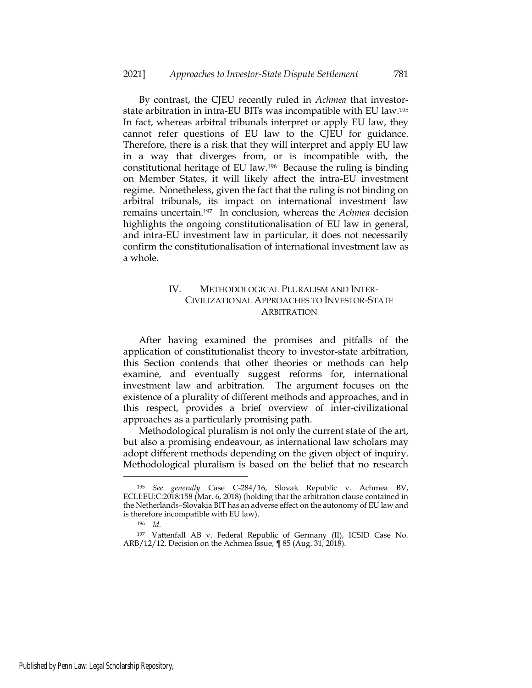By contrast, the CJEU recently ruled in *Achmea* that investorstate arbitration in intra-EU BITs was incompatible with EU law.<sup>195</sup> In fact, whereas arbitral tribunals interpret or apply EU law, they cannot refer questions of EU law to the CJEU for guidance. Therefore, there is a risk that they will interpret and apply EU law in a way that diverges from, or is incompatible with, the constitutional heritage of EU law.<sup>196</sup> Because the ruling is binding on Member States, it will likely affect the intra-EU investment regime. Nonetheless, given the fact that the ruling is not binding on arbitral tribunals, its impact on international investment law remains uncertain.<sup>197</sup> In conclusion, whereas the *Achmea* decision highlights the ongoing constitutionalisation of EU law in general, and intra-EU investment law in particular, it does not necessarily confirm the constitutionalisation of international investment law as a whole.

# IV. METHODOLOGICAL PLURALISM AND INTER-CIVILIZATIONAL APPROACHES TO INVESTOR-STATE **ARBITRATION**

After having examined the promises and pitfalls of the application of constitutionalist theory to investor-state arbitration, this Section contends that other theories or methods can help examine, and eventually suggest reforms for, international investment law and arbitration. The argument focuses on the existence of a plurality of different methods and approaches, and in this respect, provides a brief overview of inter-civilizational approaches as a particularly promising path.

Methodological pluralism is not only the current state of the art, but also a promising endeavour, as international law scholars may adopt different methods depending on the given object of inquiry. Methodological pluralism is based on the belief that no research

<sup>195</sup> *See generally* Case C-284/16, Slovak Republic v. Achmea BV, ECLI:EU:C:2018:158 (Mar. 6, 2018) (holding that the arbitration clause contained in the Netherlands–Slovakia BIT has an adverse effect on the autonomy of EU law and is therefore incompatible with EU law).

<sup>196</sup> *Id.*

<sup>197</sup> Vattenfall AB v. Federal Republic of Germany (II), ICSID Case No. ARB/12/12, Decision on the Achmea Issue, ¶ 85 (Aug. 31, 2018).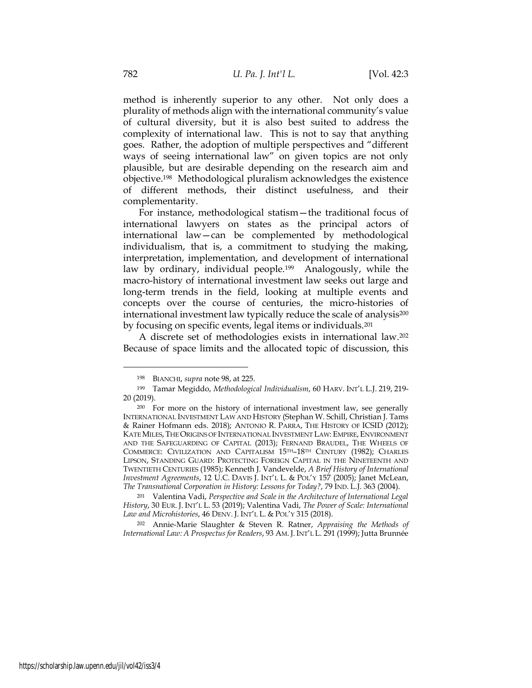method is inherently superior to any other. Not only does a plurality of methods align with the international community's value of cultural diversity, but it is also best suited to address the complexity of international law. This is not to say that anything goes. Rather, the adoption of multiple perspectives and "different ways of seeing international law" on given topics are not only plausible, but are desirable depending on the research aim and objective.<sup>198</sup> Methodological pluralism acknowledges the existence of different methods, their distinct usefulness, and their complementarity.

For instance, methodological statism—the traditional focus of international lawyers on states as the principal actors of international law—can be complemented by methodological individualism, that is, a commitment to studying the making, interpretation, implementation, and development of international law by ordinary, individual people.<sup>199</sup> Analogously, while the macro-history of international investment law seeks out large and long-term trends in the field, looking at multiple events and concepts over the course of centuries, the micro-histories of international investment law typically reduce the scale of analysis<sup>200</sup> by focusing on specific events, legal items or individuals.<sup>201</sup>

A discrete set of methodologies exists in international law.<sup>202</sup> Because of space limits and the allocated topic of discussion, this

<sup>202</sup> Annie-Marie Slaughter & Steven R. Ratner, *Appraising the Methods of International Law: A Prospectus for Readers*, 93 AM. J. INT'L L. 291 (1999); Jutta Brunnée

<sup>198</sup> BIANCHI, *supra* note 98, at 225.

<sup>199</sup> Tamar Megiddo, *Methodological Individualism*, 60 HARV. INT'L L.J. 219, 219- 20 (2019).

<sup>200</sup> For more on the history of international investment law, see generally INTERNATIONAL INVESTMENT LAW AND HISTORY (Stephan W. Schill, Christian J. Tams & Rainer Hofmann eds. 2018); ANTONIO R. PARRA, THE HISTORY OF ICSID (2012); KATE MILES, THE ORIGINS OF INTERNATIONAL INVESTMENT LAW:EMPIRE, ENVIRONMENT AND THE SAFEGUARDING OF CAPITAL (2013); FERNAND BRAUDEL, THE WHEELS OF COMMERCE: CIVILIZATION AND CAPITALISM 15TH–18TH CENTURY (1982); CHARLES LIPSON, STANDING GUARD: PROTECTING FOREIGN CAPITAL IN THE NINETEENTH AND TWENTIETH CENTURIES (1985); Kenneth J. Vandevelde, *A Brief History of International Investment Agreements*, 12 U.C. DAVIS J. INT'L L. & POL'Y 157 (2005); Janet McLean, *The Transnational Corporation in History: Lessons for Today?*, 79 IND. L.J. 363 (2004).

<sup>201</sup> Valentina Vadi, *Perspective and Scale in the Architecture of International Legal History*, 30 EUR. J. INT'L L. 53 (2019); Valentina Vadi, *The Power of Scale: International Law and Microhistories*, 46 DENV. J. INT'L L. & POL'Y 315 (2018).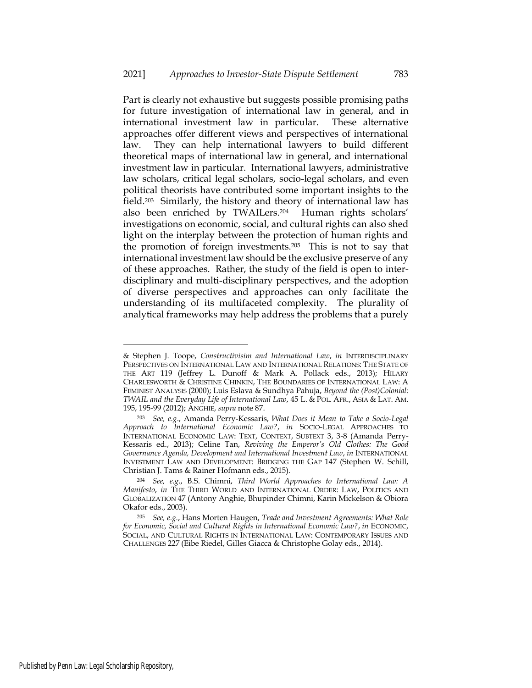Part is clearly not exhaustive but suggests possible promising paths for future investigation of international law in general, and in international investment law in particular. These alternative approaches offer different views and perspectives of international law. They can help international lawyers to build different theoretical maps of international law in general, and international investment law in particular. International lawyers, administrative law scholars, critical legal scholars, socio-legal scholars, and even political theorists have contributed some important insights to the field.203 Similarly, the history and theory of international law has also been enriched by TWAILers.<sup>204</sup> Human rights scholars' investigations on economic, social, and cultural rights can also shed light on the interplay between the protection of human rights and the promotion of foreign investments.<sup>205</sup> This is not to say that international investment law should be the exclusive preserve of any of these approaches. Rather, the study of the field is open to interdisciplinary and multi-disciplinary perspectives, and the adoption of diverse perspectives and approaches can only facilitate the understanding of its multifaceted complexity. The plurality of analytical frameworks may help address the problems that a purely

<sup>&</sup>amp; Stephen J. Toope, *Constructivisim and International Law*, *in* INTERDISCIPLINARY PERSPECTIVES ON INTERNATIONAL LAW AND INTERNATIONAL RELATIONS: THE STATE OF THE ART 119 (Jeffrey L. Dunoff & Mark A. Pollack eds., 2013); HILARY CHARLESWORTH & CHRISTINE CHINKIN, THE BOUNDARIES OF INTERNATIONAL LAW: A FEMINIST ANALYSIS (2000); Luis Eslava & Sundhya Pahuja, *Beyond the (Post)Colonial: TWAIL and the Everyday Life of International Law*, 45 L. & POL. AFR., ASIA & LAT. AM. 195, 195-99 (2012); ANGHIE, *supra* note 87.

<sup>203</sup> *See, e.g*., Amanda Perry-Kessaris, *What Does it Mean to Take a Socio-Legal Approach to International Economic Law?*, *in* SOCIO-LEGAL APPROACHES TO INTERNATIONAL ECONOMIC LAW: TEXT, CONTEXT, SUBTEXT 3, 3-8 (Amanda Perry-Kessaris ed., 2013); Celine Tan, *Reviving the Emperor's Old Clothes: The Good Governance Agenda, Development and International Investment Law*, *in* INTERNATIONAL INVESTMENT LAW AND DEVELOPMENT: BRIDGING THE GAP 147 (Stephen W. Schill, Christian J. Tams & Rainer Hofmann eds., 2015).

<sup>204</sup> *See, e.g*., B.S. Chimni, *Third World Approaches to International Law: A Manifesto*, *in* THE THIRD WORLD AND INTERNATIONAL ORDER: LAW, POLITICS AND GLOBALIZATION 47 (Antony Anghie, Bhupinder Chimni, Karin Mickelson & Obiora Okafor eds., 2003).

<sup>205</sup> *See, e.g.*, Hans Morten Haugen, *Trade and Investment Agreements: What Role for Economic, Social and Cultural Rights in International Economic Law?*, *in* ECONOMIC, SOCIAL, AND CULTURAL RIGHTS IN INTERNATIONAL LAW: CONTEMPORARY ISSUES AND CHALLENGES 227 (Eibe Riedel, Gilles Giacca & Christophe Golay eds., 2014).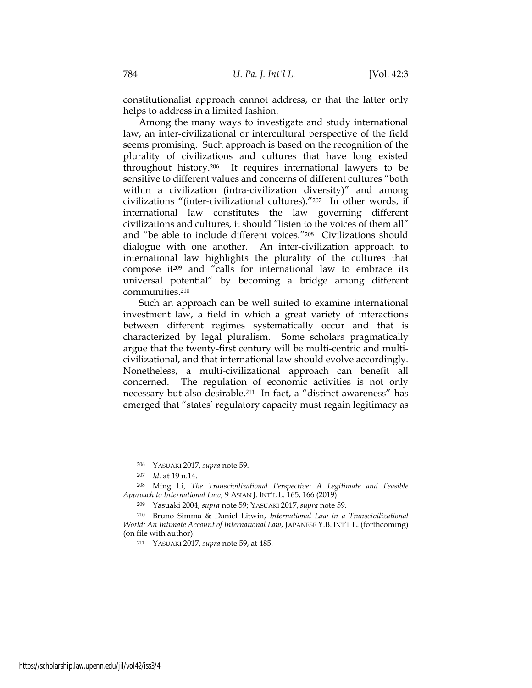constitutionalist approach cannot address, or that the latter only helps to address in a limited fashion.

Among the many ways to investigate and study international law, an inter-civilizational or intercultural perspective of the field seems promising. Such approach is based on the recognition of the plurality of civilizations and cultures that have long existed throughout history.<sup>206</sup> It requires international lawyers to be sensitive to different values and concerns of different cultures "both within a civilization (intra-civilization diversity)" and among civilizations "(inter-civilizational cultures)."<sup>207</sup> In other words, if international law constitutes the law governing different civilizations and cultures, it should "listen to the voices of them all" and "be able to include different voices."<sup>208</sup> Civilizations should dialogue with one another. An inter-civilization approach to international law highlights the plurality of the cultures that compose it<sup>209</sup> and "calls for international law to embrace its universal potential" by becoming a bridge among different communities.<sup>210</sup>

Such an approach can be well suited to examine international investment law, a field in which a great variety of interactions between different regimes systematically occur and that is characterized by legal pluralism. Some scholars pragmatically argue that the twenty-first century will be multi-centric and multicivilizational, and that international law should evolve accordingly. Nonetheless, a multi-civilizational approach can benefit all concerned. The regulation of economic activities is not only necessary but also desirable.211 In fact, a "distinct awareness" has emerged that "states' regulatory capacity must regain legitimacy as

<sup>206</sup> YASUAKI 2017, *supra* note 59.

<sup>207</sup> *Id.* at 19 n.14.

<sup>208</sup> Ming Li, *The Transcivilizational Perspective: A Legitimate and Feasible Approach to International Law*, 9 ASIAN J. INT'L L. 165, 166 (2019).

<sup>209</sup> Yasuaki 2004, *supra* note 59; YASUAKI 2017, *supra* note 59.

<sup>210</sup> Bruno Simma & Daniel Litwin, *International Law in a Transcivilizational World: An Intimate Account of International Law*, JAPANESE Y.B. INT'L L. (forthcoming) (on file with author).

<sup>211</sup> YASUAKI 2017, *supra* note 59, at 485.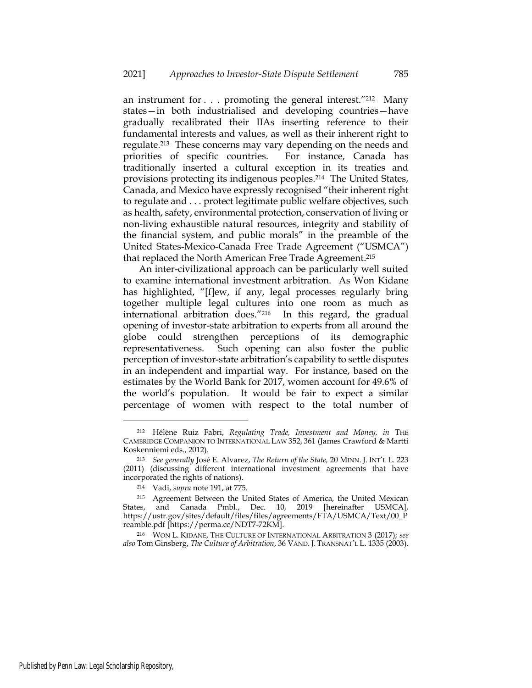an instrument for . . . promoting the general interest."<sup>212</sup> Many states—in both industrialised and developing countries—have gradually recalibrated their IIAs inserting reference to their fundamental interests and values, as well as their inherent right to regulate.213 These concerns may vary depending on the needs and priorities of specific countries. For instance, Canada has traditionally inserted a cultural exception in its treaties and provisions protecting its indigenous peoples.<sup>214</sup> The United States, Canada, and Mexico have expressly recognised "their inherent right to regulate and . . . protect legitimate public welfare objectives, such as health, safety, environmental protection, conservation of living or non-living exhaustible natural resources, integrity and stability of the financial system, and public morals" in the preamble of the United States-Mexico-Canada Free Trade Agreement ("USMCA") that replaced the North American Free Trade Agreement. 215

An inter-civilizational approach can be particularly well suited to examine international investment arbitration. As Won Kidane has highlighted, "[f]ew, if any, legal processes regularly bring together multiple legal cultures into one room as much as international arbitration does."<sup>216</sup> In this regard, the gradual opening of investor-state arbitration to experts from all around the globe could strengthen perceptions of its demographic representativeness. Such opening can also foster the public perception of investor-state arbitration's capability to settle disputes in an independent and impartial way. For instance, based on the estimates by the World Bank for 2017, women account for 49.6% of the world's population. It would be fair to expect a similar percentage of women with respect to the total number of

<sup>212</sup> Hélène Ruiz Fabri, *Regulating Trade, Investment and Money, in* THE CAMBRIDGE COMPANION TO INTERNATIONAL LAW 352, 361 (James Crawford & Martti Koskenniemi eds., 2012).

<sup>213</sup> *See generally* José E. Alvarez, *The Return of the State,* 20 MINN. J. INT'L L. 223 (2011) (discussing different international investment agreements that have incorporated the rights of nations).

<sup>214</sup> Vadi, *supra* note 191, at 775.

<sup>215</sup> Agreement Between the United States of America, the United Mexican States, and Canada Pmbl., Dec. 10, 2019 [hereinafter USMCA], https://ustr.gov/sites/default/files/files/agreements/FTA/USMCA/Text/00\_P reamble.pdf [https://perma.cc/NDT7-72KM].

<sup>216</sup> WON L. KIDANE, THE CULTURE OF INTERNATIONAL ARBITRATION 3 (2017); *see also* Tom Ginsberg, *The Culture of Arbitration*, 36 VAND. J. TRANSNAT'L L. 1335 (2003).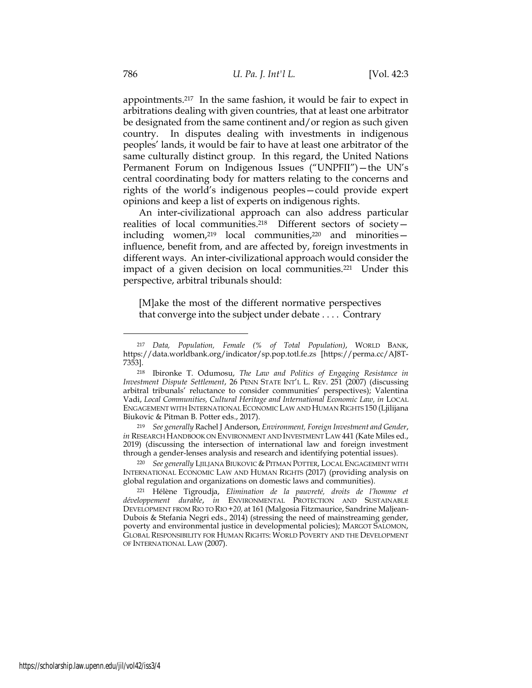appointments.<sup>217</sup> In the same fashion, it would be fair to expect in arbitrations dealing with given countries, that at least one arbitrator be designated from the same continent and/or region as such given country. In disputes dealing with investments in indigenous peoples' lands, it would be fair to have at least one arbitrator of the same culturally distinct group. In this regard, the United Nations Permanent Forum on Indigenous Issues ("UNPFII")—the UN's central coordinating body for matters relating to the concerns and rights of the world's indigenous peoples—could provide expert opinions and keep a list of experts on indigenous rights.

An inter-civilizational approach can also address particular realities of local communities.<sup>218</sup> Different sectors of society including women, $219$  local communities, $220$  and minorities influence, benefit from, and are affected by, foreign investments in different ways. An inter-civilizational approach would consider the impact of a given decision on local communities.<sup>221</sup> Under this perspective, arbitral tribunals should:

[M]ake the most of the different normative perspectives that converge into the subject under debate . . . . Contrary

<sup>219</sup> *See generally* Rachel J Anderson, *Environment, Foreign Investment and Gender*, *in* RESEARCH HANDBOOK ON ENVIRONMENT AND INVESTMENT LAW 441 (Kate Miles ed., 2019) (discussing the intersection of international law and foreign investment through a gender-lenses analysis and research and identifying potential issues).

<sup>217</sup> *Data, Population, Female (% of Total Population)*, WORLD BANK, https://data.worldbank.org/indicator/sp.pop.totl.fe.zs [https://perma.cc/AJ8T-7353].

<sup>218</sup> Ibironke T. Odumosu, *The Law and Politics of Engaging Resistance in Investment Dispute Settlement*, 26 PENN STATE INT'L L. REV. 251 (2007) (discussing arbitral tribunals' reluctance to consider communities' perspectives); Valentina Vadi, *Local Communities, Cultural Heritage and International Economic Law, in* LOCAL ENGAGEMENT WITH INTERNATIONAL ECONOMIC LAW AND HUMAN RIGHTS 150 (Ljilijana Biukovic & Pitman B. Potter eds., 2017).

<sup>&</sup>lt;sup>220</sup> See generally LJILJANA BIUKOVIC & PITMAN POTTER, LOCAL ENGAGEMENT WITH INTERNATIONAL ECONOMIC LAW AND HUMAN RIGHTS (2017) (providing analysis on global regulation and organizations on domestic laws and communities).

<sup>221</sup> Hélène Tigroudja, *Elimination de la pauvreté, droits de l'homme et développement durable*, *in* ENVIRONMENTAL PROTECTION AND SUSTAINABLE DEVELOPMENT FROM RIO TO RIO *+20,* at 161 (Malgosia Fitzmaurice, Sandrine Maljean-Dubois & Stefania Negri eds., 2014) (stressing the need of mainstreaming gender, poverty and environmental justice in developmental policies); MARGOT SALOMON, GLOBAL RESPONSIBILITY FOR HUMAN RIGHTS: WORLD POVERTY AND THE DEVELOPMENT OF INTERNATIONAL LAW (2007).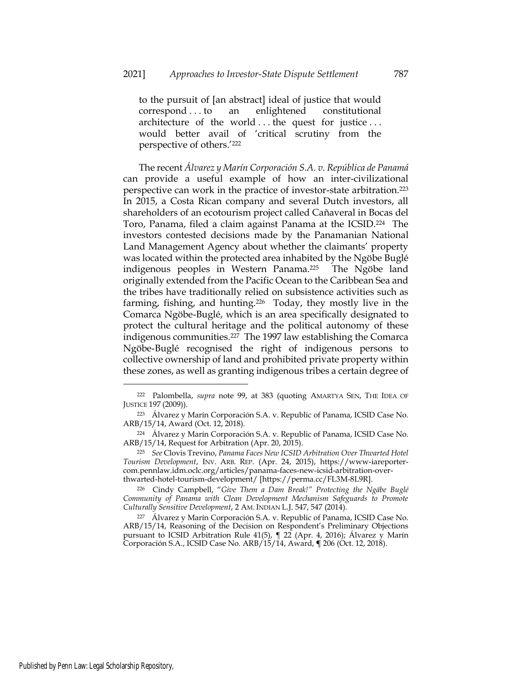to the pursuit of [an abstract] ideal of justice that would correspond . . . to an enlightened constitutional architecture of the world . . . the quest for justice . . . would better avail of 'critical scrutiny from the perspective of others.' 222

The recent *Álvarez y Marín Corporación S.A. v. República de Panamá* can provide a useful example of how an inter-civilizational perspective can work in the practice of investor-state arbitration.<sup>223</sup> In 2015, a Costa Rican company and several Dutch investors, all shareholders of an ecotourism project called Cañaveral in Bocas del Toro, Panama, filed a claim against Panama at the ICSID.<sup>224</sup> The investors contested decisions made by the Panamanian National Land Management Agency about whether the claimants' property was located within the protected area inhabited by the Ngöbe Buglé indigenous peoples in Western Panama.<sup>225</sup> The Ngöbe land originally extended from the Pacific Ocean to the Caribbean Sea and the tribes have traditionally relied on subsistence activities such as farming, fishing, and hunting.<sup>226</sup> Today, they mostly live in the Comarca Ngöbe-Buglé, which is an area specifically designated to protect the cultural heritage and the political autonomy of these indigenous communities.<sup>227</sup> The 1997 law establishing the Comarca Ngöbe-Buglé recognised the right of indigenous persons to collective ownership of land and prohibited private property within these zones, as well as granting indigenous tribes a certain degree of

<sup>222</sup> Palombella, *supra* note 99, at 383 (quoting AMARTYA SEN, THE IDEA OF JUSTICE 197 (2009)).

<sup>223</sup> Álvarez y Marín Corporación S.A. v. Republic of Panama, ICSID Case No. ARB/15/14, Award (Oct. 12, 2018).

<sup>224</sup> Álvarez y Marín Corporación S.A. v. Republic of Panama, ICSID Case No. ARB/15/14, Request for Arbitration (Apr. 20, 2015).

<sup>225</sup> *See* Clovis Trevino, *Panama Faces New ICSID Arbitration Over Thwarted Hotel Tourism Development*, INV. ARB. REP. (Apr. 24, 2015), https://www-iareportercom.pennlaw.idm.oclc.org/articles/panama-faces-new-icsid-arbitration-overthwarted-hotel-tourism-development/ [https://perma.cc/FL3M-8L9R].

<sup>226</sup> Cindy Campbell, "*Give Them a Dam Break!" Protecting the Ngäbe Buglé Community of Panama with Clean Development Mechanism Safeguards to Promote Culturally Sensitive Development*, 2 AM. INDIAN L.J. 547, 547 (2014).

<sup>227</sup> Álvarez y Marín Corporación S.A. v. Republic of Panama, ICSID Case No. ARB/15/14, Reasoning of the Decision on Respondent's Preliminary Objections pursuant to ICSID Arbitration Rule 41(5), ¶ 22 (Apr. 4, 2016); Álvarez y Marín Corporación S.A., ICSID Case No. ARB/15/14, Award, **¶** 206 (Oct. 12, 2018).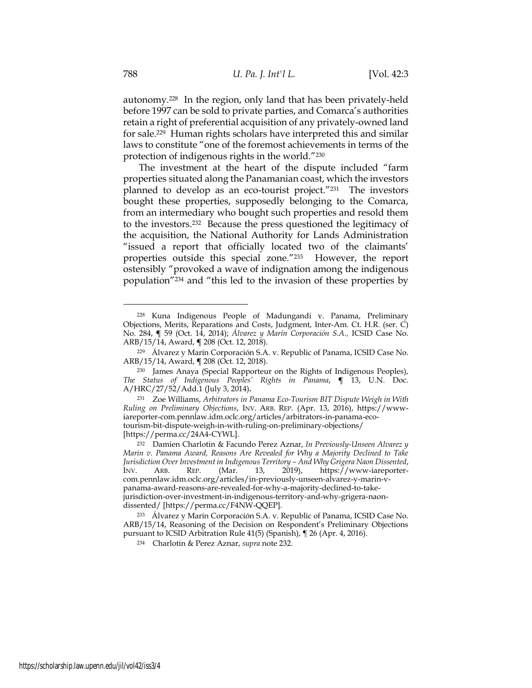autonomy.<sup>228</sup> In the region, only land that has been privately-held before 1997 can be sold to private parties, and Comarca's authorities retain a right of preferential acquisition of any privately-owned land for sale.<sup>229</sup> Human rights scholars have interpreted this and similar laws to constitute "one of the foremost achievements in terms of the protection of indigenous rights in the world."<sup>230</sup>

The investment at the heart of the dispute included "farm properties situated along the Panamanian coast, which the investors planned to develop as an eco-tourist project."<sup>231</sup> The investors bought these properties, supposedly belonging to the Comarca, from an intermediary who bought such properties and resold them to the investors.<sup>232</sup> Because the press questioned the legitimacy of the acquisition, the National Authority for Lands Administration "issued a report that officially located two of the claimants' properties outside this special zone."<sup>233</sup> However, the report ostensibly "provoked a wave of indignation among the indigenous population"<sup>234</sup> and "this led to the invasion of these properties by

<sup>228</sup> Kuna Indigenous People of Madungandi v. Panama, Preliminary Objections, Merits, Reparations and Costs, Judgment, Inter-Am. Ct. H.R. (ser. C) No. 284, **¶** 59 (Oct. 14, 2014); *Álvarez y Marín Corporación S.A.,* ICSID Case No. ARB/15/14, Award, **¶** 208 (Oct. 12, 2018).

<sup>229</sup> Álvarez y Marín Corporación S.A. v. Republic of Panama, ICSID Case No. ARB/15/14, Award, **¶** 208 (Oct. 12, 2018).

<sup>230</sup> James Anaya (Special Rapporteur on the Rights of Indigenous Peoples), *The Status of Indigenous Peoples' Rights in Panama*, **¶** 13, U.N. Doc. A/HRC/27/52/Add.1 (July 3, 2014)**.**

<sup>231</sup> Zoe Williams, *Arbitrators in Panama Eco-Tourism BIT Dispute Weigh in With Ruling on Preliminary Objections*, INV. ARB. REP. (Apr. 13, 2016), https://wwwiareporter-com.pennlaw.idm.oclc.org/articles/arbitrators-in-panama-ecotourism-bit-dispute-weigh-in-with-ruling-on-preliminary-objections/ [https://perma.cc/24A4-CYWL].

<sup>232</sup> Damien Charlotin & Facundo Perez Aznar, *In Previously-Unseen Alvarez y Marin v. Panama Award, Reasons Are Revealed for Why a Majority Declined to Take Jurisdiction Over Investment in Indigenous Territory – And Why Grigera Naon Dissented,*<br>
INV. ARB. REP. (Mar. 13, 2019), https://www-iareporter-INV. ARB. REP. (Mar. 13, 2019), https://www-iareportercom.pennlaw.idm.oclc.org/articles/in-previously-unseen-alvarez-y-marin-vpanama-award-reasons-are-revealed-for-why-a-majority-declined-to-takejurisdiction-over-investment-in-indigenous-territory-and-why-grigera-naondissented/ [https://perma.cc/F4NW-QQEP].

<sup>233</sup> Álvarez y Marín Corporación S.A. v. Republic of Panama, ICSID Case No. ARB/15/14, Reasoning of the Decision on Respondent's Preliminary Objections pursuant to ICSID Arbitration Rule 41(5) (Spanish), ¶ 26 (Apr. 4, 2016).

<sup>234</sup> Charlotin & Perez Aznar, *supra* note 232.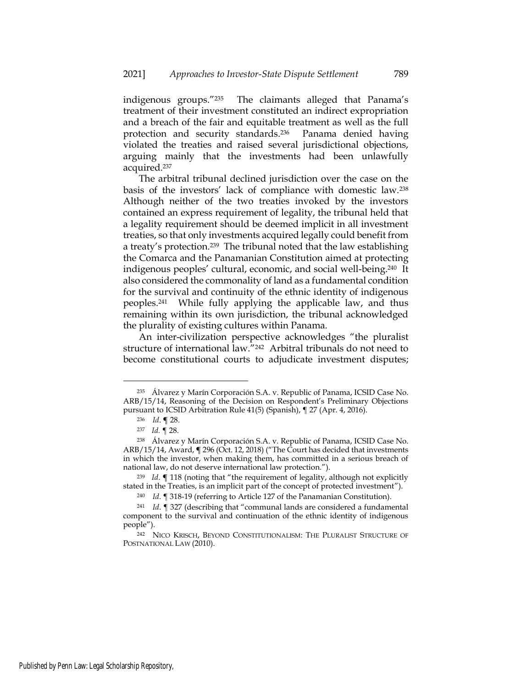indigenous groups."<sup>235</sup> The claimants alleged that Panama's treatment of their investment constituted an indirect expropriation and a breach of the fair and equitable treatment as well as the full protection and security standards.<sup>236</sup> Panama denied having violated the treaties and raised several jurisdictional objections, arguing mainly that the investments had been unlawfully acquired.<sup>237</sup>

The arbitral tribunal declined jurisdiction over the case on the basis of the investors' lack of compliance with domestic law.<sup>238</sup> Although neither of the two treaties invoked by the investors contained an express requirement of legality, the tribunal held that a legality requirement should be deemed implicit in all investment treaties, so that only investments acquired legally could benefit from a treaty's protection.<sup>239</sup> The tribunal noted that the law establishing the Comarca and the Panamanian Constitution aimed at protecting indigenous peoples' cultural, economic, and social well-being.<sup>240</sup> It also considered the commonality of land as a fundamental condition for the survival and continuity of the ethnic identity of indigenous peoples.<sup>241</sup> While fully applying the applicable law, and thus remaining within its own jurisdiction, the tribunal acknowledged the plurality of existing cultures within Panama.

An inter-civilization perspective acknowledges "the pluralist structure of international law."<sup>242</sup> Arbitral tribunals do not need to become constitutional courts to adjudicate investment disputes;

<sup>235</sup> Álvarez y Marín Corporación S.A. v. Republic of Panama, ICSID Case No. ARB/15/14, Reasoning of the Decision on Respondent's Preliminary Objections pursuant to ICSID Arbitration Rule 41(5) (Spanish), ¶ 27 (Apr. 4, 2016).

<sup>236</sup> *Id*. **¶** 28.

<sup>237</sup> *Id.* ¶ 28.

<sup>238</sup> Álvarez y Marín Corporación S.A. v. Republic of Panama, ICSID Case No. ARB/15/14, Award, **¶** 296 (Oct. 12, 2018) ("The Court has decided that investments in which the investor, when making them, has committed in a serious breach of national law, do not deserve international law protection.").

<sup>239</sup> *Id*. **¶** 118 (noting that "the requirement of legality, although not explicitly stated in the Treaties, is an implicit part of the concept of protected investment").

<sup>240</sup> *Id*. ¶ 318-19 (referring to Article 127 of the Panamanian Constitution).

<sup>241</sup> *Id*. ¶ 327 (describing that "communal lands are considered a fundamental component to the survival and continuation of the ethnic identity of indigenous people").

<sup>242</sup> NICO KRISCH, BEYOND CONSTITUTIONALISM: THE PLURALIST STRUCTURE OF POSTNATIONAL LAW (2010).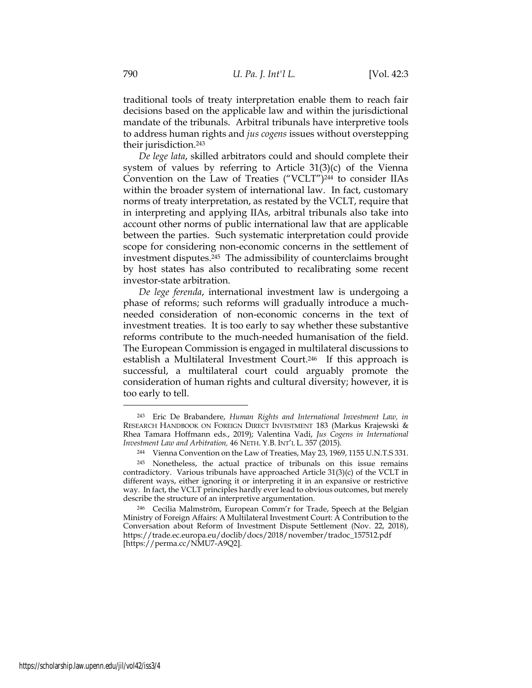traditional tools of treaty interpretation enable them to reach fair decisions based on the applicable law and within the jurisdictional mandate of the tribunals. Arbitral tribunals have interpretive tools to address human rights and *jus cogens* issues without overstepping their jurisdiction.<sup>243</sup>

*De lege lata*, skilled arbitrators could and should complete their system of values by referring to Article 31(3)(c) of the Vienna Convention on the Law of Treaties ("VCLT") <sup>244</sup> to consider IIAs within the broader system of international law. In fact, customary norms of treaty interpretation, as restated by the VCLT, require that in interpreting and applying IIAs, arbitral tribunals also take into account other norms of public international law that are applicable between the parties. Such systematic interpretation could provide scope for considering non-economic concerns in the settlement of investment disputes. <sup>245</sup> The admissibility of counterclaims brought by host states has also contributed to recalibrating some recent investor-state arbitration.

*De lege ferenda*, international investment law is undergoing a phase of reforms; such reforms will gradually introduce a muchneeded consideration of non-economic concerns in the text of investment treaties. It is too early to say whether these substantive reforms contribute to the much-needed humanisation of the field. The European Commission is engaged in multilateral discussions to establish a Multilateral Investment Court.<sup>246</sup> If this approach is successful, a multilateral court could arguably promote the consideration of human rights and cultural diversity; however, it is too early to tell.

<sup>243</sup> Eric De Brabandere, *Human Rights and International Investment Law, in*  RESEARCH HANDBOOK ON FOREIGN DIRECT INVESTMENT 183 (Markus Krajewski & Rhea Tamara Hoffmann eds., 2019); Valentina Vadi, *Jus Cogens in International Investment Law and Arbitration,* 46 NETH. Y.B. INT'L L. 357 (2015).

<sup>244</sup> Vienna Convention on the Law of Treaties, May 23, 1969, 1155 U.N.T.S 331.

<sup>245</sup> Nonetheless, the actual practice of tribunals on this issue remains contradictory. Various tribunals have approached Article 31(3)(c) of the VCLT in different ways, either ignoring it or interpreting it in an expansive or restrictive way. In fact, the VCLT principles hardly ever lead to obvious outcomes, but merely describe the structure of an interpretive argumentation.

<sup>246</sup> Cecilia Malmström, European Comm'r for Trade, Speech at the Belgian Ministry of Foreign Affairs: A Multilateral Investment Court: A Contribution to the Conversation about Reform of Investment Dispute Settlement (Nov. 22, 2018), [https://trade.ec.europa.eu/doclib/docs/2018/november/tradoc\\_157512.pdf](https://trade.ec.europa.eu/doclib/docs/2018/november/tradoc_157512.pdf) [https://perma.cc/NMU7-A9Q2].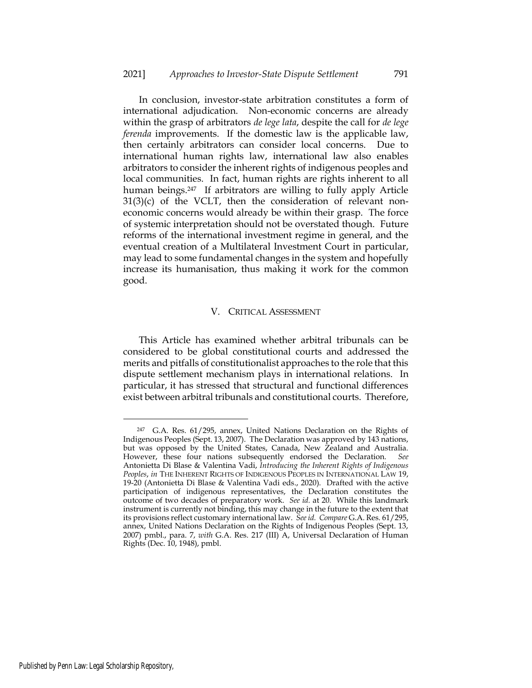In conclusion, investor-state arbitration constitutes a form of international adjudication. Non-economic concerns are already within the grasp of arbitrators *de lege lata*, despite the call for *de lege ferenda* improvements. If the domestic law is the applicable law, then certainly arbitrators can consider local concerns. Due to international human rights law, international law also enables arbitrators to consider the inherent rights of indigenous peoples and local communities. In fact, human rights are rights inherent to all human beings.<sup>247</sup> If arbitrators are willing to fully apply Article  $31(3)(c)$  of the VCLT, then the consideration of relevant noneconomic concerns would already be within their grasp. The force of systemic interpretation should not be overstated though. Future reforms of the international investment regime in general, and the eventual creation of a Multilateral Investment Court in particular, may lead to some fundamental changes in the system and hopefully increase its humanisation, thus making it work for the common good.

### V. CRITICAL ASSESSMENT

This Article has examined whether arbitral tribunals can be considered to be global constitutional courts and addressed the merits and pitfalls of constitutionalist approaches to the role that this dispute settlement mechanism plays in international relations. In particular, it has stressed that structural and functional differences exist between arbitral tribunals and constitutional courts. Therefore,

<sup>247</sup> G.A. Res. 61/295, annex, United Nations Declaration on the Rights of Indigenous Peoples (Sept. 13, 2007). The Declaration was approved by 143 nations, but was opposed by the United States, Canada, New Zealand and Australia. However, these four nations subsequently endorsed the Declaration. *See* Antonietta Di Blase & Valentina Vadi, *Introducing the Inherent Rights of Indigenous Peoples*, *in* THE INHERENT RIGHTS OF INDIGENOUS PEOPLES IN INTERNATIONAL LAW 19, 19-20 (Antonietta Di Blase & Valentina Vadi eds., 2020). Drafted with the active participation of indigenous representatives, the Declaration constitutes the outcome of two decades of preparatory work. *See id.* at 20. While this landmark instrument is currently not binding, this may change in the future to the extent that its provisions reflect customary international law. *See id. Compare* G.A. Res. 61/295, annex, United Nations Declaration on the Rights of Indigenous Peoples (Sept. 13, 2007) pmbl., para. 7, *with* G.A. Res. 217 (III) A, Universal Declaration of Human Rights (Dec. 10, 1948), pmbl.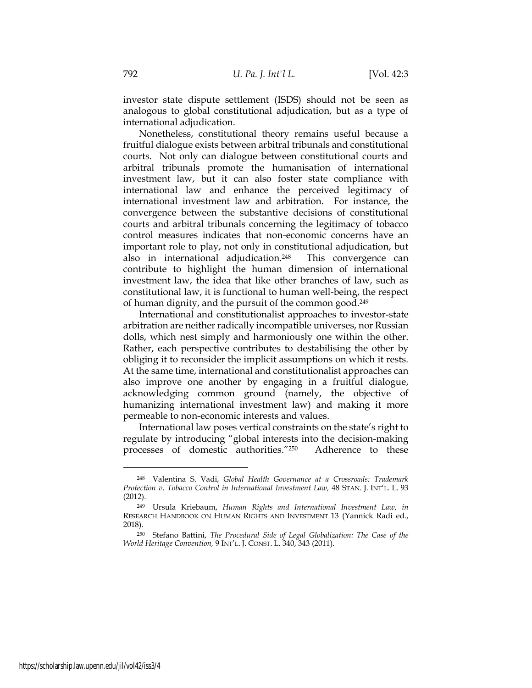investor state dispute settlement (ISDS) should not be seen as analogous to global constitutional adjudication, but as a type of international adjudication.

Nonetheless, constitutional theory remains useful because a fruitful dialogue exists between arbitral tribunals and constitutional courts. Not only can dialogue between constitutional courts and arbitral tribunals promote the humanisation of international investment law, but it can also foster state compliance with international law and enhance the perceived legitimacy of international investment law and arbitration. For instance, the convergence between the substantive decisions of constitutional courts and arbitral tribunals concerning the legitimacy of tobacco control measures indicates that non-economic concerns have an important role to play, not only in constitutional adjudication, but also in international adjudication.<sup>248</sup> This convergence can contribute to highlight the human dimension of international investment law, the idea that like other branches of law, such as constitutional law, it is functional to human well-being, the respect of human dignity, and the pursuit of the common good.<sup>249</sup>

International and constitutionalist approaches to investor-state arbitration are neither radically incompatible universes, nor Russian dolls, which nest simply and harmoniously one within the other. Rather, each perspective contributes to destabilising the other by obliging it to reconsider the implicit assumptions on which it rests. At the same time, international and constitutionalist approaches can also improve one another by engaging in a fruitful dialogue, acknowledging common ground (namely, the objective of humanizing international investment law) and making it more permeable to non-economic interests and values.

International law poses vertical constraints on the state's right to regulate by introducing "global interests into the decision-making processes of domestic authorities."<sup>250</sup> Adherence to these

<sup>248</sup> Valentina S. Vadi, *Global Health Governance at a Crossroads: Trademark Protection v. Tobacco Control in International Investment Law,* 48 STAN. J. INT'L. L. 93 (2012).

<sup>249</sup> Ursula Kriebaum, *Human Rights and International Investment Law, in*  RESEARCH HANDBOOK ON HUMAN RIGHTS AND INVESTMENT 13 (Yannick Radi ed., 2018).

<sup>250</sup> Stefano Battini, *The Procedural Side of Legal Globalization: The Case of the World Heritage Convention,* 9 INT'L. J. CONST. L. 340, 343 (2011).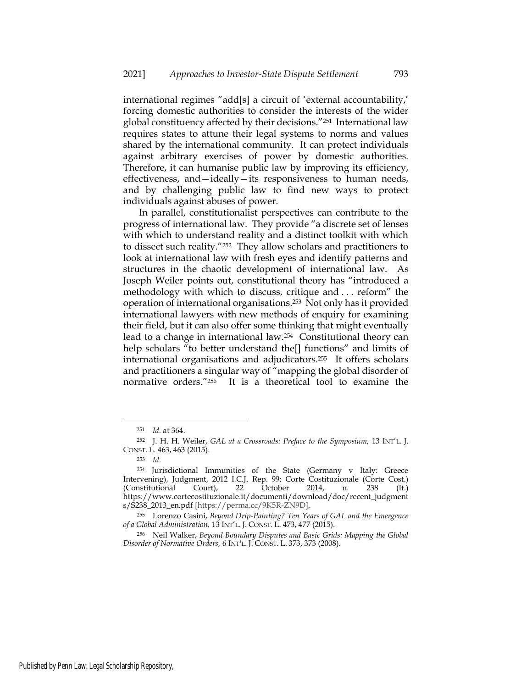international regimes "add[s] a circuit of 'external accountability,' forcing domestic authorities to consider the interests of the wider global constituency affected by their decisions."<sup>251</sup> International law requires states to attune their legal systems to norms and values shared by the international community. It can protect individuals against arbitrary exercises of power by domestic authorities. Therefore, it can humanise public law by improving its efficiency, effectiveness, and—ideally—its responsiveness to human needs, and by challenging public law to find new ways to protect individuals against abuses of power.

In parallel, constitutionalist perspectives can contribute to the progress of international law. They provide "a discrete set of lenses with which to understand reality and a distinct toolkit with which to dissect such reality."<sup>252</sup> They allow scholars and practitioners to look at international law with fresh eyes and identify patterns and structures in the chaotic development of international law. As Joseph Weiler points out, constitutional theory has "introduced a methodology with which to discuss, critique and . . . reform" the operation of international organisations.<sup>253</sup> Not only has it provided international lawyers with new methods of enquiry for examining their field, but it can also offer some thinking that might eventually lead to a change in international law.<sup>254</sup> Constitutional theory can help scholars "to better understand the<sup>[]</sup> functions" and limits of international organisations and adjudicators.<sup>255</sup> It offers scholars and practitioners a singular way of "mapping the global disorder of normative orders."<sup>256</sup> It is a theoretical tool to examine the

<sup>251</sup> *Id.* at 364.

<sup>252</sup> J. H. H. Weiler, *GAL at a Crossroads: Preface to the Symposium,* 13 INT'L. J. CONST. L. 463, 463 (2015).

<sup>253</sup> *Id.*

<sup>254</sup> Jurisdictional Immunities of the State (Germany v Italy: Greece Intervening), Judgment, 2012 I.C.J. Rep. 99; Corte Costituzionale (Corte Cost.) (Constitutional Court), 22 October 2014, n. 238 (It.) https://www.cortecostituzionale.it/documenti/download/doc/recent\_judgment s/S238\_2013\_en.pdf [https://perma.cc/9K5R-ZN9D].

<sup>255</sup> Lorenzo Casini, *Beyond Drip-Painting? Ten Years of GAL and the Emergence of a Global Administration,* 13 INT'L. J. CONST. L. 473, 477 (2015).

<sup>256</sup> Neil Walker, *Beyond Boundary Disputes and Basic Grids: Mapping the Global Disorder of Normative Orders,* 6 INT'L. J. CONST. L. 373, 373 (2008).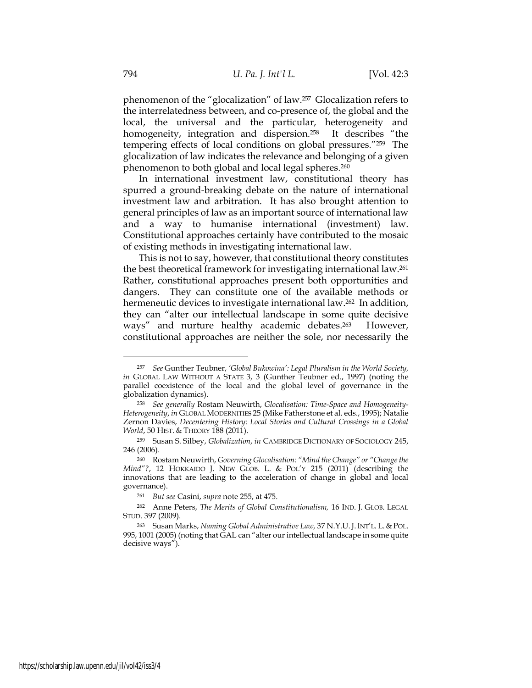phenomenon of the "glocalization" of law. <sup>257</sup> Glocalization refers to the interrelatedness between, and co-presence of, the global and the local, the universal and the particular, heterogeneity and homogeneity, integration and dispersion.<sup>258</sup> It describes "the tempering effects of local conditions on global pressures."<sup>259</sup> The glocalization of law indicates the relevance and belonging of a given phenomenon to both global and local legal spheres.<sup>260</sup>

In international investment law, constitutional theory has spurred a ground-breaking debate on the nature of international investment law and arbitration. It has also brought attention to general principles of law as an important source of international law and a way to humanise international (investment) law. Constitutional approaches certainly have contributed to the mosaic of existing methods in investigating international law.

This is not to say, however, that constitutional theory constitutes the best theoretical framework for investigating international law.<sup>261</sup> Rather, constitutional approaches present both opportunities and dangers. They can constitute one of the available methods or hermeneutic devices to investigate international law. <sup>262</sup> In addition, they can "alter our intellectual landscape in some quite decisive ways" and nurture healthy academic debates.<sup>263</sup> However, constitutional approaches are neither the sole, nor necessarily the

<sup>257</sup> *See* Gunther Teubner, *'Global Bukowina': Legal Pluralism in the World Society, in* GLOBAL LAW WITHOUT A STATE 3, 3 (Gunther Teubner ed., 1997) (noting the parallel coexistence of the local and the global level of governance in the globalization dynamics).

<sup>258</sup> *See generally* Rostam Neuwirth, *Glocalisation: Time-Space and Homogeneity-Heterogeneity*, *in* GLOBAL MODERNITIES 25 (Mike Fatherstone et al. eds., 1995); Natalie Zernon Davies, *Decentering History: Local Stories and Cultural Crossings in a Global World*, 50 HIST. & THEORY 188 (2011).

<sup>259</sup> Susan S. Silbey, *Globalization*, *in* CAMBRIDGE DICTIONARY OF SOCIOLOGY 245, 246 (2006).

<sup>260</sup> Rostam Neuwirth, *Governing Glocalisation: "Mind the Change" or "Change the Mind"?*, 12 HOKKAIDO J. NEW GLOB. L. & POL'Y 215 (2011) (describing the innovations that are leading to the acceleration of change in global and local governance).

<sup>261</sup> *But see* Casini, *supra* note 255, at 475.

<sup>262</sup> Anne Peters, *The Merits of Global Constitutionalism,* 16 IND. J. GLOB. LEGAL STUD. 397 (2009).

<sup>263</sup> Susan Marks, *Naming Global Administrative Law,* 37 N.Y.U.J.INT'L. L. & POL. 995, 1001 (2005) (noting that GAL can "alter our intellectual landscape in some quite decisive ways").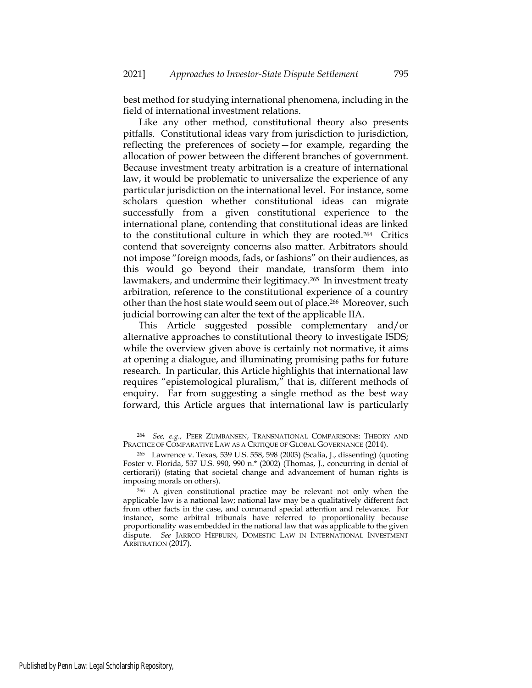best method for studying international phenomena, including in the field of international investment relations.

Like any other method, constitutional theory also presents pitfalls. Constitutional ideas vary from jurisdiction to jurisdiction, reflecting the preferences of society—for example, regarding the allocation of power between the different branches of government. Because investment treaty arbitration is a creature of international law, it would be problematic to universalize the experience of any particular jurisdiction on the international level. For instance, some scholars question whether constitutional ideas can migrate successfully from a given constitutional experience to the international plane, contending that constitutional ideas are linked to the constitutional culture in which they are rooted.<sup>264</sup> Critics contend that sovereignty concerns also matter. Arbitrators should not impose "foreign moods, fads, or fashions" on their audiences, as this would go beyond their mandate, transform them into lawmakers, and undermine their legitimacy.<sup>265</sup> In investment treaty arbitration, reference to the constitutional experience of a country other than the host state would seem out of place.<sup>266</sup> Moreover, such judicial borrowing can alter the text of the applicable IIA.

This Article suggested possible complementary and/or alternative approaches to constitutional theory to investigate ISDS; while the overview given above is certainly not normative, it aims at opening a dialogue, and illuminating promising paths for future research. In particular, this Article highlights that international law requires "epistemological pluralism," that is, different methods of enquiry. Far from suggesting a single method as the best way forward, this Article argues that international law is particularly

Published by Penn Law: Legal Scholarship Repository,

<sup>264</sup> *See, e.g.,* PEER ZUMBANSEN, TRANSNATIONAL COMPARISONS: THEORY AND PRACTICE OF COMPARATIVE LAW AS A CRITIQUE OF GLOBAL GOVERNANCE (2014).

<sup>265</sup> Lawrence v. Texas*,* 539 U.S. 558, 598 (2003) (Scalia, J., dissenting) (quoting Foster v. Florida, 537 U.S. 990, 990 n.\* (2002) (Thomas, J., concurring in denial of certiorari)) (stating that societal change and advancement of human rights is imposing morals on others).

<sup>266</sup> A given constitutional practice may be relevant not only when the applicable law is a national law; national law may be a qualitatively different fact from other facts in the case, and command special attention and relevance. For instance, some arbitral tribunals have referred to proportionality because proportionality was embedded in the national law that was applicable to the given dispute. *See* JARROD HEPBURN, DOMESTIC LAW IN INTERNATIONAL INVESTMENT ARBITRATION (2017).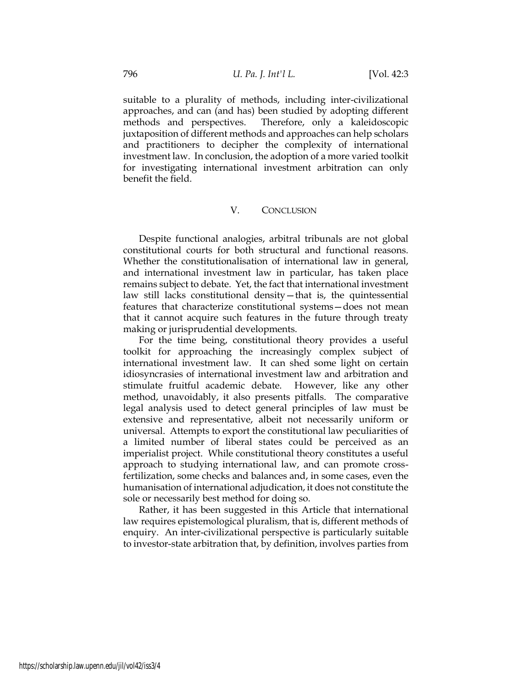suitable to a plurality of methods, including inter-civilizational approaches, and can (and has) been studied by adopting different methods and perspectives. Therefore, only a kaleidoscopic juxtaposition of different methods and approaches can help scholars and practitioners to decipher the complexity of international investment law. In conclusion, the adoption of a more varied toolkit for investigating international investment arbitration can only benefit the field.

# V. CONCLUSION

Despite functional analogies, arbitral tribunals are not global constitutional courts for both structural and functional reasons. Whether the constitutionalisation of international law in general, and international investment law in particular, has taken place remains subject to debate. Yet, the fact that international investment law still lacks constitutional density—that is, the quintessential features that characterize constitutional systems—does not mean that it cannot acquire such features in the future through treaty making or jurisprudential developments.

For the time being, constitutional theory provides a useful toolkit for approaching the increasingly complex subject of international investment law. It can shed some light on certain idiosyncrasies of international investment law and arbitration and stimulate fruitful academic debate. However, like any other method, unavoidably, it also presents pitfalls. The comparative legal analysis used to detect general principles of law must be extensive and representative, albeit not necessarily uniform or universal. Attempts to export the constitutional law peculiarities of a limited number of liberal states could be perceived as an imperialist project. While constitutional theory constitutes a useful approach to studying international law, and can promote crossfertilization, some checks and balances and, in some cases, even the humanisation of international adjudication, it does not constitute the sole or necessarily best method for doing so.

Rather, it has been suggested in this Article that international law requires epistemological pluralism, that is, different methods of enquiry. An inter-civilizational perspective is particularly suitable to investor-state arbitration that, by definition, involves parties from